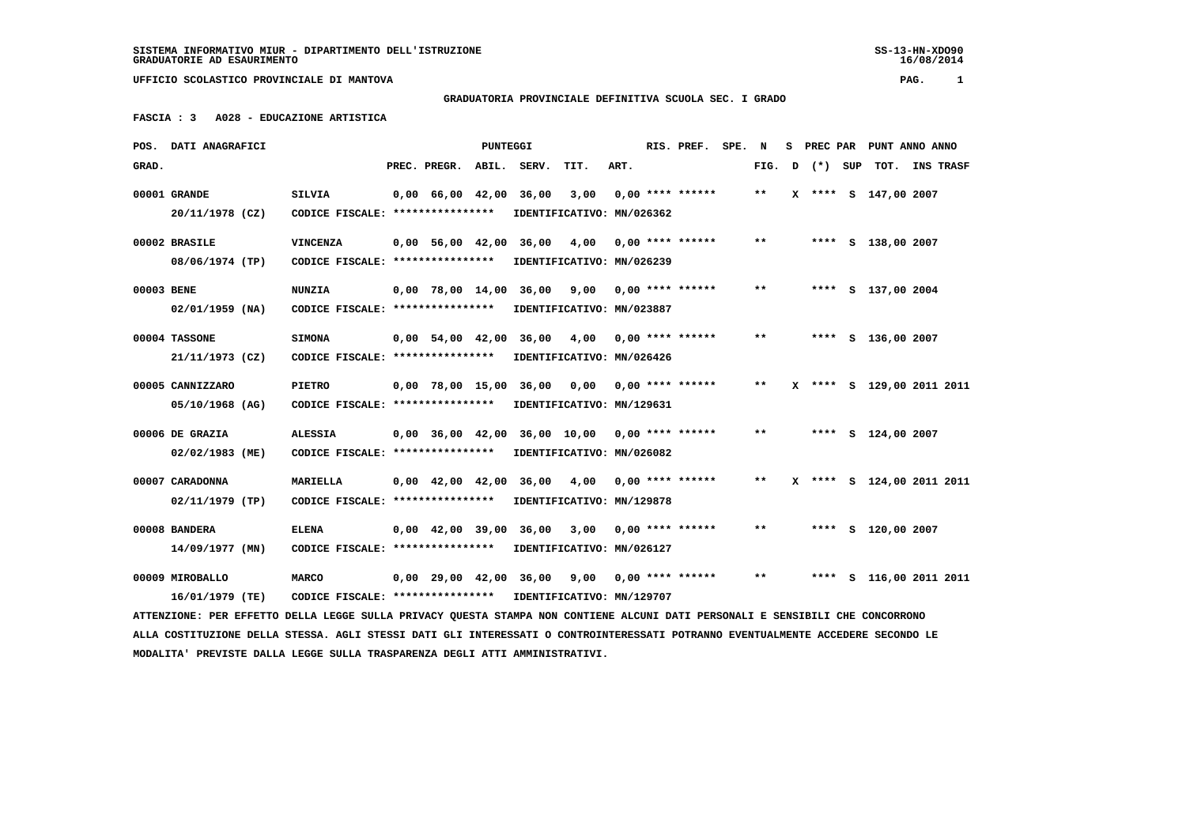SS-13-HN-XDO90<br>16/08/2014

 **UFFICIO SCOLASTICO PROVINCIALE DI MANTOVA PAG. 1**

## **GRADUATORIA PROVINCIALE DEFINITIVA SCUOLA SEC. I GRADO**

 **FASCIA : 3 A028 - EDUCAZIONE ARTISTICA**

| POS.       | <b>DATI ANAGRAFICI</b>                                                                                                          |                                   |                                            | <b>PUNTEGGI</b> |                        |                                                 |      | RIS. PREF.         | SPE. N |       | s | PREC PAR |     | PUNT ANNO ANNO            |  |
|------------|---------------------------------------------------------------------------------------------------------------------------------|-----------------------------------|--------------------------------------------|-----------------|------------------------|-------------------------------------------------|------|--------------------|--------|-------|---|----------|-----|---------------------------|--|
| GRAD.      |                                                                                                                                 |                                   | PREC. PREGR.                               | ABIL.           | SERV.                  | TIT.                                            | ART. |                    |        | FIG.  | D | $(* )$   | SUP | TOT. INS TRASF            |  |
|            | 00001 GRANDE                                                                                                                    | <b>SILVIA</b>                     | 0,00 66,00 42,00                           |                 | 36,00                  | 3,00                                            |      | $0.00$ **** ****** |        | $***$ |   |          |     | X **** S 147,00 2007      |  |
|            | 20/11/1978 (CZ)                                                                                                                 | CODICE FISCALE: ****************  |                                            |                 |                        | IDENTIFICATIVO: MN/026362                       |      |                    |        |       |   |          |     |                           |  |
|            | 00002 BRASILE                                                                                                                   | <b>VINCENZA</b>                   | 0,00 56,00 42,00 36,00                     |                 |                        | 4,00                                            |      | $0.00$ **** ****** |        | **    |   |          |     | **** S 138,00 2007        |  |
|            | 08/06/1974 (TP)                                                                                                                 | CODICE FISCALE: ***************** |                                            |                 |                        | IDENTIFICATIVO: MN/026239                       |      |                    |        |       |   |          |     |                           |  |
| 00003 BENE |                                                                                                                                 | <b>NUNZIA</b>                     |                                            |                 |                        | $0,00$ 78,00 14,00 36,00 9,00 0,00 **** ******  |      |                    |        | $***$ |   |          |     | **** S 137,00 2004        |  |
|            | $02/01/1959$ (NA)                                                                                                               | CODICE FISCALE: ****************  |                                            |                 |                        | IDENTIFICATIVO: MN/023887                       |      |                    |        |       |   |          |     |                           |  |
|            | 00004 TASSONE                                                                                                                   | <b>SIMONA</b>                     | $0.00$ 54,00 42,00 36,00                   |                 |                        | 4,00                                            |      | $0.00$ **** ****** |        | $* *$ |   |          |     | **** S 136,00 2007        |  |
|            | 21/11/1973 (CZ)                                                                                                                 | CODICE FISCALE: ****************  |                                            |                 |                        | IDENTIFICATIVO: MN/026426                       |      |                    |        |       |   |          |     |                           |  |
|            | 00005 CANNIZZARO                                                                                                                | <b>PIETRO</b>                     |                                            |                 |                        | 0,00 78,00 15,00 36,00 0,00                     |      | $0.00$ **** ****** |        | $***$ |   |          |     | X **** S 129,00 2011 2011 |  |
|            | 05/10/1968 (AG)                                                                                                                 | CODICE FISCALE: ***************** |                                            |                 |                        | IDENTIFICATIVO: MN/129631                       |      |                    |        |       |   |          |     |                           |  |
|            | 00006 DE GRAZIA                                                                                                                 | <b>ALESSIA</b>                    |                                            |                 |                        | $0,00$ 36,00 42,00 36,00 10,00 0,00 **** ****** |      |                    |        | $***$ |   |          |     | **** S 124,00 2007        |  |
|            | 02/02/1983 (ME)                                                                                                                 | CODICE FISCALE: ****************  |                                            |                 |                        | IDENTIFICATIVO: MN/026082                       |      |                    |        |       |   |          |     |                           |  |
|            | 00007 CARADONNA                                                                                                                 | <b>MARIELLA</b>                   | $0,00 \quad 42,00 \quad 42,00 \quad 36,00$ |                 |                        | 4,00                                            |      | $0.00$ **** ****** |        | **    |   |          |     | X **** S 124,00 2011 2011 |  |
|            | 02/11/1979 (TP)                                                                                                                 | CODICE FISCALE: ***************** |                                            |                 |                        | IDENTIFICATIVO: MN/129878                       |      |                    |        |       |   |          |     |                           |  |
|            | 00008 BANDERA                                                                                                                   | <b>ELENA</b>                      |                                            |                 | 0,00 42,00 39,00 36,00 | 3,00                                            |      | $0.00$ **** ****** |        | $* *$ |   |          |     | **** S 120,00 2007        |  |
|            | 14/09/1977 (MN)                                                                                                                 | CODICE FISCALE: ***************** |                                            |                 |                        | IDENTIFICATIVO: MN/026127                       |      |                    |        |       |   |          |     |                           |  |
|            | 00009 MIROBALLO                                                                                                                 | <b>MARCO</b>                      |                                            |                 | 0,00 29,00 42,00 36,00 | 9,00                                            |      | 0,00 **** ******   |        | $***$ |   |          |     | **** S 116,00 2011 2011   |  |
|            | 16/01/1979 (TE)                                                                                                                 | CODICE FISCALE: ***************** |                                            |                 |                        | IDENTIFICATIVO: MN/129707                       |      |                    |        |       |   |          |     |                           |  |
|            | ATTENZIONE: PER EFFETTO DELLA LEGGE SULLA PRIVACY QUESTA STAMPA NON CONTIENE ALCUNI DATI PERSONALI E SENSIBILI CHE CONCORRONO   |                                   |                                            |                 |                        |                                                 |      |                    |        |       |   |          |     |                           |  |
|            | ALLA COSTITUZIONE DELLA STESSA. AGLI STESSI DATI GLI INTERESSATI O CONTROINTERESSATI POTRANNO EVENTUALMENTE ACCEDERE SECONDO LE |                                   |                                            |                 |                        |                                                 |      |                    |        |       |   |          |     |                           |  |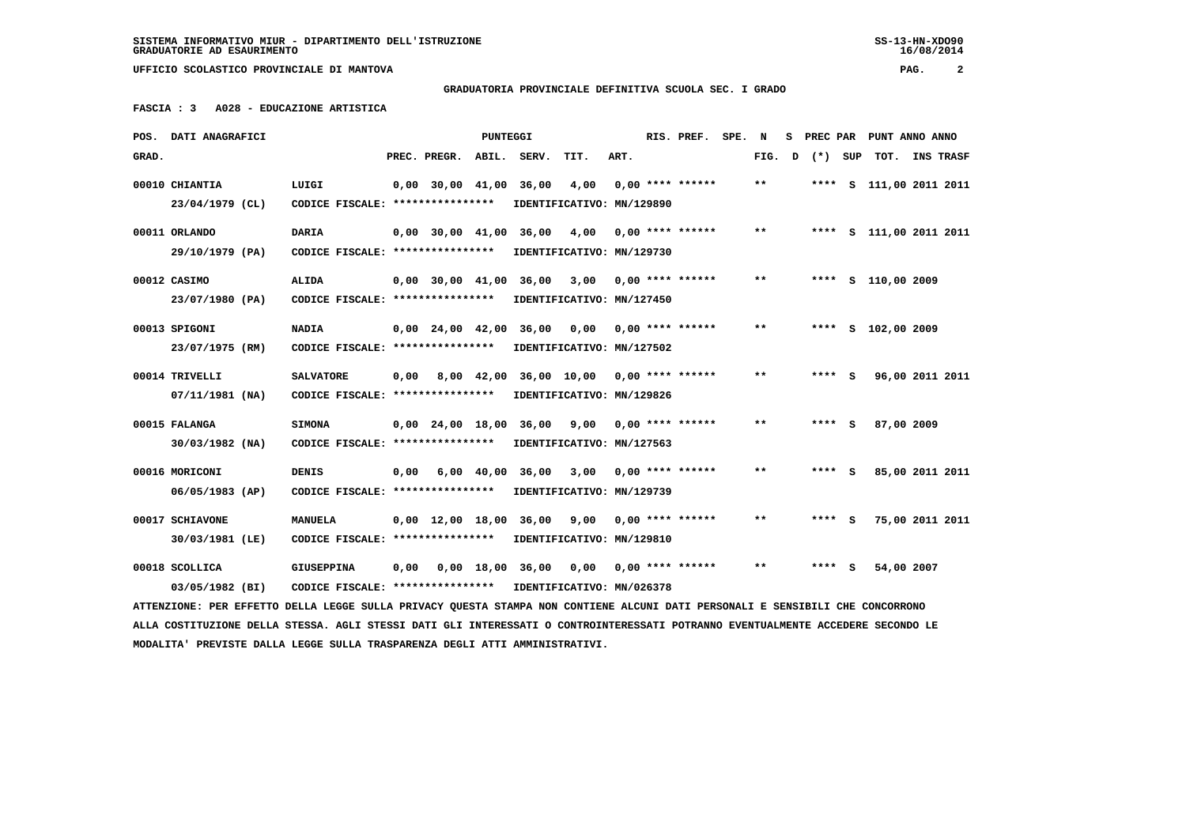**GRADUATORIA PROVINCIALE DEFINITIVA SCUOLA SEC. I GRADO**

 **FASCIA : 3 A028 - EDUCAZIONE ARTISTICA**

|       | POS. DATI ANAGRAFICI                                                                                                            |                                                            |      |                          | <b>PUNTEGGI</b> |                                                |                           |      | RIS. PREF.                | SPE. N |       | s |         | PREC PAR PUNT ANNO ANNO |           |
|-------|---------------------------------------------------------------------------------------------------------------------------------|------------------------------------------------------------|------|--------------------------|-----------------|------------------------------------------------|---------------------------|------|---------------------------|--------|-------|---|---------|-------------------------|-----------|
| GRAD. |                                                                                                                                 |                                                            |      | PREC. PREGR. ABIL. SERV. |                 |                                                | TIT.                      | ART. |                           |        | FIG.  | D | (*) SUP | TOT.                    | INS TRASF |
|       | 00010 CHIANTIA                                                                                                                  | LUIGI                                                      |      | 0,00 30,00 41,00         |                 | 36,00                                          | 4,00                      |      | $0,00$ **** ******        |        | $***$ |   |         | **** S 111,00 2011 2011 |           |
|       | 23/04/1979 (CL)                                                                                                                 | CODICE FISCALE: ****************                           |      |                          |                 |                                                | IDENTIFICATIVO: MN/129890 |      |                           |        |       |   |         |                         |           |
|       | 00011 ORLANDO                                                                                                                   | <b>DARIA</b>                                               |      |                          |                 | 0,00 30,00 41,00 36,00                         | 4,00                      |      | $0.00$ **** ******        |        | **    |   |         | **** S 111,00 2011 2011 |           |
|       | 29/10/1979 (PA)                                                                                                                 | CODICE FISCALE: ****************                           |      |                          |                 |                                                | IDENTIFICATIVO: MN/129730 |      |                           |        |       |   |         |                         |           |
|       |                                                                                                                                 |                                                            |      |                          |                 |                                                |                           |      |                           |        |       |   |         |                         |           |
|       | 00012 CASIMO                                                                                                                    | <b>ALIDA</b>                                               |      | $0,00$ 30,00 41,00       |                 | 36,00                                          | 3,00                      |      | $0.00$ **** ******        |        | $**$  |   |         | **** S 110,00 2009      |           |
|       | 23/07/1980 (PA)                                                                                                                 | CODICE FISCALE: ****************                           |      |                          |                 |                                                | IDENTIFICATIVO: MN/127450 |      |                           |        |       |   |         |                         |           |
|       | 00013 SPIGONI                                                                                                                   | <b>NADIA</b>                                               |      |                          |                 | 0,00 24,00 42,00 36,00                         |                           |      | $0,00$ $0,00$ **** ****** |        | $**$  |   |         | **** S 102,00 2009      |           |
|       | 23/07/1975 (RM)                                                                                                                 | CODICE FISCALE: ****************                           |      |                          |                 |                                                | IDENTIFICATIVO: MN/127502 |      |                           |        |       |   |         |                         |           |
|       |                                                                                                                                 |                                                            |      |                          |                 |                                                |                           |      |                           |        | $* *$ |   |         |                         |           |
|       | 00014 TRIVELLI                                                                                                                  | <b>SALVATORE</b>                                           | 0,00 |                          |                 | 8,00 42,00 36,00 10,00 0,00 **** ******        |                           |      |                           |        |       |   | **** S  | 96,00 2011 2011         |           |
|       | 07/11/1981 (NA)                                                                                                                 | CODICE FISCALE: ****************                           |      |                          |                 |                                                | IDENTIFICATIVO: MN/129826 |      |                           |        |       |   |         |                         |           |
|       | 00015 FALANGA                                                                                                                   | <b>SIMONA</b>                                              |      |                          |                 | $0.00$ 24.00 18.00 36.00 9.00 0.00 **** ****** |                           |      |                           |        | **    |   | **** S  | 87,00 2009              |           |
|       | $30/03/1982$ (NA)                                                                                                               | CODICE FISCALE: ****************                           |      |                          |                 |                                                | IDENTIFICATIVO: MN/127563 |      |                           |        |       |   |         |                         |           |
|       |                                                                                                                                 |                                                            |      |                          |                 |                                                |                           |      |                           |        |       |   |         |                         |           |
|       | 00016 MORICONI                                                                                                                  | <b>DENIS</b>                                               | 0.00 |                          |                 | $6,00$ $40,00$ $36,00$                         | 3,00                      |      | $0.00$ **** ******        |        | $* *$ |   | $***$ S | 85,00 2011 2011         |           |
|       | 06/05/1983 (AP)                                                                                                                 | CODICE FISCALE: *****************                          |      |                          |                 |                                                | IDENTIFICATIVO: MN/129739 |      |                           |        |       |   |         |                         |           |
|       | 00017 SCHIAVONE                                                                                                                 | <b>MANUELA</b>                                             |      |                          |                 | 0,00 12,00 18,00 36,00 9,00                    |                           |      | $0.00$ **** ******        |        | **    |   | $***$ S | 75,00 2011 2011         |           |
|       | 30/03/1981 (LE)                                                                                                                 | CODICE FISCALE: ****************                           |      |                          |                 |                                                | IDENTIFICATIVO: MN/129810 |      |                           |        |       |   |         |                         |           |
|       |                                                                                                                                 |                                                            |      |                          |                 |                                                |                           |      |                           |        |       |   |         |                         |           |
|       | 00018 SCOLLICA                                                                                                                  | <b>GIUSEPPINA</b>                                          |      |                          |                 | 0,00 0,00 18,00 36,00                          |                           |      | $0,00$ $0,00$ **** ****** |        | $**$  |   | $***$ S | 54,00 2007              |           |
|       | 03/05/1982 (BI)                                                                                                                 | CODICE FISCALE: **************** IDENTIFICATIVO: MN/026378 |      |                          |                 |                                                |                           |      |                           |        |       |   |         |                         |           |
|       | ATTENZIONE: PER EFFETTO DELLA LEGGE SULLA PRIVACY QUESTA STAMPA NON CONTIENE ALCUNI DATI PERSONALI E SENSIBILI CHE CONCORRONO   |                                                            |      |                          |                 |                                                |                           |      |                           |        |       |   |         |                         |           |
|       | ALLA COSTITUZIONE DELLA STESSA. AGLI STESSI DATI GLI INTERESSATI O CONTROINTERESSATI POTRANNO EVENTUALMENTE ACCEDERE SECONDO LE |                                                            |      |                          |                 |                                                |                           |      |                           |        |       |   |         |                         |           |
|       | MODALITA' PREVISTE DALLA LEGGE SULLA TRASPARENZA DEGLI ATTI AMMINISTRATIVI.                                                     |                                                            |      |                          |                 |                                                |                           |      |                           |        |       |   |         |                         |           |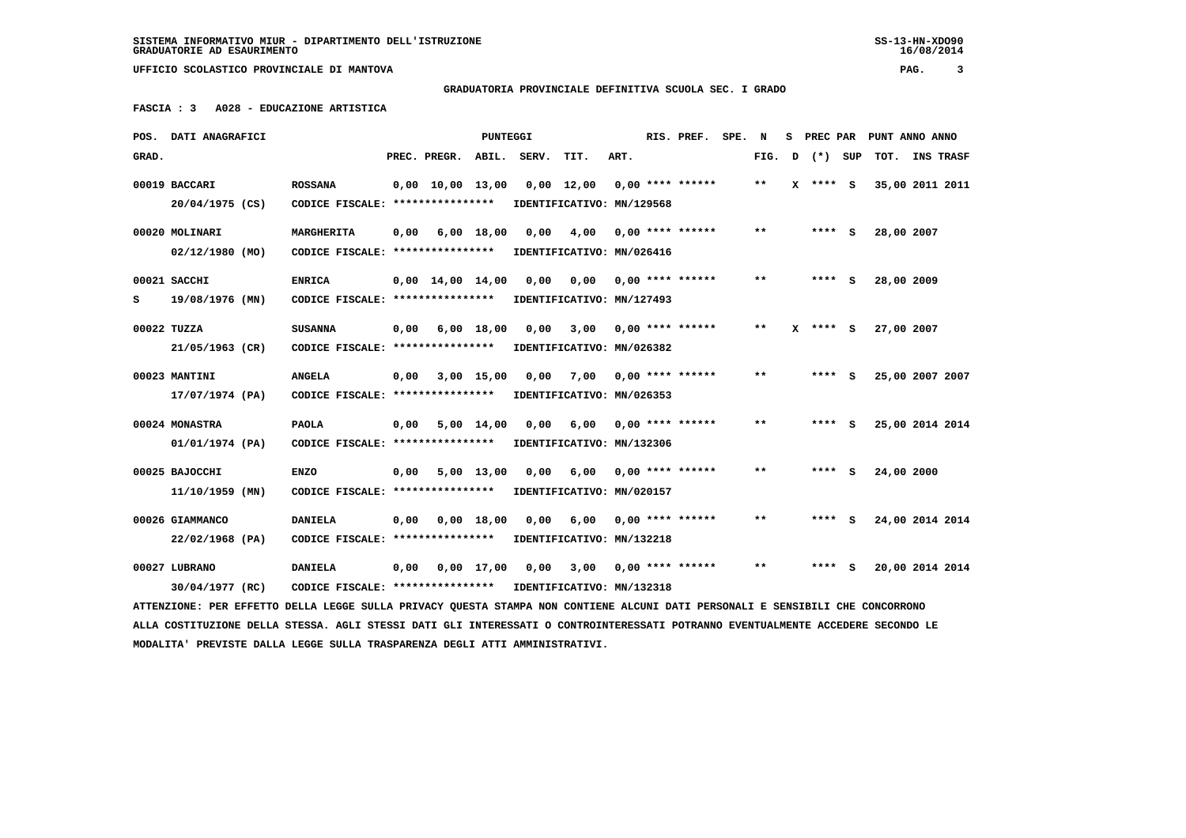**GRADUATORIA PROVINCIALE DEFINITIVA SCUOLA SEC. I GRADO**

 **FASCIA : 3 A028 - EDUCAZIONE ARTISTICA**

|       | POS. DATI ANAGRAFICI                                                                                                            |                                                            |      |                                | PUNTEGGI     |                           |                           |      | RIS. PREF.                | SPE. | N     |   |            | S PREC PAR PUNT ANNO ANNO |  |
|-------|---------------------------------------------------------------------------------------------------------------------------------|------------------------------------------------------------|------|--------------------------------|--------------|---------------------------|---------------------------|------|---------------------------|------|-------|---|------------|---------------------------|--|
| GRAD. |                                                                                                                                 |                                                            |      | PREC. PREGR. ABIL. SERV.       |              |                           | TIT.                      | ART. |                           |      | FIG.  | D | (*) SUP    | TOT. INS TRASF            |  |
|       | 00019 BACCARI                                                                                                                   | <b>ROSSANA</b>                                             |      | $0,00$ $10,00$ $13,00$         |              |                           | 0,00 12,00                |      | $0.00$ **** ******        |      | $***$ |   | $X$ **** S | 35,00 2011 2011           |  |
|       | 20/04/1975 (CS)                                                                                                                 | CODICE FISCALE: ****************                           |      |                                |              |                           | IDENTIFICATIVO: MN/129568 |      |                           |      |       |   |            |                           |  |
|       | 00020 MOLINARI                                                                                                                  | MARGHERITA                                                 | 0,00 |                                | 6,00 18,00   | 0,00                      | 4,00                      |      | $0.00$ **** ******        |      | $***$ |   | $***$ S    | 28,00 2007                |  |
|       | 02/12/1980 (MO)                                                                                                                 | CODICE FISCALE: *****************                          |      |                                |              | IDENTIFICATIVO: MN/026416 |                           |      |                           |      |       |   |            |                           |  |
|       |                                                                                                                                 |                                                            |      |                                |              |                           |                           |      |                           |      |       |   |            |                           |  |
|       | 00021 SACCHI                                                                                                                    | <b>ENRICA</b>                                              |      | $0,00 \quad 14,00 \quad 14,00$ |              | 0,00                      |                           |      | $0,00$ $0,00$ **** ****** |      | $***$ |   | $***$ S    | 28,00 2009                |  |
| s     | 19/08/1976 (MN)                                                                                                                 | CODICE FISCALE: ****************                           |      |                                |              |                           | IDENTIFICATIVO: MN/127493 |      |                           |      |       |   |            |                           |  |
|       | 00022 TUZZA                                                                                                                     | <b>SUSANNA</b>                                             | 0,00 | 6,00 18,00                     |              | 0.00                      | 3,00                      |      | $0.00$ **** ******        |      | $* *$ |   | $***$ S    | 27,00 2007                |  |
|       | 21/05/1963 (CR)                                                                                                                 | CODICE FISCALE: *****************                          |      |                                |              | IDENTIFICATIVO: MN/026382 |                           |      |                           |      |       |   |            |                           |  |
|       | 00023 MANTINI                                                                                                                   | <b>ANGELA</b>                                              | 0,00 | 3,00 15,00                     |              | 0,00                      | 7,00                      |      | $0.00$ **** ******        |      | $***$ |   | $***$ S    | 25,00 2007 2007           |  |
|       |                                                                                                                                 |                                                            |      |                                |              |                           |                           |      |                           |      |       |   |            |                           |  |
|       | 17/07/1974 (PA)                                                                                                                 | CODICE FISCALE: ****************                           |      |                                |              |                           | IDENTIFICATIVO: MN/026353 |      |                           |      |       |   |            |                           |  |
|       | 00024 MONASTRA                                                                                                                  | <b>PAOLA</b>                                               | 0,00 |                                | $5,00$ 14,00 | 0.00                      | 6,00                      |      | $0.00$ **** ******        |      | $* *$ |   | **** S     | 25,00 2014 2014           |  |
|       | 01/01/1974 (PA)                                                                                                                 | CODICE FISCALE: ****************                           |      |                                |              | IDENTIFICATIVO: MN/132306 |                           |      |                           |      |       |   |            |                           |  |
|       | 00025 BAJOCCHI                                                                                                                  | <b>ENZO</b>                                                | 0,00 |                                | $5,00$ 13,00 |                           | $0.00 \quad 6.00$         |      | $0.00$ **** ******        |      | $* *$ |   | **** S     | 24,00 2000                |  |
|       | 11/10/1959 (MN)                                                                                                                 | CODICE FISCALE: ****************                           |      |                                |              |                           | IDENTIFICATIVO: MN/020157 |      |                           |      |       |   |            |                           |  |
|       |                                                                                                                                 |                                                            |      |                                |              |                           |                           |      |                           |      |       |   |            |                           |  |
|       | 00026 GIAMMANCO                                                                                                                 | <b>DANIELA</b>                                             | 0,00 |                                | 0.00 18.00   | 0.00                      | 6,00                      |      | $0.00$ **** ******        |      | $* *$ |   | **** S     | 24,00 2014 2014           |  |
|       | 22/02/1968 (PA)                                                                                                                 | CODICE FISCALE: *****************                          |      |                                |              | IDENTIFICATIVO: MN/132218 |                           |      |                           |      |       |   |            |                           |  |
|       | 00027 LUBRANO                                                                                                                   | <b>DANIELA</b>                                             | 0,00 |                                | 0,00 17,00   |                           | $0,00$ $3,00$             |      | 0,00 **** ******          |      | $* *$ |   | **** S     | 20,00 2014 2014           |  |
|       | 30/04/1977 (RC)                                                                                                                 | CODICE FISCALE: **************** IDENTIFICATIVO: MN/132318 |      |                                |              |                           |                           |      |                           |      |       |   |            |                           |  |
|       | ATTENZIONE: PER EFFETTO DELLA LEGGE SULLA PRIVACY QUESTA STAMPA NON CONTIENE ALCUNI DATI PERSONALI E SENSIBILI CHE CONCORRONO   |                                                            |      |                                |              |                           |                           |      |                           |      |       |   |            |                           |  |
|       | ALLA COSTITUZIONE DELLA STESSA. AGLI STESSI DATI GLI INTERESSATI O CONTROINTERESSATI POTRANNO EVENTUALMENTE ACCEDERE SECONDO LE |                                                            |      |                                |              |                           |                           |      |                           |      |       |   |            |                           |  |
|       |                                                                                                                                 |                                                            |      |                                |              |                           |                           |      |                           |      |       |   |            |                           |  |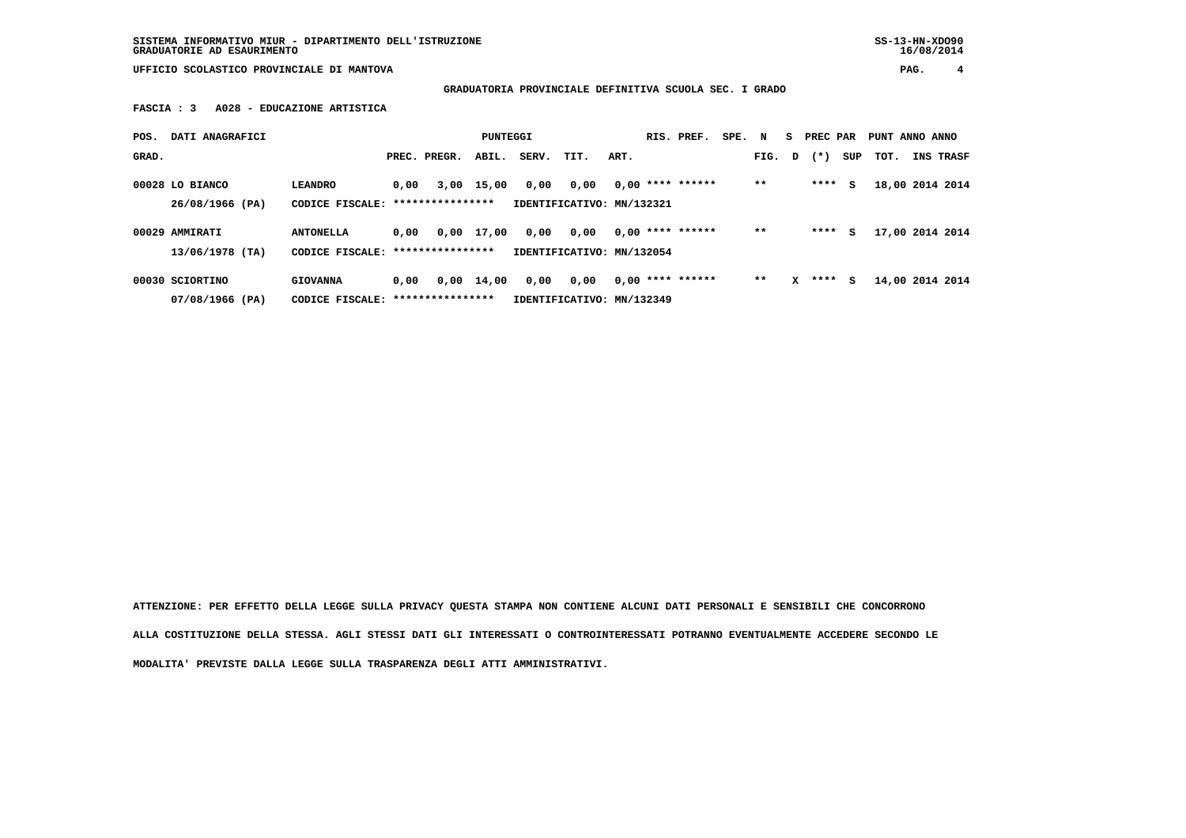**SISTEMA INFORMATIVO MIUR - DIPARTIMENTO DELL'ISTRUZIONE SS-13-HN-XDO90 GRADUATORIE AD ESAURIMENTO 16/08/2014**

 **UFFICIO SCOLASTICO PROVINCIALE DI MANTOVA PAG. 4**

 **GRADUATORIA PROVINCIALE DEFINITIVA SCUOLA SEC. I GRADO**

 **FASCIA : 3 A028 - EDUCAZIONE ARTISTICA**

| POS.  | DATI ANAGRAFICI                    |                                     |      |                  | <b>PUNTEGGI</b> |       |                                   |      | RIS. PREF.         | SPE. | N      | S. | PREC PAR |     | PUNT ANNO ANNO |                 |
|-------|------------------------------------|-------------------------------------|------|------------------|-----------------|-------|-----------------------------------|------|--------------------|------|--------|----|----------|-----|----------------|-----------------|
| GRAD. |                                    |                                     |      | PREC. PREGR.     | ABIL.           | SERV. | TIT.                              | ART. |                    |      | FIG. D |    | $(*)$    | SUP | тот.           | INS TRASF       |
|       | 00028 LO BIANCO<br>26/08/1966 (PA) | <b>LEANDRO</b><br>CODICE FISCALE:   | 0,00 | **************** | 3,00 15,00      | 0,00  | 0,00<br>IDENTIFICATIVO: MN/132321 |      | $0,00$ **** ****** |      | $* *$  |    | ****     | s   |                | 18,00 2014 2014 |
|       | 00029 AMMIRATI<br>13/06/1978 (TA)  | <b>ANTONELLA</b><br>CODICE FISCALE: | 0,00 | **************** | 0,00 17,00      | 0,00  | 0,00<br>IDENTIFICATIVO: MN/132054 |      | $0.00$ **** ****** |      | $***$  |    | ****     | s   |                | 17,00 2014 2014 |
|       | 00030 SCIORTINO<br>07/08/1966 (PA) | <b>GIOVANNA</b><br>CODICE FISCALE:  | 0.00 | **************** | $0,00$ 14,00    | 0,00  | 0,00<br>IDENTIFICATIVO: MN/132349 |      | $0,00$ **** ****** |      | $* *$  | x  | ****     | s   |                | 14,00 2014 2014 |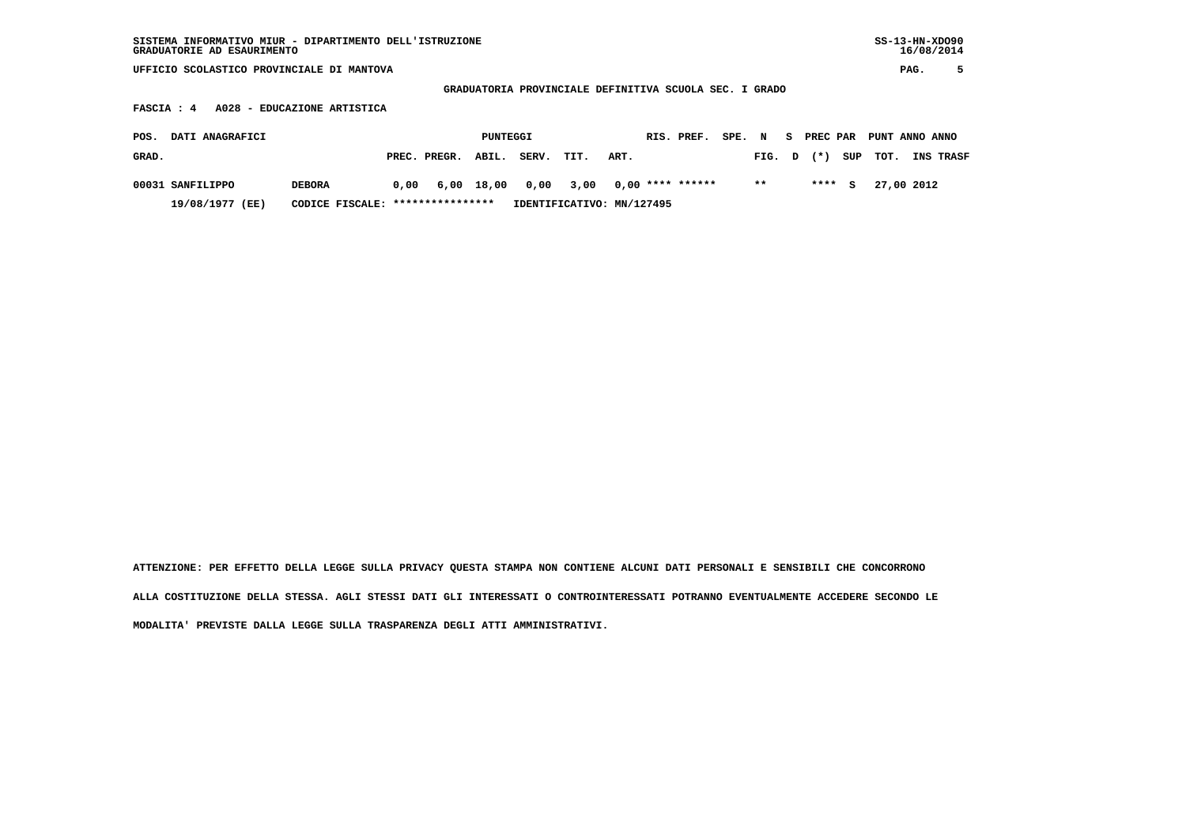| SISTEMA INFORMATIVO MIUR - DIPARTIMENTO DELL'ISTRUZIONE | $SS-13-HN-XDO90$ |
|---------------------------------------------------------|------------------|
| GRADUATORIE AD ESAURIMENTO                              | 16/08/2014       |

 **GRADUATORIA PROVINCIALE DEFINITIVA SCUOLA SEC. I GRADO**

 **FASCIA : 4 A028 - EDUCAZIONE ARTISTICA**

| POS.  | <b>DATI ANAGRAFICI</b> |                                  |                                         | PUNTEGGI |       |      |                           | RIS. PREF. SPE. N S PREC PAR PUNT ANNO ANNO |        |        |            |                  |
|-------|------------------------|----------------------------------|-----------------------------------------|----------|-------|------|---------------------------|---------------------------------------------|--------|--------|------------|------------------|
| GRAD. |                        |                                  | PREC. PREGR. ABIL.                      |          | SERV. | TIT. | ART.                      |                                             | FIG. D | $(* )$ | SUP TOT.   | <b>INS TRASF</b> |
|       | 00031 SANFILIPPO       | <b>DEBORA</b>                    | $0.00 \t 6.00 \t 18.00 \t 0.00 \t 3.00$ |          |       |      | 0,00 **** ******          |                                             | $* *$  | $***5$ | 27,00 2012 |                  |
|       | 19/08/1977 (EE)        | CODICE FISCALE: **************** |                                         |          |       |      | IDENTIFICATIVO: MN/127495 |                                             |        |        |            |                  |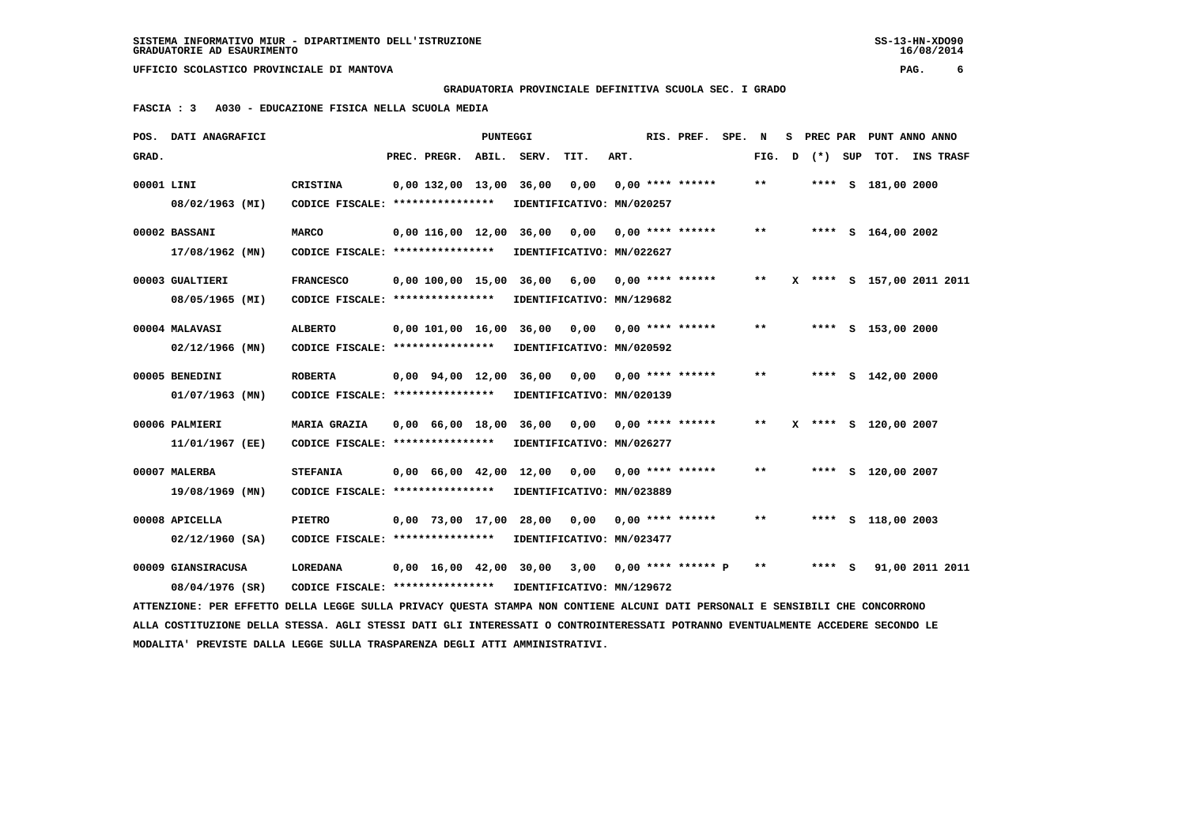**GRADUATORIA PROVINCIALE DEFINITIVA SCUOLA SEC. I GRADO**

 **FASCIA : 3 A030 - EDUCAZIONE FISICA NELLA SCUOLA MEDIA**

|            | POS. DATI ANAGRAFICI                                                                                                            |                                   |                                            | PUNTEGGI |                           |      |      | RIS. PREF.           | SPE. | N     | s | PREC PAR |          | PUNT ANNO ANNO            |                 |  |
|------------|---------------------------------------------------------------------------------------------------------------------------------|-----------------------------------|--------------------------------------------|----------|---------------------------|------|------|----------------------|------|-------|---|----------|----------|---------------------------|-----------------|--|
| GRAD.      |                                                                                                                                 |                                   | PREC. PREGR.                               | ABIL.    | SERV.                     | TIT. | ART. |                      |      | FIG.  | D | $(*)$    | SUP      | тот.                      | INS TRASF       |  |
| 00001 LINI |                                                                                                                                 | <b>CRISTINA</b>                   | 0,00 132,00 13,00                          |          | 36,00                     | 0,00 |      | $0.00$ **** ******   |      | $***$ |   |          |          | **** S 181,00 2000        |                 |  |
|            | 08/02/1963 (MI)                                                                                                                 | CODICE FISCALE: ***************** |                                            |          | IDENTIFICATIVO: MN/020257 |      |      |                      |      |       |   |          |          |                           |                 |  |
|            | 00002 BASSANI                                                                                                                   | <b>MARCO</b>                      |                                            |          | 0,00 116,00 12,00 36,00   | 0,00 |      | $0.00$ **** ******   |      | $* *$ |   |          |          | **** S 164,00 2002        |                 |  |
|            | 17/08/1962 (MN)                                                                                                                 | CODICE FISCALE: ****************  |                                            |          | IDENTIFICATIVO: MN/022627 |      |      |                      |      |       |   |          |          |                           |                 |  |
|            | 00003 GUALTIERI                                                                                                                 | <b>FRANCESCO</b>                  | 0,00 100,00 15,00                          |          | 36,00                     | 6,00 |      | $0.00$ **** ******   |      | $***$ |   |          |          | X **** S 157,00 2011 2011 |                 |  |
|            | 08/05/1965 (MI)                                                                                                                 | CODICE FISCALE: ***************** |                                            |          | IDENTIFICATIVO: MN/129682 |      |      |                      |      |       |   |          |          |                           |                 |  |
|            |                                                                                                                                 |                                   |                                            |          |                           |      |      |                      |      |       |   |          |          |                           |                 |  |
|            | 00004 MALAVASI                                                                                                                  | <b>ALBERTO</b>                    | 0,00 101,00 16,00 36,00                    |          |                           | 0.00 |      | $0.00$ **** ******   |      | $**$  |   |          |          | **** S 153,00 2000        |                 |  |
|            | $02/12/1966$ (MN)                                                                                                               | CODICE FISCALE: ****************  |                                            |          | IDENTIFICATIVO: MN/020592 |      |      |                      |      |       |   |          |          |                           |                 |  |
|            | 00005 BENEDINI                                                                                                                  | <b>ROBERTA</b>                    | $0.00$ $94.00$ $12.00$                     |          | 36,00                     | 0,00 |      | $0.00$ **** ******   |      | $* *$ |   | ****     | <b>S</b> | 142,00 2000               |                 |  |
|            | $01/07/1963$ (MN)                                                                                                               | CODICE FISCALE: ****************  |                                            |          | IDENTIFICATIVO: MN/020139 |      |      |                      |      |       |   |          |          |                           |                 |  |
|            | 00006 PALMIERI                                                                                                                  | MARIA GRAZIA                      |                                            |          | 0,00 66,00 18,00 36,00    | 0,00 |      | 0,00 **** ******     |      | $* *$ |   |          |          | X **** S 120,00 2007      |                 |  |
|            | 11/01/1967 (EE)                                                                                                                 | CODICE FISCALE: ****************  |                                            |          | IDENTIFICATIVO: MN/026277 |      |      |                      |      |       |   |          |          |                           |                 |  |
|            | 00007 MALERBA                                                                                                                   | <b>STEFANIA</b>                   | $0.00 \quad 66.00 \quad 42.00 \quad 12.00$ |          |                           | 0.00 |      | $0.00$ **** ******   |      | * *   |   |          |          | **** S 120,00 2007        |                 |  |
|            | 19/08/1969 (MN)                                                                                                                 | CODICE FISCALE: ****************  |                                            |          | IDENTIFICATIVO: MN/023889 |      |      |                      |      |       |   |          |          |                           |                 |  |
|            |                                                                                                                                 |                                   |                                            |          |                           |      |      |                      |      |       |   |          |          |                           |                 |  |
|            | 00008 APICELLA                                                                                                                  | <b>PIETRO</b>                     | 0,00 73,00 17,00                           |          | 28,00                     | 0,00 |      | $0.00$ **** ******   |      | $* *$ |   |          |          | **** S 118,00 2003        |                 |  |
|            | $02/12/1960$ (SA)                                                                                                               | CODICE FISCALE: ****************  |                                            |          | IDENTIFICATIVO: MN/023477 |      |      |                      |      |       |   |          |          |                           |                 |  |
|            |                                                                                                                                 |                                   |                                            |          |                           |      |      |                      |      | $* *$ |   | $***$ S  |          |                           |                 |  |
|            | 00009 GIANSIRACUSA                                                                                                              | <b>LOREDANA</b>                   |                                            |          | 0,00 16,00 42,00 30,00    | 3,00 |      | $0.00$ **** ****** P |      |       |   |          |          |                           | 91,00 2011 2011 |  |
|            | 08/04/1976 (SR)                                                                                                                 | CODICE FISCALE: ****************  |                                            |          | IDENTIFICATIVO: MN/129672 |      |      |                      |      |       |   |          |          |                           |                 |  |
|            | ATTENZIONE: PER EFFETTO DELLA LEGGE SULLA PRIVACY OUESTA STAMPA NON CONTIENE ALCUNI DATI PERSONALI E SENSIBILI CHE CONCORRONO   |                                   |                                            |          |                           |      |      |                      |      |       |   |          |          |                           |                 |  |
|            | ALLA COSTITUZIONE DELLA STESSA. AGLI STESSI DATI GLI INTERESSATI O CONTROINTERESSATI POTRANNO EVENTUALMENTE ACCEDERE SECONDO LE |                                   |                                            |          |                           |      |      |                      |      |       |   |          |          |                           |                 |  |
|            | MODALITA' PREVISTE DALLA LEGGE SULLA TRASPARENZA DEGLI ATTI AMMINISTRATIVI.                                                     |                                   |                                            |          |                           |      |      |                      |      |       |   |          |          |                           |                 |  |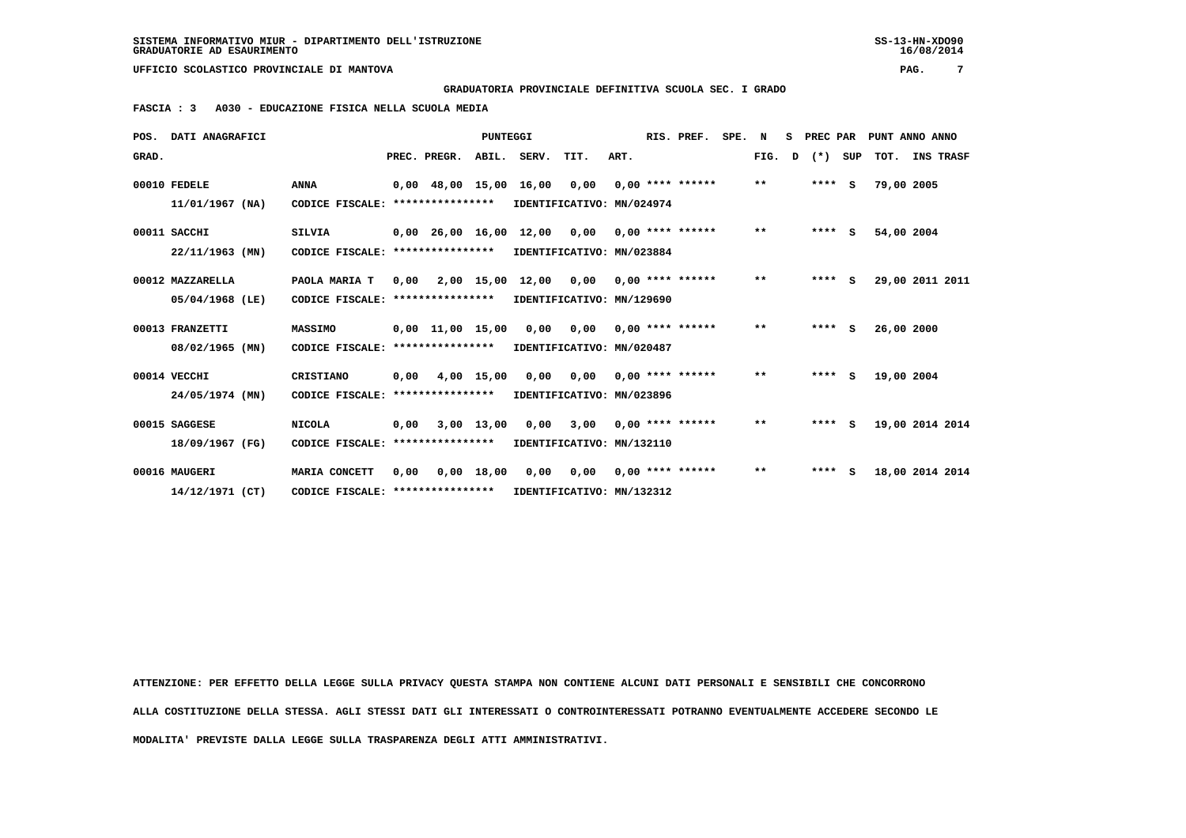**GRADUATORIA PROVINCIALE DEFINITIVA SCUOLA SEC. I GRADO**

 **FASCIA : 3 A030 - EDUCAZIONE FISICA NELLA SCUOLA MEDIA**

|       | POS. DATI ANAGRAFICI |                                                            |      |                  | <b>PUNTEGGI</b> |                                                              |                           |      | RIS. PREF. | SPE. N |        | S. | PREC PAR  |            | PUNT ANNO ANNO         |
|-------|----------------------|------------------------------------------------------------|------|------------------|-----------------|--------------------------------------------------------------|---------------------------|------|------------|--------|--------|----|-----------|------------|------------------------|
| GRAD. |                      |                                                            |      |                  |                 | PREC. PREGR. ABIL. SERV. TIT.                                |                           | ART. |            |        | FIG. D |    |           |            | (*) SUP TOT. INS TRASF |
|       | 00010 FEDELE         | <b>ANNA</b>                                                |      |                  |                 | 0,00 48,00 15,00 16,00 0,00 0,00 **** ******                 |                           |      |            |        | $***$  |    | $***$ S   | 79,00 2005 |                        |
|       | 11/01/1967 (NA)      | CODICE FISCALE: ****************                           |      |                  |                 | IDENTIFICATIVO: MN/024974                                    |                           |      |            |        |        |    |           |            |                        |
|       | 00011 SACCHI         | SILVIA                                                     |      |                  |                 | $0,00$ 26,00 16,00 12,00 0,00 0,00 **** ******               |                           |      |            |        | $***$  |    | $***$ $S$ | 54,00 2004 |                        |
|       | 22/11/1963 (MN)      | CODICE FISCALE: ****************                           |      |                  |                 |                                                              | IDENTIFICATIVO: MN/023884 |      |            |        |        |    |           |            |                        |
|       | 00012 MAZZARELLA     | PAOLA MARIA T                                              |      |                  |                 | $0,00$ 2,00 15,00 12,00 0,00 0,00 **** ******                |                           |      |            |        | $***$  |    | $***$ S   |            | 29,00 2011 2011        |
|       | 05/04/1968 (LE)      | CODICE FISCALE: ****************                           |      |                  |                 |                                                              | IDENTIFICATIVO: MN/129690 |      |            |        |        |    |           |            |                        |
|       | 00013 FRANZETTI      | <b>MASSIMO</b>                                             |      |                  |                 | 0,00 11,00 15,00 0,00 0,00 0,00 **** ******                  |                           |      |            |        | $* *$  |    | $***5$    | 26,00 2000 |                        |
|       | 08/02/1965 (MN)      | CODICE FISCALE:                                            |      | **************** |                 |                                                              | IDENTIFICATIVO: MN/020487 |      |            |        |        |    |           |            |                        |
|       | 00014 VECCHI         | CRISTIANO                                                  |      |                  |                 | 0,00 4,00 15,00 0,00 0,00 0,00 **** ******                   |                           |      |            |        | $***$  |    | $***$ S   | 19,00 2004 |                        |
|       | 24/05/1974 (MN)      | CODICE FISCALE: ****************                           |      |                  |                 |                                                              | IDENTIFICATIVO: MN/023896 |      |            |        |        |    |           |            |                        |
|       | 00015 SAGGESE        | <b>NICOLA</b>                                              |      |                  |                 | $0.00$ $3.00$ $13.00$ $0.00$ $3.00$ $0.00$ $***$ $***$ $***$ |                           |      |            |        | $***$  |    | $***$ S   |            | 19,00 2014 2014        |
|       | 18/09/1967 (FG)      | CODICE FISCALE: ****************                           |      |                  |                 |                                                              | IDENTIFICATIVO: MN/132110 |      |            |        |        |    |           |            |                        |
|       | 00016 MAUGERI        | MARIA CONCETT                                              | 0,00 |                  |                 | 0,00 18,00 0,00 0,00 0,00 **** ******                        |                           |      |            |        | $***$  |    | $***$ S   |            | 18,00 2014 2014        |
|       | 14/12/1971 (CT)      | CODICE FISCALE: **************** IDENTIFICATIVO: MN/132312 |      |                  |                 |                                                              |                           |      |            |        |        |    |           |            |                        |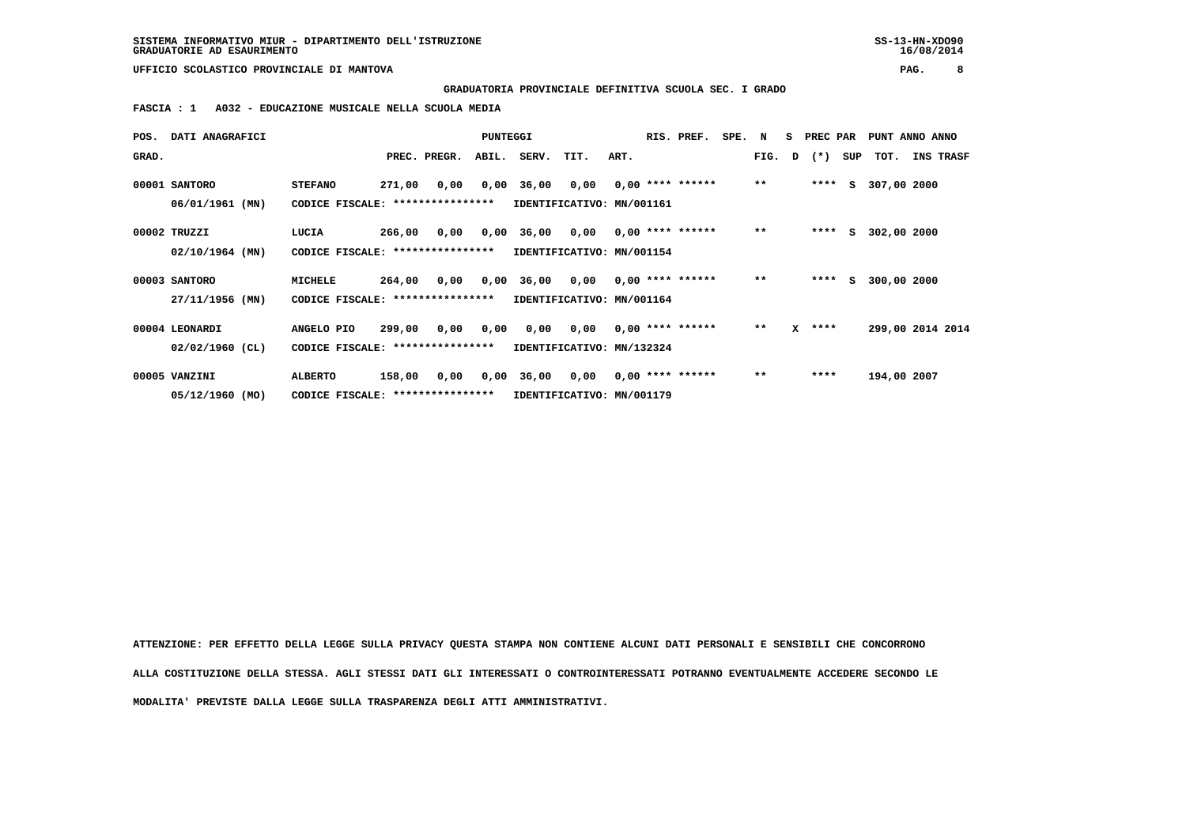**GRADUATORIA PROVINCIALE DEFINITIVA SCUOLA SEC. I GRADO**

 **FASCIA : 1 A032 - EDUCAZIONE MUSICALE NELLA SCUOLA MEDIA**

| POS.  | DATI ANAGRAFICI   |                                   |                                  |              | PUNTEGGI  |                                                       |                                        |      | RIS. PREF.       | SPE. N |       | S PREC PAR     |     | PUNT ANNO ANNO   |           |  |
|-------|-------------------|-----------------------------------|----------------------------------|--------------|-----------|-------------------------------------------------------|----------------------------------------|------|------------------|--------|-------|----------------|-----|------------------|-----------|--|
| GRAD. |                   |                                   |                                  | PREC. PREGR. |           | ABIL. SERV.                                           | TIT.                                   | ART. |                  |        |       | FIG. $D$ $(*)$ | SUP | тот.             | INS TRASF |  |
|       | 00001 SANTORO     | <b>STEFANO</b>                    | 271,00                           |              |           | $0,00$ $0,00$ $36,00$ $0,00$ $0,00$ $***$ **** ****** |                                        |      |                  |        | $***$ | ****           |     | S 307,00 2000    |           |  |
|       | 06/01/1961 (MN)   | CODICE FISCALE: ***************** |                                  |              |           |                                                       | IDENTIFICATIVO: MN/001161              |      |                  |        |       |                |     |                  |           |  |
|       | 00002 TRUZZI      | LUCIA                             | 266,00                           | 0,00         |           | 0,00 36,00 0,00 0,00 **** ******                      |                                        |      |                  |        | $* *$ | ****           | S.  | 302,00 2000      |           |  |
|       | $02/10/1964$ (MN) |                                   | CODICE FISCALE: **************** |              |           |                                                       | IDENTIFICATIVO: MN/001154              |      |                  |        |       |                |     |                  |           |  |
|       | 00003 SANTORO     | MICHELE                           | 264,00                           |              |           | $0,00$ $0,00$ $36,00$ $0,00$ $0,00$ $***$ **** ****** |                                        |      |                  |        | $***$ | ****           | S.  | 300,00 2000      |           |  |
|       | 27/11/1956 (MN)   | CODICE FISCALE: ***************** |                                  |              |           |                                                       | IDENTIFICATIVO: MN/001164              |      |                  |        |       |                |     |                  |           |  |
|       | 00004 LEONARDI    | ANGELO PIO                        | 299,00                           |              | 0,00 0,00 |                                                       | $0,00$ $0,00$ $0,00$ $***$ **** ****** |      |                  |        | $***$ | $X$ ****       |     | 299,00 2014 2014 |           |  |
|       | $02/02/1960$ (CL) | CODICE FISCALE: ****************  |                                  |              |           |                                                       | IDENTIFICATIVO: MN/132324              |      |                  |        |       |                |     |                  |           |  |
|       | 00005 VANZINI     | <b>ALBERTO</b>                    | 158,00                           | 0,00         |           | 0,00 36,00 0,00                                       |                                        |      | 0,00 **** ****** |        | $***$ | ****           |     | 194,00 2007      |           |  |
|       | 05/12/1960 (MO)   | CODICE FISCALE: ***************** |                                  |              |           | IDENTIFICATIVO: MN/001179                             |                                        |      |                  |        |       |                |     |                  |           |  |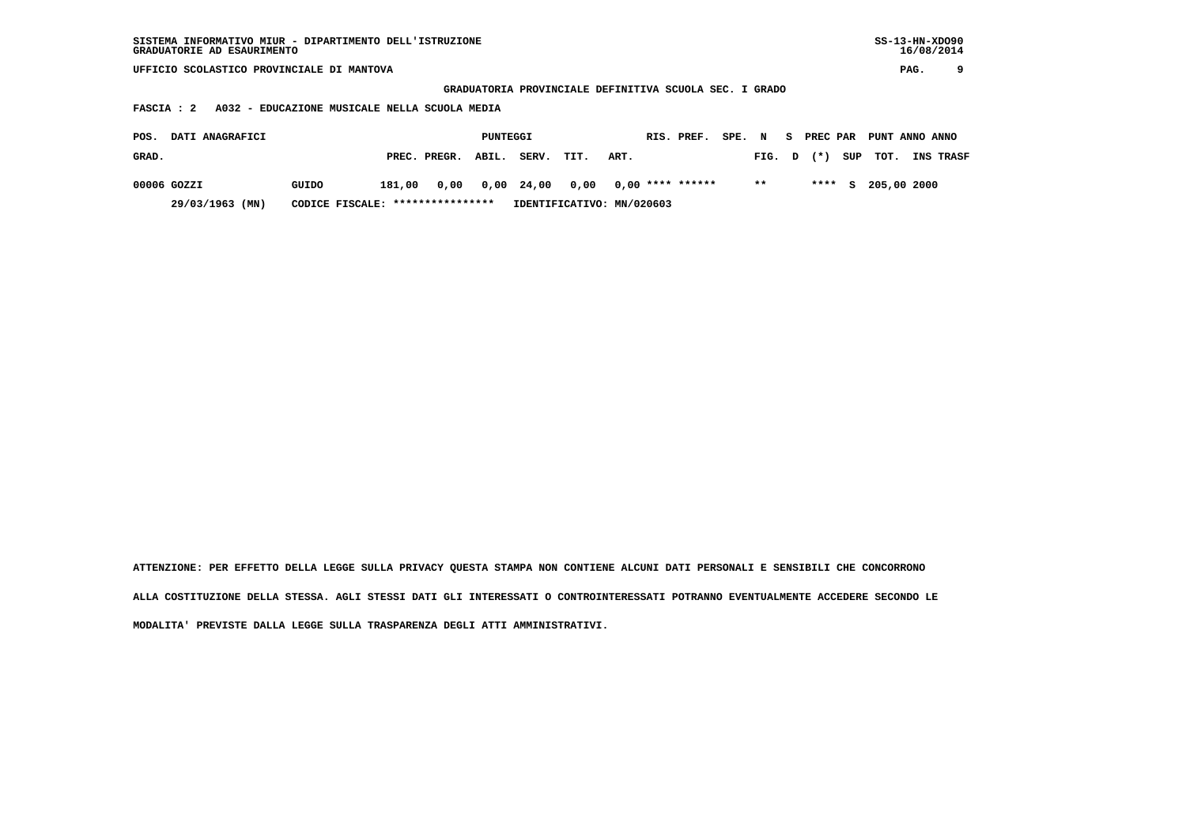| SISTEMA INFORMATIVO MIUR - DIPARTIMENTO DELL'ISTRUZIONE | $SS-13-HN-XDO90$ |
|---------------------------------------------------------|------------------|
| GRADUATORIE AD ESAURIMENTO                              | 16/08/2014       |

 **GRADUATORIA PROVINCIALE DEFINITIVA SCUOLA SEC. I GRADO**

 **FASCIA : 2 A032 - EDUCAZIONE MUSICALE NELLA SCUOLA MEDIA**

| POS.        | <b>DATI ANAGRAFICI</b>                              |       |        |                                       | PUNTEGGI |                           |      |      | RIS. PREF. | SPE. N |        | 5. | <b>PREC PAR</b> | PUNT ANNO ANNO       |                  |
|-------------|-----------------------------------------------------|-------|--------|---------------------------------------|----------|---------------------------|------|------|------------|--------|--------|----|-----------------|----------------------|------------------|
| GRAD.       |                                                     |       |        | PREC. PREGR.                          | ABIL.    | SERV.                     | TIT. | ART. |            |        | FIG. D |    | $(*)$           | SUP TOT.             | <b>INS TRASF</b> |
| 00006 GOZZI |                                                     | GUIDO | 181,00 | 0,00 0,00 24,00 0,00 0,00 **** ****** |          |                           |      |      |            |        | $* *$  |    |                 | **** $S$ 205,00 2000 |                  |
|             | 29/03/1963 (MN)<br>CODICE FISCALE: **************** |       |        |                                       |          | IDENTIFICATIVO: MN/020603 |      |      |            |        |        |    |                 |                      |                  |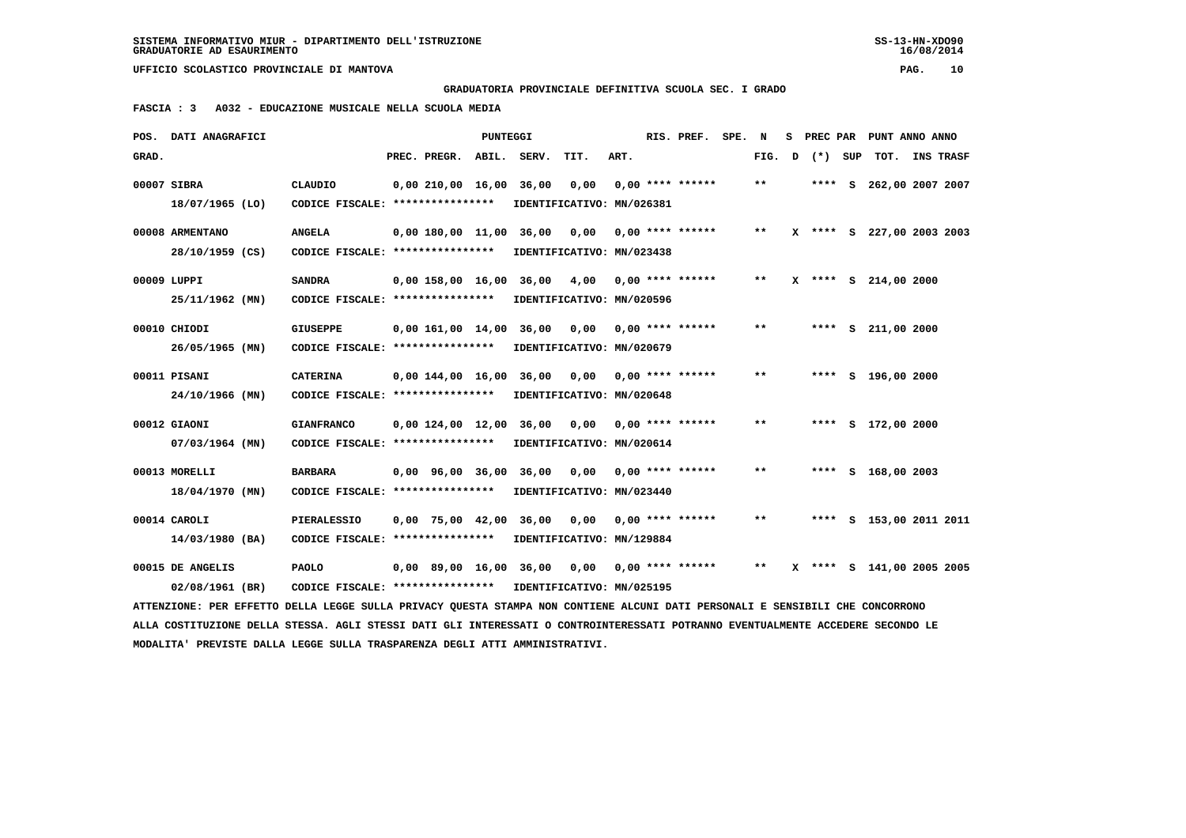**GRADUATORIA PROVINCIALE DEFINITIVA SCUOLA SEC. I GRADO**

 **FASCIA : 3 A032 - EDUCAZIONE MUSICALE NELLA SCUOLA MEDIA**

|       | POS. DATI ANAGRAFICI                                                                                                            |                                   |                         | PUNTEGGI |                           |                                   |      | RIS. PREF. SPE.    | N     | s | PREC PAR | PUNT ANNO ANNO            |                  |
|-------|---------------------------------------------------------------------------------------------------------------------------------|-----------------------------------|-------------------------|----------|---------------------------|-----------------------------------|------|--------------------|-------|---|----------|---------------------------|------------------|
| GRAD. |                                                                                                                                 |                                   | PREC. PREGR.            |          | ABIL. SERV.               | TIT.                              | ART. |                    | FIG.  | D | (*) SUP  | TOT.                      | <b>INS TRASF</b> |
|       | 00007 SIBRA                                                                                                                     | CLAUDIO                           | 0.00210.0016.00         |          | 36,00                     | 0,00                              |      | $0.00$ **** ****** | $* *$ |   |          | **** S 262,00 2007 2007   |                  |
|       | 18/07/1965 (LO)                                                                                                                 | CODICE FISCALE: ***************** |                         |          |                           | IDENTIFICATIVO: MN/026381         |      |                    |       |   |          |                           |                  |
|       | 00008 ARMENTANO                                                                                                                 | <b>ANGELA</b>                     | 0,00 180,00 11,00 36,00 |          |                           | 0,00                              |      | $0.00$ **** ****** | $***$ |   |          | X **** S 227,00 2003 2003 |                  |
|       | 28/10/1959 (CS)                                                                                                                 | CODICE FISCALE: ****************  |                         |          |                           | IDENTIFICATIVO: MN/023438         |      |                    |       |   |          |                           |                  |
|       | 00009 LUPPI                                                                                                                     | <b>SANDRA</b>                     | 0,00 158,00 16,00       |          | 36,00                     | 4,00                              |      | $0,00$ **** ****** | **    | x |          | **** S 214,00 2000        |                  |
|       | 25/11/1962 (MN)                                                                                                                 | CODICE FISCALE: ****************  |                         |          |                           | IDENTIFICATIVO: MN/020596         |      |                    |       |   |          |                           |                  |
|       | 00010 CHIODI                                                                                                                    | <b>GIUSEPPE</b>                   | 0,00 161,00 14,00 36,00 |          |                           | 0,00                              |      | $0.00$ **** ****** | $* *$ |   |          | **** S 211,00 2000        |                  |
|       | 26/05/1965 (MN)                                                                                                                 | CODICE FISCALE: ****************  |                         |          |                           | IDENTIFICATIVO: MN/020679         |      |                    |       |   |          |                           |                  |
|       | 00011 PISANI                                                                                                                    | <b>CATERINA</b>                   | 0.00144.0016.00         |          | 36,00                     | 0.00                              |      | $0.00$ **** ****** | $* *$ |   |          | **** S 196,00 2000        |                  |
|       | 24/10/1966 (MN)                                                                                                                 | CODICE FISCALE: ****************  |                         |          |                           | IDENTIFICATIVO: MN/020648         |      |                    |       |   |          |                           |                  |
|       | 00012 GIAONI                                                                                                                    | <b>GIANFRANCO</b>                 | $0,00$ 124,00 12,00     |          | 36,00                     | 0,00                              |      | $0.00$ **** ****** | $* *$ |   |          | **** S 172,00 2000        |                  |
|       | $07/03/1964$ (MN)                                                                                                               | CODICE FISCALE: ****************  |                         |          |                           | IDENTIFICATIVO: MN/020614         |      |                    |       |   |          |                           |                  |
|       | 00013 MORELLI                                                                                                                   | <b>BARBARA</b>                    |                         |          |                           |                                   |      | $0.00$ **** ****** | $***$ |   |          |                           |                  |
|       | 18/04/1970 (MN)                                                                                                                 | CODICE FISCALE: ****************  | 0,00 96,00 36,00 36,00  |          |                           | 0,00<br>IDENTIFICATIVO: MN/023440 |      |                    |       |   |          | **** S 168,00 2003        |                  |
|       |                                                                                                                                 |                                   |                         |          |                           |                                   |      |                    |       |   |          |                           |                  |
|       | 00014 CAROLI                                                                                                                    | <b>PIERALESSIO</b>                | $0,00$ 75,00 42,00      |          | 36,00                     | 0,00                              |      | $0.00$ **** ****** | $* *$ |   |          | **** S 153,00 2011 2011   |                  |
|       | 14/03/1980 (BA)                                                                                                                 | CODICE FISCALE: ***************** |                         |          |                           | IDENTIFICATIVO: MN/129884         |      |                    |       |   |          |                           |                  |
|       | 00015 DE ANGELIS                                                                                                                | <b>PAOLO</b>                      | 0,00 89,00 16,00 36,00  |          |                           | 0,00                              |      | $0,00$ **** ****** | $***$ |   |          | X **** S 141,00 2005 2005 |                  |
|       | 02/08/1961 (BR)                                                                                                                 | CODICE FISCALE: ***************** |                         |          | IDENTIFICATIVO: MN/025195 |                                   |      |                    |       |   |          |                           |                  |
|       | ATTENZIONE: PER EFFETTO DELLA LEGGE SULLA PRIVACY QUESTA STAMPA NON CONTIENE ALCUNI DATI PERSONALI E SENSIBILI CHE CONCORRONO   |                                   |                         |          |                           |                                   |      |                    |       |   |          |                           |                  |
|       | ALLA COSTITUZIONE DELLA STESSA. AGLI STESSI DATI GLI INTERESSATI O CONTROINTERESSATI POTRANNO EVENTUALMENTE ACCEDERE SECONDO LE |                                   |                         |          |                           |                                   |      |                    |       |   |          |                           |                  |
|       | MODALITA' PREVISTE DALLA LEGGE SULLA TRASPARENZA DEGLI ATTI AMMINISTRATIVI.                                                     |                                   |                         |          |                           |                                   |      |                    |       |   |          |                           |                  |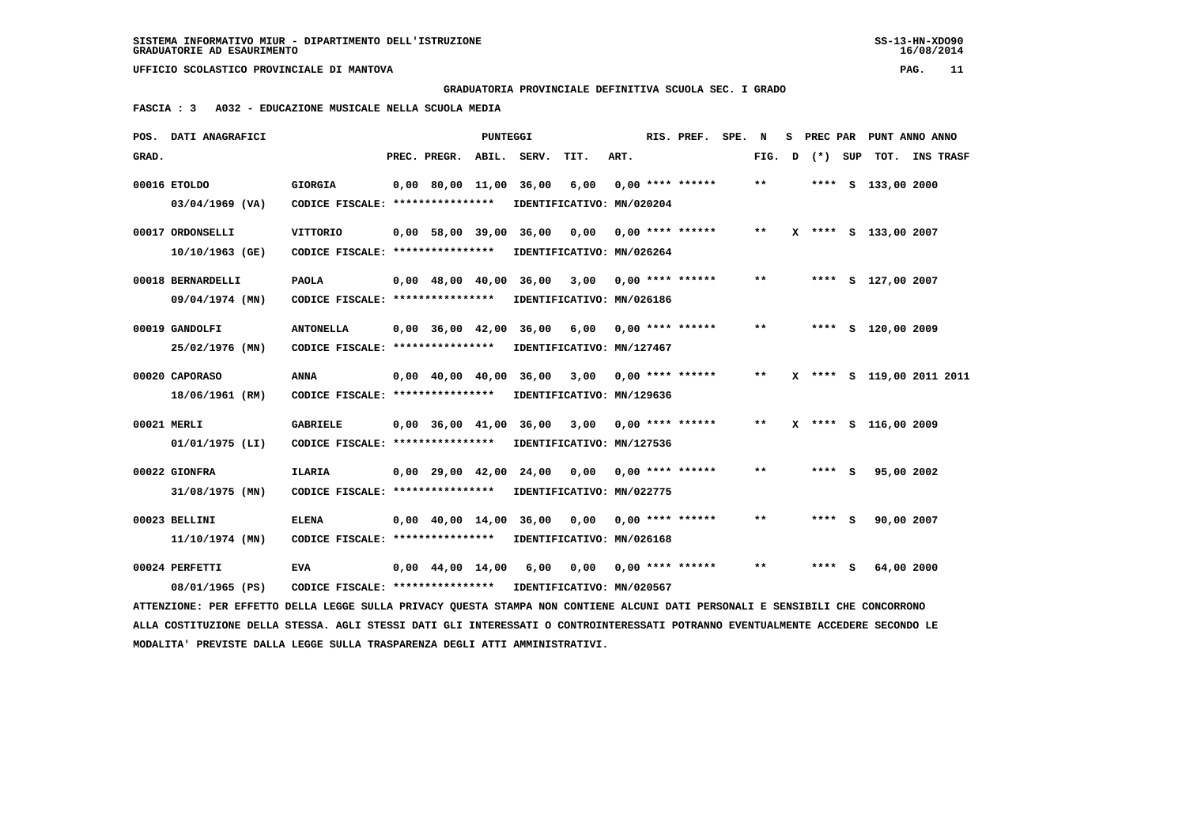**GRADUATORIA PROVINCIALE DEFINITIVA SCUOLA SEC. I GRADO**

 **FASCIA : 3 A032 - EDUCAZIONE MUSICALE NELLA SCUOLA MEDIA**

|       | POS. DATI ANAGRAFICI                                                                                                            |                                                            |                                            | PUNTEGGI |      |                                                |      | RIS. PREF. SPE. N  |       |   |         | S PREC PAR PUNT ANNO ANNO |                  |  |
|-------|---------------------------------------------------------------------------------------------------------------------------------|------------------------------------------------------------|--------------------------------------------|----------|------|------------------------------------------------|------|--------------------|-------|---|---------|---------------------------|------------------|--|
| GRAD. |                                                                                                                                 |                                                            | PREC. PREGR. ABIL. SERV.                   |          |      | TIT.                                           | ART. |                    | FIG.  | D | (*) SUP | тот.                      | <b>INS TRASF</b> |  |
|       | 00016 ETOLDO                                                                                                                    | <b>GIORGIA</b>                                             | 0,00 80,00 11,00 36,00                     |          |      | 6,00                                           |      | $0.00$ **** ****** | $***$ |   |         | **** S 133,00 2000        |                  |  |
|       | $03/04/1969$ (VA)                                                                                                               | CODICE FISCALE: ****************                           |                                            |          |      | IDENTIFICATIVO: MN/020204                      |      |                    |       |   |         |                           |                  |  |
|       | 00017 ORDONSELLI                                                                                                                | <b>VITTORIO</b>                                            | 0,00 58,00 39,00 36,00                     |          |      | 0,00                                           |      | $0.00$ **** ****** | $* *$ |   |         | X **** S 133,00 2007      |                  |  |
|       | 10/10/1963 (GE)                                                                                                                 | CODICE FISCALE: ****************                           |                                            |          |      | IDENTIFICATIVO: MN/026264                      |      |                    |       |   |         |                           |                  |  |
|       | 00018 BERNARDELLI                                                                                                               | <b>PAOLA</b>                                               |                                            |          |      | 0,00 48,00 40,00 36,00 3,00 0,00 **** ******   |      |                    | $* *$ |   |         | **** S 127,00 2007        |                  |  |
|       | 09/04/1974 (MN)                                                                                                                 | CODICE FISCALE: ****************                           |                                            |          |      | IDENTIFICATIVO: MN/026186                      |      |                    |       |   |         |                           |                  |  |
|       | 00019 GANDOLFI                                                                                                                  | <b>ANTONELLA</b>                                           |                                            |          |      | 0,00 36,00 42,00 36,00 6,00                    |      | 0,00 **** ******   | $***$ |   |         | **** S 120,00 2009        |                  |  |
|       | 25/02/1976 (MN)                                                                                                                 | CODICE FISCALE: *****************                          |                                            |          |      | IDENTIFICATIVO: MN/127467                      |      |                    |       |   |         |                           |                  |  |
|       | 00020 CAPORASO                                                                                                                  | <b>ANNA</b>                                                |                                            |          |      | $0,00$ 40,00 40,00 36,00 3,00 0,00 **** ****** |      |                    | $***$ |   |         | X **** S 119,00 2011 2011 |                  |  |
|       | 18/06/1961 (RM)                                                                                                                 | CODICE FISCALE: **************** IDENTIFICATIVO: MN/129636 |                                            |          |      |                                                |      |                    |       |   |         |                           |                  |  |
|       | 00021 MERLI                                                                                                                     | <b>GABRIELE</b>                                            |                                            |          |      | 0,00 36,00 41,00 36,00 3,00                    |      | $0.00$ **** ****** | $* *$ |   |         | X **** S 116,00 2009      |                  |  |
|       | $01/01/1975$ (LI)                                                                                                               | CODICE FISCALE: ****************                           |                                            |          |      | IDENTIFICATIVO: MN/127536                      |      |                    |       |   |         |                           |                  |  |
|       | 00022 GIONFRA                                                                                                                   | ILARIA                                                     | $0.00 \quad 29.00 \quad 42.00 \quad 24.00$ |          |      | 0.00                                           |      | 0,00 **** ******   | $* *$ |   | **** S  |                           | 95,00 2002       |  |
|       | 31/08/1975 (MN)                                                                                                                 | CODICE FISCALE: ****************                           |                                            |          |      | IDENTIFICATIVO: MN/022775                      |      |                    |       |   |         |                           |                  |  |
|       | 00023 BELLINI                                                                                                                   | <b>ELENA</b>                                               |                                            |          |      | 0,00 40,00 14,00 36,00 0,00                    |      | $0.00$ **** ****** | $* *$ |   | $***$ S | 90,00 2007                |                  |  |
|       | $11/10/1974$ (MN)                                                                                                               | CODICE FISCALE: *****************                          |                                            |          |      | IDENTIFICATIVO: MN/026168                      |      |                    |       |   |         |                           |                  |  |
|       | 00024 PERFETTI                                                                                                                  | <b>EVA</b>                                                 | 0,00 44,00 14,00                           |          | 6,00 | 0,00                                           |      | 0,00 **** ******   | $* *$ |   | **** S  | 64,00 2000                |                  |  |
|       | 08/01/1965 (PS)                                                                                                                 | CODICE FISCALE: ****************                           |                                            |          |      | IDENTIFICATIVO: MN/020567                      |      |                    |       |   |         |                           |                  |  |
|       | ATTENZIONE: PER EFFETTO DELLA LEGGE SULLA PRIVACY OUESTA STAMPA NON CONTIENE ALCUNI DATI PERSONALI E SENSIBILI CHE CONCORRONO   |                                                            |                                            |          |      |                                                |      |                    |       |   |         |                           |                  |  |
|       | ALLA COSTITUZIONE DELLA STESSA. AGLI STESSI DATI GLI INTERESSATI O CONTROINTERESSATI POTRANNO EVENTUALMENTE ACCEDERE SECONDO LE |                                                            |                                            |          |      |                                                |      |                    |       |   |         |                           |                  |  |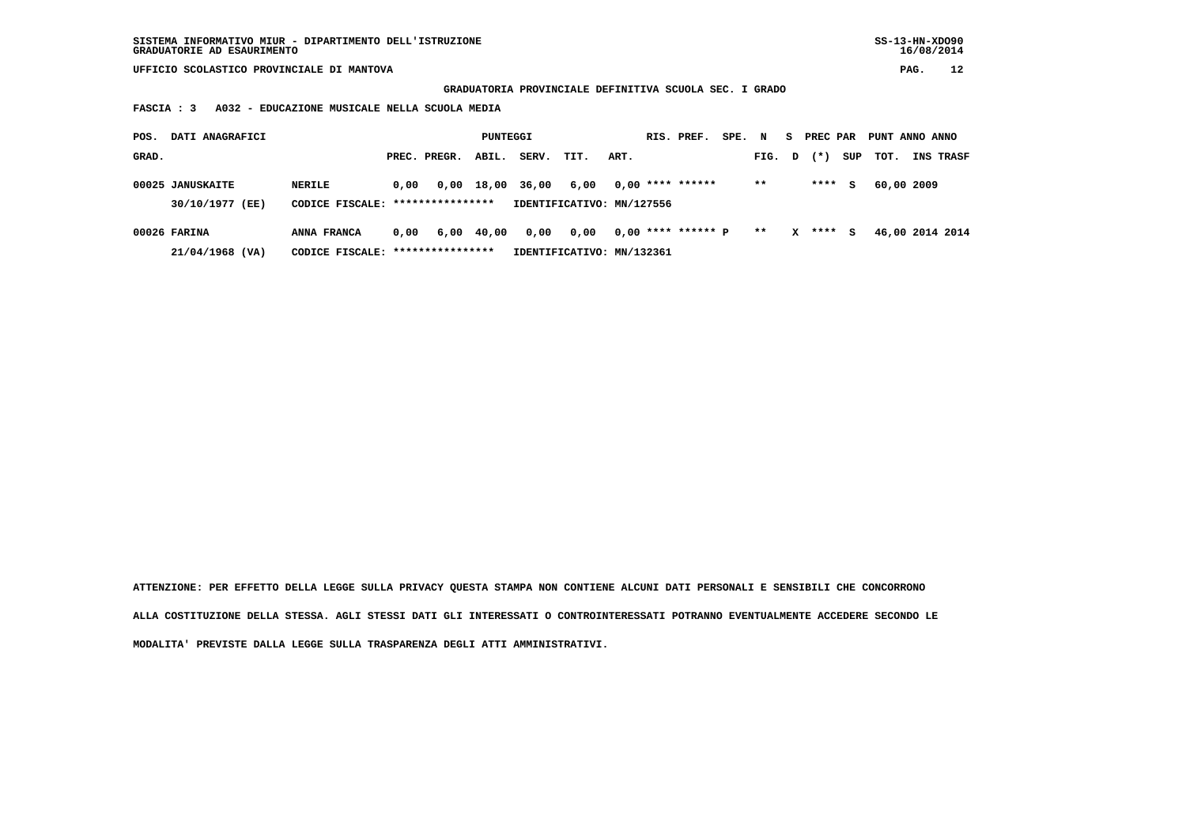**GRADUATORIA PROVINCIALE DEFINITIVA SCUOLA SEC. I GRADO**

 **FASCIA : 3 A032 - EDUCAZIONE MUSICALE NELLA SCUOLA MEDIA**

| POS.  | DATI ANAGRAFICI                     |                                            |      |                                        | PUNTEGGI |                  |                                   |      | RIS. PREF.           | SPE. | $\mathbf N$ | s            | PREC PAR |     | PUNT ANNO ANNO  |           |  |
|-------|-------------------------------------|--------------------------------------------|------|----------------------------------------|----------|------------------|-----------------------------------|------|----------------------|------|-------------|--------------|----------|-----|-----------------|-----------|--|
| GRAD. |                                     |                                            |      | PREC. PREGR.                           | ABIL.    | SERV.            | TIT.                              | ART. |                      |      | FIG. D      |              | $(* )$   | SUP | тот.            | INS TRASF |  |
|       | 00025 JANUSKAITE<br>30/10/1977 (EE) | NERILE<br>CODICE FISCALE: **************** | 0,00 |                                        |          | 0,00 18,00 36,00 | 6,00<br>IDENTIFICATIVO: MN/127556 |      | $0.00$ **** ******   |      | $* *$       |              | ****     | S.  | 60,00 2009      |           |  |
|       | 00026 FARINA                        | ANNA FRANCA                                |      |                                        |          | 0,00             | 0,00                              |      | $0,00$ **** ****** P |      | $**$        | $\mathbf{x}$ | ****     | s   | 46,00 2014 2014 |           |  |
|       | 21/04/1968 (VA)                     | CODICE FISCALE:                            |      | 0.00<br>6,00 40,00<br>**************** |          |                  | IDENTIFICATIVO: MN/132361         |      |                      |      |             |              |          |     |                 |           |  |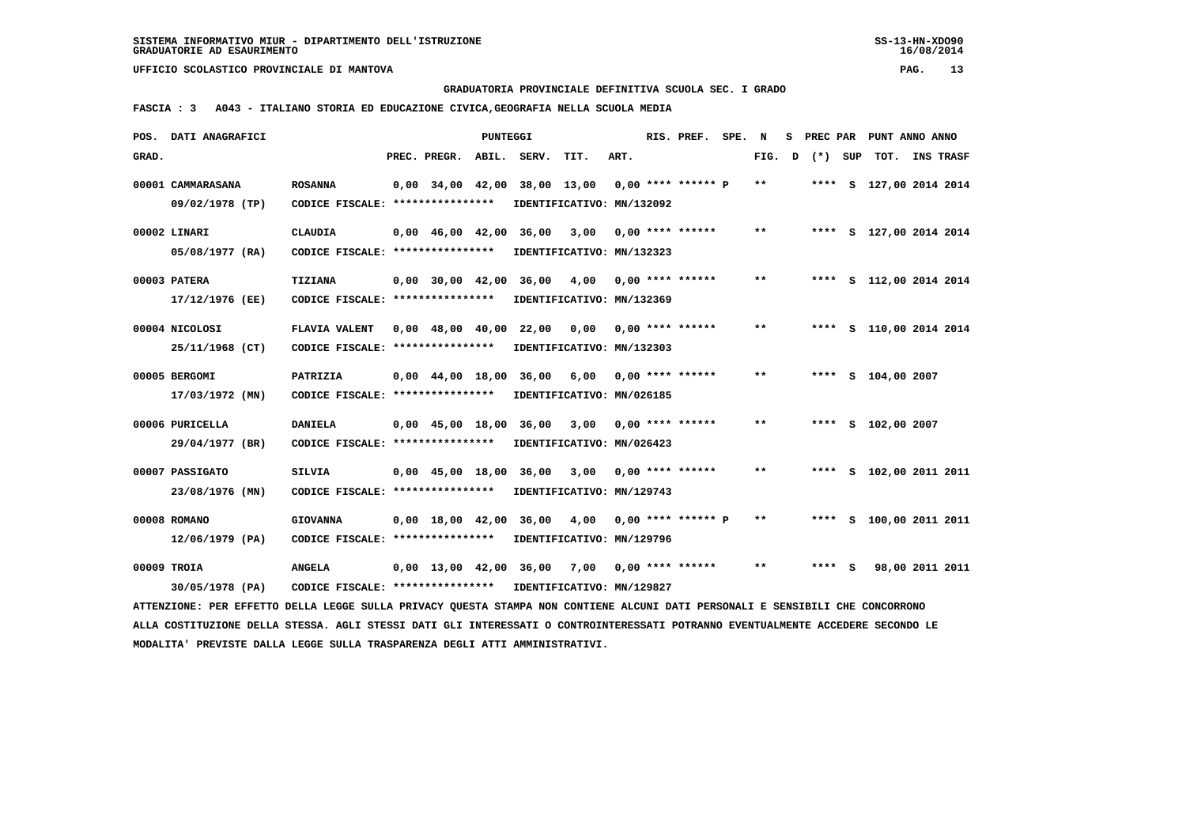**GRADUATORIA PROVINCIALE DEFINITIVA SCUOLA SEC. I GRADO**

 **FASCIA : 3 A043 - ITALIANO STORIA ED EDUCAZIONE CIVICA,GEOGRAFIA NELLA SCUOLA MEDIA**

|       | POS. DATI ANAGRAFICI                                                                                                            |                                                            |                                            | PUNTEGGI |                                                |      |      | RIS. PREF.           | SPE. | N      | s | PREC PAR |     | PUNT ANNO ANNO          |                  |  |
|-------|---------------------------------------------------------------------------------------------------------------------------------|------------------------------------------------------------|--------------------------------------------|----------|------------------------------------------------|------|------|----------------------|------|--------|---|----------|-----|-------------------------|------------------|--|
| GRAD. |                                                                                                                                 |                                                            | PREC. PREGR.                               | ABIL.    | SERV.                                          | TIT. | ART. |                      |      | FIG. D |   | $(*)$    | SUP | тот.                    | <b>INS TRASF</b> |  |
|       | 00001 CAMMARASANA                                                                                                               | <b>ROSANNA</b>                                             | $0,00$ 34,00 42,00                         |          | 38,00 13,00                                    |      |      | $0.00$ **** ****** p |      | $* *$  |   |          |     | **** S 127,00 2014 2014 |                  |  |
|       | 09/02/1978 (TP)                                                                                                                 | CODICE FISCALE: ****************                           |                                            |          | IDENTIFICATIVO: MN/132092                      |      |      |                      |      |        |   |          |     |                         |                  |  |
|       |                                                                                                                                 |                                                            |                                            |          |                                                |      |      |                      |      |        |   |          |     |                         |                  |  |
|       | 00002 LINARI                                                                                                                    | <b>CLAUDIA</b>                                             |                                            |          | 0,00 46,00 42,00 36,00                         | 3,00 |      | $0.00$ **** ******   |      | $* *$  |   |          |     | **** S 127,00 2014 2014 |                  |  |
|       | 05/08/1977 (RA)                                                                                                                 | CODICE FISCALE: ****************                           |                                            |          | IDENTIFICATIVO: MN/132323                      |      |      |                      |      |        |   |          |     |                         |                  |  |
|       | 00003 PATERA                                                                                                                    | <b>TIZIANA</b>                                             | $0,00$ 30,00 42,00                         |          | 36,00                                          | 4,00 |      | $0.00$ **** ******   |      | $* *$  |   |          |     | **** S 112,00 2014 2014 |                  |  |
|       | 17/12/1976 (EE)                                                                                                                 | CODICE FISCALE: ****************                           |                                            |          | IDENTIFICATIVO: MN/132369                      |      |      |                      |      |        |   |          |     |                         |                  |  |
|       |                                                                                                                                 |                                                            |                                            |          |                                                |      |      |                      |      |        |   |          |     |                         |                  |  |
|       | 00004 NICOLOSI                                                                                                                  | <b>FLAVIA VALENT</b>                                       | $0.00 \quad 48.00 \quad 40.00 \quad 22.00$ |          |                                                | 0,00 |      | $0.00$ **** ******   |      | $* *$  |   |          |     | **** S 110,00 2014 2014 |                  |  |
|       | 25/11/1968 (CT)                                                                                                                 | CODICE FISCALE: ****************                           |                                            |          | IDENTIFICATIVO: MN/132303                      |      |      |                      |      |        |   |          |     |                         |                  |  |
|       | 00005 BERGOMI                                                                                                                   | PATRIZIA                                                   |                                            |          | 0,00 44,00 18,00 36,00                         | 6,00 |      | 0,00 **** ******     |      | $* *$  |   |          |     | **** S 104,00 2007      |                  |  |
|       | 17/03/1972 (MN)                                                                                                                 | CODICE FISCALE: *****************                          |                                            |          | IDENTIFICATIVO: MN/026185                      |      |      |                      |      |        |   |          |     |                         |                  |  |
|       |                                                                                                                                 |                                                            |                                            |          |                                                |      |      |                      |      |        |   |          |     |                         |                  |  |
|       | 00006 PURICELLA                                                                                                                 | <b>DANIELA</b>                                             |                                            |          | 0,00 45,00 18,00 36,00                         | 3,00 |      | $0.00$ **** ******   |      | $* *$  |   |          |     | **** S 102,00 2007      |                  |  |
|       | 29/04/1977 (BR)                                                                                                                 | CODICE FISCALE: ****************                           |                                            |          | IDENTIFICATIVO: MN/026423                      |      |      |                      |      |        |   |          |     |                         |                  |  |
|       | 00007 PASSIGATO                                                                                                                 | <b>SILVIA</b>                                              |                                            |          | 0,00 45,00 18,00 36,00                         | 3,00 |      | $0.00$ **** ******   |      | $***$  |   |          |     | **** S 102,00 2011 2011 |                  |  |
|       | 23/08/1976 (MN)                                                                                                                 | CODICE FISCALE: ****************                           |                                            |          | IDENTIFICATIVO: MN/129743                      |      |      |                      |      |        |   |          |     |                         |                  |  |
|       |                                                                                                                                 |                                                            |                                            |          |                                                |      |      |                      |      |        |   |          |     |                         |                  |  |
|       | 00008 ROMANO                                                                                                                    | <b>GIOVANNA</b>                                            | $0,00 \quad 18,00 \quad 42,00$             |          | 36,00                                          | 4,00 |      | $0.00$ **** ****** P |      | $* *$  |   |          |     | **** S 100,00 2011 2011 |                  |  |
|       | $12/06/1979$ (PA)                                                                                                               | CODICE FISCALE: ****************                           |                                            |          | IDENTIFICATIVO: MN/129796                      |      |      |                      |      |        |   |          |     |                         |                  |  |
|       | 00009 TROIA                                                                                                                     | <b>ANGELA</b>                                              |                                            |          | $0,00$ 13,00 42,00 36,00 7,00 0,00 **** ****** |      |      |                      |      | $* *$  |   | $***$ S  |     | 98,00 2011 2011         |                  |  |
|       | 30/05/1978 (PA)                                                                                                                 | CODICE FISCALE: **************** IDENTIFICATIVO: MN/129827 |                                            |          |                                                |      |      |                      |      |        |   |          |     |                         |                  |  |
|       | ATTENZIONE: PER EFFETTO DELLA LEGGE SULLA PRIVACY QUESTA STAMPA NON CONTIENE ALCUNI DATI PERSONALI E SENSIBILI CHE CONCORRONO   |                                                            |                                            |          |                                                |      |      |                      |      |        |   |          |     |                         |                  |  |
|       | ALLA COSTITUZIONE DELLA STESSA. AGLI STESSI DATI GLI INTERESSATI O CONTROINTERESSATI POTRANNO EVENTUALMENTE ACCEDERE SECONDO LE |                                                            |                                            |          |                                                |      |      |                      |      |        |   |          |     |                         |                  |  |
|       | MODALITA' PREVISTE DALLA LEGGE SULLA TRASPARENZA DEGLI ATTI AMMINISTRATIVI.                                                     |                                                            |                                            |          |                                                |      |      |                      |      |        |   |          |     |                         |                  |  |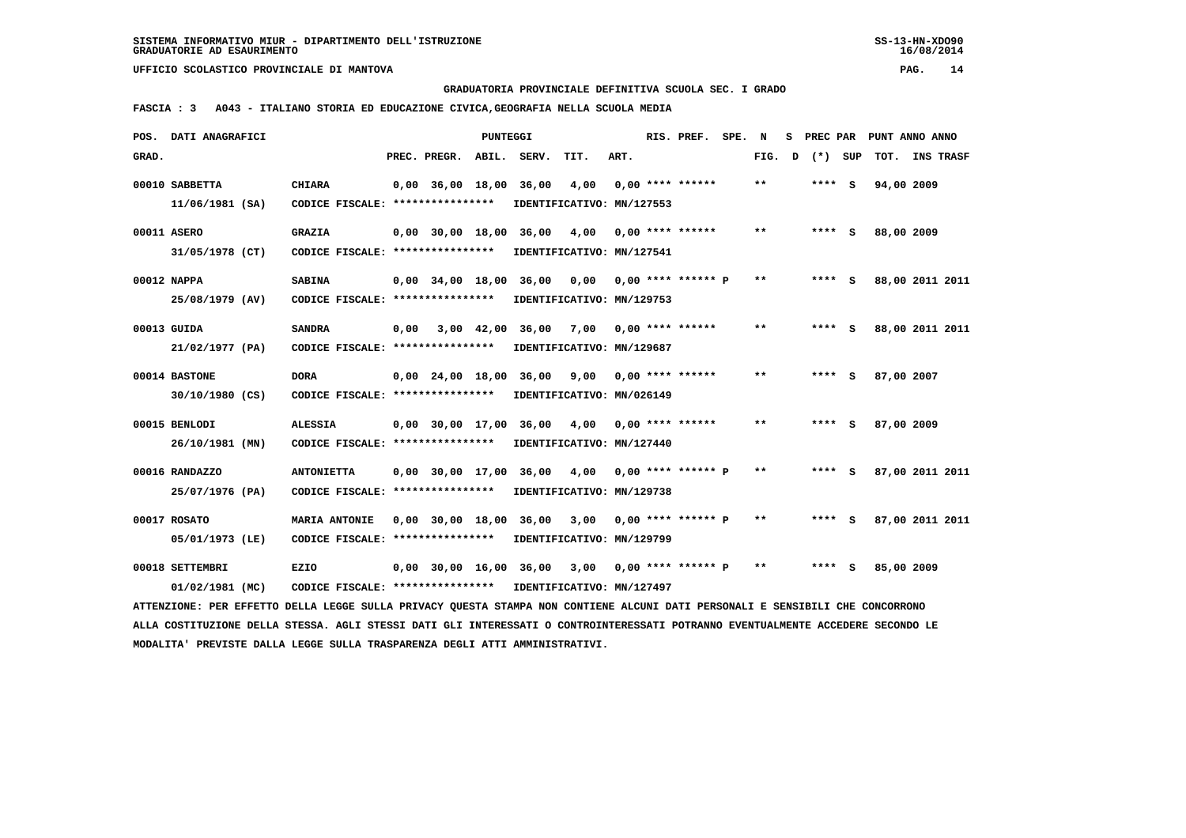**GRADUATORIA PROVINCIALE DEFINITIVA SCUOLA SEC. I GRADO**

 **FASCIA : 3 A043 - ITALIANO STORIA ED EDUCAZIONE CIVICA,GEOGRAFIA NELLA SCUOLA MEDIA**

|       | POS. DATI ANAGRAFICI                                                                                                            |                                                            |      |                    | <b>PUNTEGGI</b> |                                                  |      |      | RIS. PREF.                | SPE. | N      | s |         | PREC PAR PUNT ANNO ANNO |  |
|-------|---------------------------------------------------------------------------------------------------------------------------------|------------------------------------------------------------|------|--------------------|-----------------|--------------------------------------------------|------|------|---------------------------|------|--------|---|---------|-------------------------|--|
| GRAD. |                                                                                                                                 |                                                            |      | PREC. PREGR. ABIL. |                 | SERV.                                            | TIT. | ART. |                           |      | FIG. D |   | (*) SUP | TOT. INS TRASF          |  |
|       | 00010 SABBETTA                                                                                                                  | <b>CHIARA</b>                                              |      | 0,00 36,00 18,00   |                 | 36,00                                            | 4,00 |      | $0.00$ **** ******        |      | $**$   |   | $***$ S | 94,00 2009              |  |
|       | 11/06/1981 (SA)                                                                                                                 | CODICE FISCALE: ****************                           |      |                    |                 | IDENTIFICATIVO: MN/127553                        |      |      |                           |      |        |   |         |                         |  |
|       |                                                                                                                                 |                                                            |      |                    |                 |                                                  |      |      |                           |      |        |   |         |                         |  |
|       | 00011 ASERO                                                                                                                     | <b>GRAZIA</b>                                              |      |                    |                 | 0,00 30,00 18,00 36,00                           | 4,00 |      | $0.00$ **** ******        |      | $* *$  |   | $***$ S | 88,00 2009              |  |
|       | 31/05/1978 (CT)                                                                                                                 | CODICE FISCALE: ****************                           |      |                    |                 | IDENTIFICATIVO: MN/127541                        |      |      |                           |      |        |   |         |                         |  |
|       |                                                                                                                                 |                                                            |      |                    |                 |                                                  |      |      |                           |      |        |   |         |                         |  |
|       | 00012 NAPPA                                                                                                                     | <b>SABINA</b>                                              |      |                    |                 | $0,00$ 34,00 18,00 36,00 0,00                    |      |      | 0,00 **** ****** P        |      | $* *$  |   | $***$ S | 88,00 2011 2011         |  |
|       | 25/08/1979 (AV)                                                                                                                 | CODICE FISCALE: *****************                          |      |                    |                 | IDENTIFICATIVO: MN/129753                        |      |      |                           |      |        |   |         |                         |  |
|       | 00013 GUIDA                                                                                                                     | <b>SANDRA</b>                                              | 0,00 |                    |                 | 3,00 42,00 36,00 7,00 0,00 **** ******           |      |      |                           |      | $* *$  |   | **** S  | 88,00 2011 2011         |  |
|       | 21/02/1977 (PA)                                                                                                                 | CODICE FISCALE: ****************                           |      |                    |                 | IDENTIFICATIVO: MN/129687                        |      |      |                           |      |        |   |         |                         |  |
|       |                                                                                                                                 |                                                            |      |                    |                 |                                                  |      |      |                           |      |        |   |         |                         |  |
|       | 00014 BASTONE                                                                                                                   | <b>DORA</b>                                                |      |                    |                 | 0,00 24,00 18,00 36,00                           | 9,00 |      | $0.00$ **** ******        |      | $* *$  |   | $***$ S | 87,00 2007              |  |
|       | $30/10/1980$ (CS)                                                                                                               | CODICE FISCALE: ****************                           |      |                    |                 | IDENTIFICATIVO: MN/026149                        |      |      |                           |      |        |   |         |                         |  |
|       |                                                                                                                                 |                                                            |      |                    |                 |                                                  |      |      |                           |      | $* *$  |   |         |                         |  |
|       | 00015 BENLODI                                                                                                                   | <b>ALESSIA</b>                                             |      |                    |                 | $0,00$ 30,00 17,00 36,00 4,00 0,00 **** ******   |      |      |                           |      |        |   | **** S  | 87,00 2009              |  |
|       | 26/10/1981 (MN)                                                                                                                 | CODICE FISCALE: ****************                           |      |                    |                 | IDENTIFICATIVO: MN/127440                        |      |      |                           |      |        |   |         |                         |  |
|       | 00016 RANDAZZO                                                                                                                  | <b>ANTONIETTA</b>                                          |      |                    |                 | 0,00 30,00 17,00 36,00                           |      |      | $4,00$ 0,00 **** ****** P |      | $* *$  |   | $***$ S | 87,00 2011 2011         |  |
|       | 25/07/1976 (PA)                                                                                                                 | CODICE FISCALE: *****************                          |      |                    |                 | IDENTIFICATIVO: MN/129738                        |      |      |                           |      |        |   |         |                         |  |
|       |                                                                                                                                 |                                                            |      |                    |                 |                                                  |      |      |                           |      |        |   |         |                         |  |
|       | 00017 ROSATO                                                                                                                    | <b>MARIA ANTONIE</b>                                       |      |                    |                 | $0,00$ 30,00 18,00 36,00 3,00 0,00 **** ****** P |      |      |                           |      | $* *$  |   | $***$ S | 87,00 2011 2011         |  |
|       | 05/01/1973 (LE)                                                                                                                 | CODICE FISCALE: *****************                          |      |                    |                 | IDENTIFICATIVO: MN/129799                        |      |      |                           |      |        |   |         |                         |  |
|       | 00018 SETTEMBRI                                                                                                                 | <b>EZIO</b>                                                |      |                    |                 | $0,00$ 30,00 16,00 36,00 3,00 0,00 **** ****** P |      |      |                           |      | $**$   |   | $***$ S | 85,00 2009              |  |
|       |                                                                                                                                 |                                                            |      |                    |                 |                                                  |      |      |                           |      |        |   |         |                         |  |
|       | 01/02/1981 (MC)                                                                                                                 | CODICE FISCALE: **************** IDENTIFICATIVO: MN/127497 |      |                    |                 |                                                  |      |      |                           |      |        |   |         |                         |  |
|       | ATTENZIONE: PER EFFETTO DELLA LEGGE SULLA PRIVACY QUESTA STAMPA NON CONTIENE ALCUNI DATI PERSONALI E SENSIBILI CHE CONCORRONO   |                                                            |      |                    |                 |                                                  |      |      |                           |      |        |   |         |                         |  |
|       | ALLA COSTITUZIONE DELLA STESSA. AGLI STESSI DATI GLI INTERESSATI O CONTROINTERESSATI POTRANNO EVENTUALMENTE ACCEDERE SECONDO LE |                                                            |      |                    |                 |                                                  |      |      |                           |      |        |   |         |                         |  |
|       | MODALITA' PREVISTE DALLA LEGGE SULLA TRASPARENZA DEGLI ATTI AMMINISTRATIVI.                                                     |                                                            |      |                    |                 |                                                  |      |      |                           |      |        |   |         |                         |  |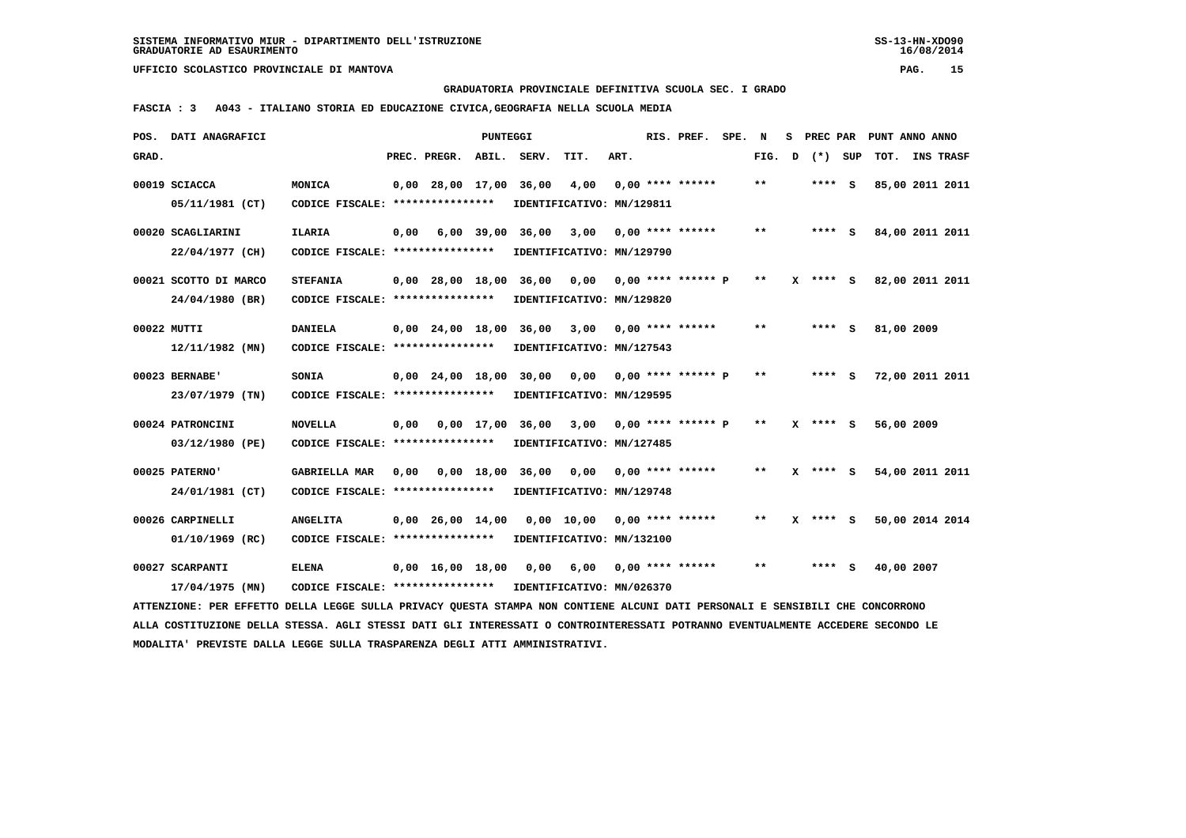**GRADUATORIA PROVINCIALE DEFINITIVA SCUOLA SEC. I GRADO**

 **FASCIA : 3 A043 - ITALIANO STORIA ED EDUCAZIONE CIVICA,GEOGRAFIA NELLA SCUOLA MEDIA**

|       | POS. DATI ANAGRAFICI                                                                                                            |                                   |      |                                | <b>PUNTEGGI</b> |                        |                           |      | RIS. PREF.                | SPE. | N     | s. | PREC PAR     |     | PUNT ANNO ANNO  |  |
|-------|---------------------------------------------------------------------------------------------------------------------------------|-----------------------------------|------|--------------------------------|-----------------|------------------------|---------------------------|------|---------------------------|------|-------|----|--------------|-----|-----------------|--|
| GRAD. |                                                                                                                                 |                                   |      | PREC. PREGR. ABIL. SERV.       |                 |                        | TIT.                      | ART. |                           |      | FIG.  | D  | $(*)$        | SUP | TOT. INS TRASF  |  |
|       | 00019 SCIACCA                                                                                                                   | MONICA                            |      | 0,00 28,00 17,00 36,00         |                 |                        | 4,00                      |      | $0.00$ **** ******        |      | $***$ |    | **** S       |     | 85,00 2011 2011 |  |
|       | 05/11/1981 (CT)                                                                                                                 | CODICE FISCALE: ****************  |      |                                |                 |                        | IDENTIFICATIVO: MN/129811 |      |                           |      |       |    |              |     |                 |  |
|       | 00020 SCAGLIARINI                                                                                                               | <b>ILARIA</b>                     | 0,00 |                                | 6,00 39,00      | 36,00                  | 3,00                      |      | $0.00$ **** ******        |      | $***$ |    | $***$ S      |     | 84,00 2011 2011 |  |
|       | 22/04/1977 (CH)                                                                                                                 | CODICE FISCALE: ***************** |      |                                |                 |                        | IDENTIFICATIVO: MN/129790 |      |                           |      |       |    |              |     |                 |  |
|       | 00021 SCOTTO DI MARCO                                                                                                           | <b>STEFANIA</b>                   |      |                                |                 | 0,00 28,00 18,00 36,00 |                           |      | $0,00$ 0,00 **** ****** P |      | $***$ |    | $X$ **** $S$ |     | 82,00 2011 2011 |  |
|       | 24/04/1980 (BR)                                                                                                                 | CODICE FISCALE: ***************** |      |                                |                 |                        | IDENTIFICATIVO: MN/129820 |      |                           |      |       |    |              |     |                 |  |
|       | 00022 MUTTI                                                                                                                     | <b>DANIELA</b>                    |      | $0,00$ 24,00 18,00             |                 | 36,00                  | 3,00                      |      | $0.00$ **** ******        |      | $***$ |    | **** S       |     | 81,00 2009      |  |
|       | $12/11/1982$ (MN)                                                                                                               | CODICE FISCALE: ****************  |      |                                |                 |                        | IDENTIFICATIVO: MN/127543 |      |                           |      |       |    |              |     |                 |  |
|       | 00023 BERNABE'                                                                                                                  | SONIA                             |      | $0,00$ 24,00 18,00 30,00       |                 |                        | 0,00                      |      | $0.00$ **** ****** P      |      | $* *$ |    | $***$ S      |     | 72,00 2011 2011 |  |
|       | 23/07/1979 (TN)                                                                                                                 | CODICE FISCALE: ***************** |      |                                |                 |                        | IDENTIFICATIVO: MN/129595 |      |                           |      |       |    |              |     |                 |  |
|       | 00024 PATRONCINI                                                                                                                | <b>NOVELLA</b>                    | 0,00 |                                | $0.00$ 17.00    | 36,00                  | 3,00                      |      | $0,00$ **** ****** P      |      | $***$ |    | **** S       |     | 56,00 2009      |  |
|       | 03/12/1980 (PE)                                                                                                                 | CODICE FISCALE: ****************  |      |                                |                 |                        | IDENTIFICATIVO: MN/127485 |      |                           |      |       |    |              |     |                 |  |
|       | 00025 PATERNO'                                                                                                                  | <b>GABRIELLA MAR</b>              |      |                                |                 | 0,00 0,00 18,00 36,00  | 0,00                      |      | $0,00$ **** ******        |      | $* *$ |    | X **** S     |     | 54,00 2011 2011 |  |
|       | 24/01/1981 (CT)                                                                                                                 | CODICE FISCALE: ****************  |      |                                |                 |                        | IDENTIFICATIVO: MN/129748 |      |                           |      |       |    |              |     |                 |  |
|       | 00026 CARPINELLI                                                                                                                | <b>ANGELITA</b>                   |      | 0,00 26,00 14,00               |                 |                        | 0,00 10,00                |      | $0.00$ **** ******        |      | $* *$ |    | $X$ **** $S$ |     | 50,00 2014 2014 |  |
|       | 01/10/1969 (RC)                                                                                                                 | CODICE FISCALE: ****************  |      |                                |                 |                        | IDENTIFICATIVO: MN/132100 |      |                           |      |       |    |              |     |                 |  |
|       | 00027 SCARPANTI                                                                                                                 | <b>ELENA</b>                      |      | $0,00 \quad 16,00 \quad 18,00$ |                 | 0,00                   | 6,00                      |      | $0,00$ **** ******        |      | **    |    | $***$ S      |     | 40,00 2007      |  |
|       | 17/04/1975 (MN)                                                                                                                 | CODICE FISCALE: ****************  |      |                                |                 |                        | IDENTIFICATIVO: MN/026370 |      |                           |      |       |    |              |     |                 |  |
|       | ATTENZIONE: PER EFFETTO DELLA LEGGE SULLA PRIVACY OUESTA STAMPA NON CONTIENE ALCUNI DATI PERSONALI E SENSIBILI CHE CONCORRONO   |                                   |      |                                |                 |                        |                           |      |                           |      |       |    |              |     |                 |  |
|       | ALLA COSTITUZIONE DELLA STESSA. AGLI STESSI DATI GLI INTERESSATI O CONTROINTERESSATI POTRANNO EVENTUALMENTE ACCEDERE SECONDO LE |                                   |      |                                |                 |                        |                           |      |                           |      |       |    |              |     |                 |  |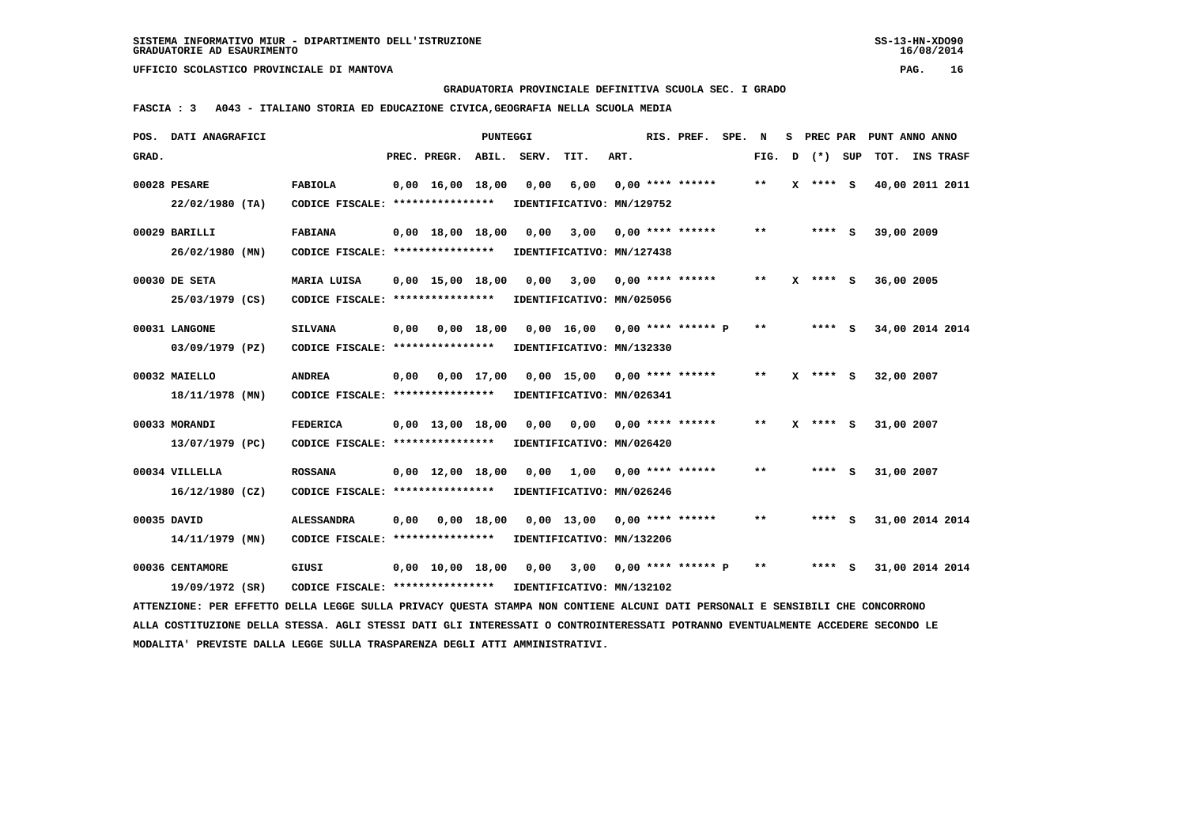**GRADUATORIA PROVINCIALE DEFINITIVA SCUOLA SEC. I GRADO**

 **FASCIA : 3 A043 - ITALIANO STORIA ED EDUCAZIONE CIVICA,GEOGRAFIA NELLA SCUOLA MEDIA**

|             | POS. DATI ANAGRAFICI                                                                                                            |                                                            |      |                                | PUNTEGGI           |       |                                 |      | RIS. PREF.           | SPE. N |       | s | PREC PAR     | PUNT ANNO ANNO  |  |
|-------------|---------------------------------------------------------------------------------------------------------------------------------|------------------------------------------------------------|------|--------------------------------|--------------------|-------|---------------------------------|------|----------------------|--------|-------|---|--------------|-----------------|--|
| GRAD.       |                                                                                                                                 |                                                            |      | PREC. PREGR.                   | ABIL.              | SERV. | TIT.                            | ART. |                      |        | FIG.  | D | (*) SUP      | TOT. INS TRASF  |  |
|             | 00028 PESARE                                                                                                                    | <b>FABIOLA</b>                                             |      | $0.00 \quad 16.00 \quad 18.00$ |                    | 0,00  | 6,00                            |      | $0.00$ **** ******   |        | $* *$ |   | X **** S     | 40,00 2011 2011 |  |
|             | $22/02/1980$ (TA)                                                                                                               | CODICE FISCALE: ****************                           |      |                                |                    |       | IDENTIFICATIVO: MN/129752       |      |                      |        |       |   |              |                 |  |
|             |                                                                                                                                 |                                                            |      |                                |                    |       |                                 |      |                      |        |       |   |              |                 |  |
|             | 00029 BARILLI                                                                                                                   | <b>FABIANA</b>                                             |      | $0.00 \quad 18.00 \quad 18.00$ |                    | 0,00  | 3,00                            |      | $0.00$ **** ******   |        | $* *$ |   | $***$ S      | 39,00 2009      |  |
|             | 26/02/1980 (MN)                                                                                                                 | CODICE FISCALE: ****************                           |      |                                |                    |       | IDENTIFICATIVO: MN/127438       |      |                      |        |       |   |              |                 |  |
|             |                                                                                                                                 |                                                            |      |                                |                    |       |                                 |      |                      |        |       |   |              |                 |  |
|             | 00030 DE SETA                                                                                                                   | MARIA LUISA                                                |      | $0.00$ 15,00 18,00             |                    | 0,00  | 3,00                            |      | $0.00$ **** ******   |        | $* *$ |   | **** S       | 36,00 2005      |  |
|             | 25/03/1979 (CS)                                                                                                                 | CODICE FISCALE: *****************                          |      |                                |                    |       | IDENTIFICATIVO: MN/025056       |      |                      |        |       |   |              |                 |  |
|             | 00031 LANGONE                                                                                                                   | <b>SILVANA</b>                                             | 0,00 | 0,00 18,00                     |                    |       | $0.00$ 16.00 0.00 **** ****** P |      |                      |        | $* *$ |   | $***$ S      | 34,00 2014 2014 |  |
|             | 03/09/1979 (PZ)                                                                                                                 | CODICE FISCALE: *****************                          |      |                                |                    |       | IDENTIFICATIVO: MN/132330       |      |                      |        |       |   |              |                 |  |
|             |                                                                                                                                 |                                                            |      |                                |                    |       |                                 |      |                      |        |       |   |              |                 |  |
|             | 00032 MAIELLO                                                                                                                   | <b>ANDREA</b>                                              | 0,00 |                                | $0.00 \quad 17.00$ |       | 0,00 15,00 0,00 **** ******     |      |                      |        | $***$ |   | $X$ **** $S$ | 32,00 2007      |  |
|             | 18/11/1978 (MN)                                                                                                                 | CODICE FISCALE: ****************                           |      |                                |                    |       | IDENTIFICATIVO: MN/026341       |      |                      |        |       |   |              |                 |  |
|             |                                                                                                                                 |                                                            |      |                                |                    |       |                                 |      |                      |        |       |   |              |                 |  |
|             | 00033 MORANDI                                                                                                                   | <b>FEDERICA</b>                                            |      | $0,00 \quad 13,00 \quad 18,00$ |                    |       | 0,00 0,00                       |      | $0.00$ **** ******   |        | **    |   | **** S       | 31,00 2007      |  |
|             | 13/07/1979 (PC)                                                                                                                 | CODICE FISCALE: ****************                           |      |                                |                    |       | IDENTIFICATIVO: MN/026420       |      |                      |        |       |   |              |                 |  |
|             | 00034 VILLELLA                                                                                                                  | <b>ROSSANA</b>                                             |      | $0,00 \quad 12,00 \quad 18,00$ |                    | 0.00  | 1,00                            |      | $0.00$ **** ******   |        | $* *$ |   | $***$ S      | 31,00 2007      |  |
|             |                                                                                                                                 |                                                            |      |                                |                    |       |                                 |      |                      |        |       |   |              |                 |  |
|             | 16/12/1980 (CZ)                                                                                                                 | CODICE FISCALE: ****************                           |      |                                |                    |       | IDENTIFICATIVO: MN/026246       |      |                      |        |       |   |              |                 |  |
| 00035 DAVID |                                                                                                                                 | <b>ALESSANDRA</b>                                          | 0,00 |                                | $0,00$ 18,00       |       | $0.00$ 13,00                    |      | $0.00$ **** ******   |        | $* *$ |   | **** S       | 31,00 2014 2014 |  |
|             | 14/11/1979 (MN)                                                                                                                 | CODICE FISCALE: ****************                           |      |                                |                    |       | IDENTIFICATIVO: MN/132206       |      |                      |        |       |   |              |                 |  |
|             |                                                                                                                                 |                                                            |      |                                |                    |       |                                 |      |                      |        |       |   |              |                 |  |
|             | 00036 CENTAMORE                                                                                                                 | GIUSI                                                      |      | 0,00 10,00 18,00               |                    | 0,00  | 3,00                            |      | $0,00$ **** ****** P |        | $* *$ |   | **** S       | 31,00 2014 2014 |  |
|             | 19/09/1972 (SR)                                                                                                                 | CODICE FISCALE: **************** IDENTIFICATIVO: MN/132102 |      |                                |                    |       |                                 |      |                      |        |       |   |              |                 |  |
|             | ATTENZIONE: PER EFFETTO DELLA LEGGE SULLA PRIVACY QUESTA STAMPA NON CONTIENE ALCUNI DATI PERSONALI E SENSIBILI CHE CONCORRONO   |                                                            |      |                                |                    |       |                                 |      |                      |        |       |   |              |                 |  |
|             | ALLA COSTITUZIONE DELLA STESSA. AGLI STESSI DATI GLI INTERESSATI O CONTROINTERESSATI POTRANNO EVENTUALMENTE ACCEDERE SECONDO LE |                                                            |      |                                |                    |       |                                 |      |                      |        |       |   |              |                 |  |
|             | MODALITA' PREVISTE DALLA LEGGE SULLA TRASPARENZA DEGLI ATTI AMMINISTRATIVI.                                                     |                                                            |      |                                |                    |       |                                 |      |                      |        |       |   |              |                 |  |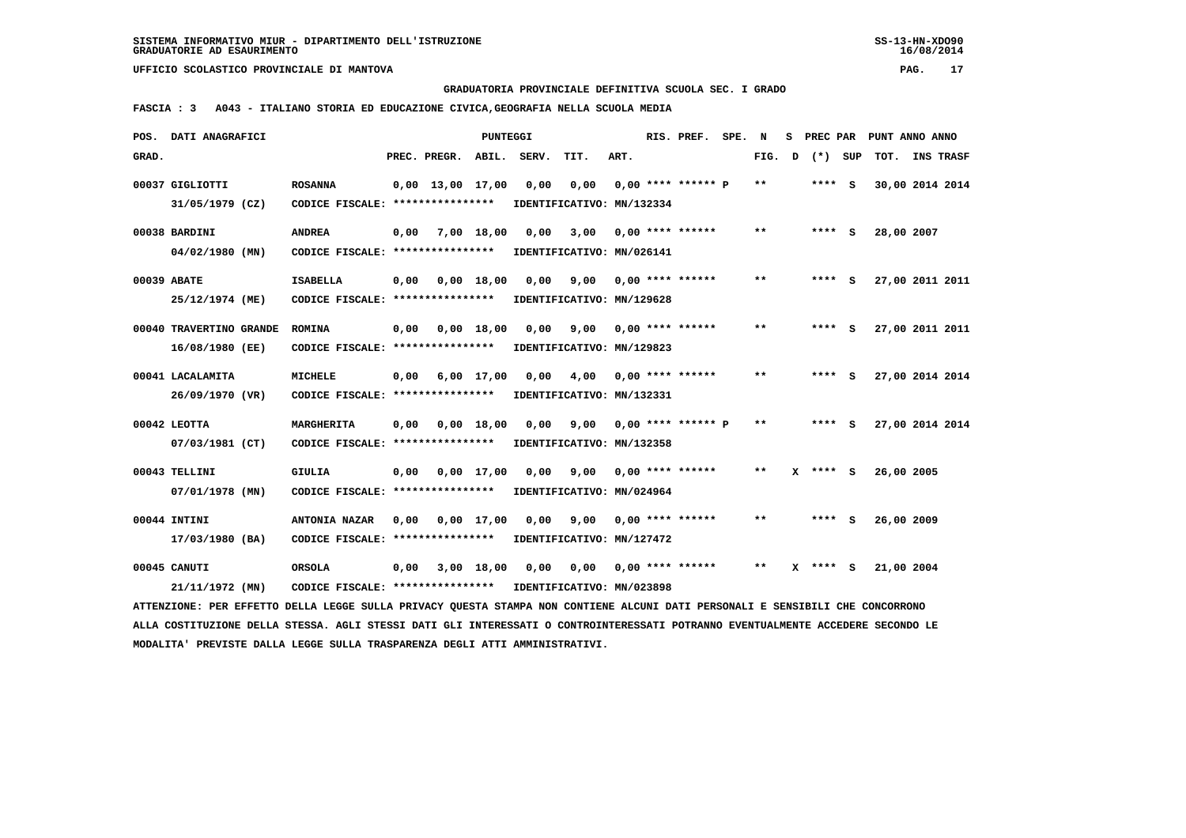**GRADUATORIA PROVINCIALE DEFINITIVA SCUOLA SEC. I GRADO**

 **FASCIA : 3 A043 - ITALIANO STORIA ED EDUCAZIONE CIVICA,GEOGRAFIA NELLA SCUOLA MEDIA**

|       | POS. DATI ANAGRAFICI                                                                                                            |                                                            |      |                       | PUNTEGGI   |                                                             |                                         |      | RIS. PREF.              | SPE. | N            | s | PREC PAR   |     | PUNT ANNO ANNO  |                  |  |
|-------|---------------------------------------------------------------------------------------------------------------------------------|------------------------------------------------------------|------|-----------------------|------------|-------------------------------------------------------------|-----------------------------------------|------|-------------------------|------|--------------|---|------------|-----|-----------------|------------------|--|
| GRAD. |                                                                                                                                 |                                                            |      | PREC. PREGR.          | ABIL.      | SERV.                                                       | TIT.                                    | ART. |                         |      | FIG.         | D | $(*)$      | SUP | TOT.            | <b>INS TRASF</b> |  |
|       | 00037 GIGLIOTTI                                                                                                                 | <b>ROSANNA</b>                                             |      | $0,00$ 13,00 17,00    |            | 0,00                                                        | 0,00                                    |      | $0.00$ **** ****** P    |      | $***$        |   | $***$ S    |     | 30,00 2014 2014 |                  |  |
|       | 31/05/1979 (CZ)                                                                                                                 | CODICE FISCALE: *****************                          |      |                       |            | IDENTIFICATIVO: MN/132334                                   |                                         |      |                         |      |              |   |            |     |                 |                  |  |
|       | 00038 BARDINI                                                                                                                   | ANDREA                                                     |      | $0,00$ $7,00$ $18,00$ |            | 0,00                                                        |                                         |      | $3,00$ 0,00 **** ****** |      | $***$        |   | $***$ S    |     | 28,00 2007      |                  |  |
|       | 04/02/1980 (MN)                                                                                                                 | CODICE FISCALE: **************** IDENTIFICATIVO: MN/026141 |      |                       |            |                                                             |                                         |      |                         |      |              |   |            |     |                 |                  |  |
|       | 00039 ABATE                                                                                                                     | ISABELLA                                                   |      |                       |            | $0,00$ $0,00$ $18,00$ $0,00$ $9,00$ $0,00$ $***$ **** ***** |                                         |      |                         |      | **           |   | **** S     |     | 27,00 2011 2011 |                  |  |
|       | 25/12/1974 (ME)                                                                                                                 | CODICE FISCALE: ****************                           |      |                       |            | IDENTIFICATIVO: MN/129628                                   |                                         |      |                         |      |              |   |            |     |                 |                  |  |
|       | 00040 TRAVERTINO GRANDE                                                                                                         | <b>ROMINA</b>                                              | 0,00 | 0,00 18,00            |            | 0.00                                                        |                                         |      | $9,00$ 0,00 **** ****** |      | $\star\star$ |   | $***$ S    |     | 27,00 2011 2011 |                  |  |
|       | 16/08/1980 (EE)                                                                                                                 | CODICE FISCALE: ****************                           |      |                       |            | IDENTIFICATIVO: MN/129823                                   |                                         |      |                         |      |              |   |            |     |                 |                  |  |
|       | 00041 LACALAMITA                                                                                                                | <b>MICHELE</b>                                             |      |                       |            | 0,00 6,00 17,00 0,00                                        |                                         |      | 4,00 0,00 **** ******   |      | $***$        |   | $***$ S    |     | 27,00 2014 2014 |                  |  |
|       | 26/09/1970 (VR)                                                                                                                 | CODICE FISCALE: *****************                          |      |                       |            | IDENTIFICATIVO: MN/132331                                   |                                         |      |                         |      |              |   |            |     |                 |                  |  |
|       | 00042 LEOTTA                                                                                                                    | MARGHERITA                                                 | 0,00 | 0,00 18,00            |            |                                                             | $0,00$ $9,00$ $0,00$ **** ****** $P$ ** |      |                         |      |              |   | $***$ S    |     | 27,00 2014 2014 |                  |  |
|       | 07/03/1981 (CT)                                                                                                                 | CODICE FISCALE: *****************                          |      |                       |            | IDENTIFICATIVO: MN/132358                                   |                                         |      |                         |      |              |   |            |     |                 |                  |  |
|       | 00043 TELLINI                                                                                                                   | <b>GIULIA</b>                                              |      |                       |            | 0,00 0,00 17,00 0,00                                        | 9,00                                    |      | $0,00$ **** ******      |      | $* *$        |   | $X$ **** S |     | 26,00 2005      |                  |  |
|       | 07/01/1978 (MN)                                                                                                                 | CODICE FISCALE: *****************                          |      |                       |            | IDENTIFICATIVO: MN/024964                                   |                                         |      |                         |      |              |   |            |     |                 |                  |  |
|       | 00044 INTINI                                                                                                                    | <b>ANTONIA NAZAR</b>                                       | 0.00 |                       | 0,00 17,00 | 0,00                                                        | 9,00                                    |      | $0.00$ **** ******      |      | $* *$        |   | $***$ S    |     | 26,00 2009      |                  |  |
|       | 17/03/1980 (BA)                                                                                                                 | CODICE FISCALE: **************** IDENTIFICATIVO: MN/127472 |      |                       |            |                                                             |                                         |      |                         |      |              |   |            |     |                 |                  |  |
|       | 00045 CANUTI                                                                                                                    | <b>ORSOLA</b>                                              | 0,00 |                       |            | 3,00 18,00 0,00                                             | 0,00                                    |      | $0,00$ **** ******      |      | $* *$        |   | $X$ **** S |     | 21,00 2004      |                  |  |
|       | 21/11/1972 (MN)                                                                                                                 | CODICE FISCALE: **************** IDENTIFICATIVO: MN/023898 |      |                       |            |                                                             |                                         |      |                         |      |              |   |            |     |                 |                  |  |
|       | ATTENZIONE: PER EFFETTO DELLA LEGGE SULLA PRIVACY QUESTA STAMPA NON CONTIENE ALCUNI DATI PERSONALI E SENSIBILI CHE CONCORRONO   |                                                            |      |                       |            |                                                             |                                         |      |                         |      |              |   |            |     |                 |                  |  |
|       | ALLA COSTITUZIONE DELLA STESSA. AGLI STESSI DATI GLI INTERESSATI O CONTROINTERESSATI POTRANNO EVENTUALMENTE ACCEDERE SECONDO LE |                                                            |      |                       |            |                                                             |                                         |      |                         |      |              |   |            |     |                 |                  |  |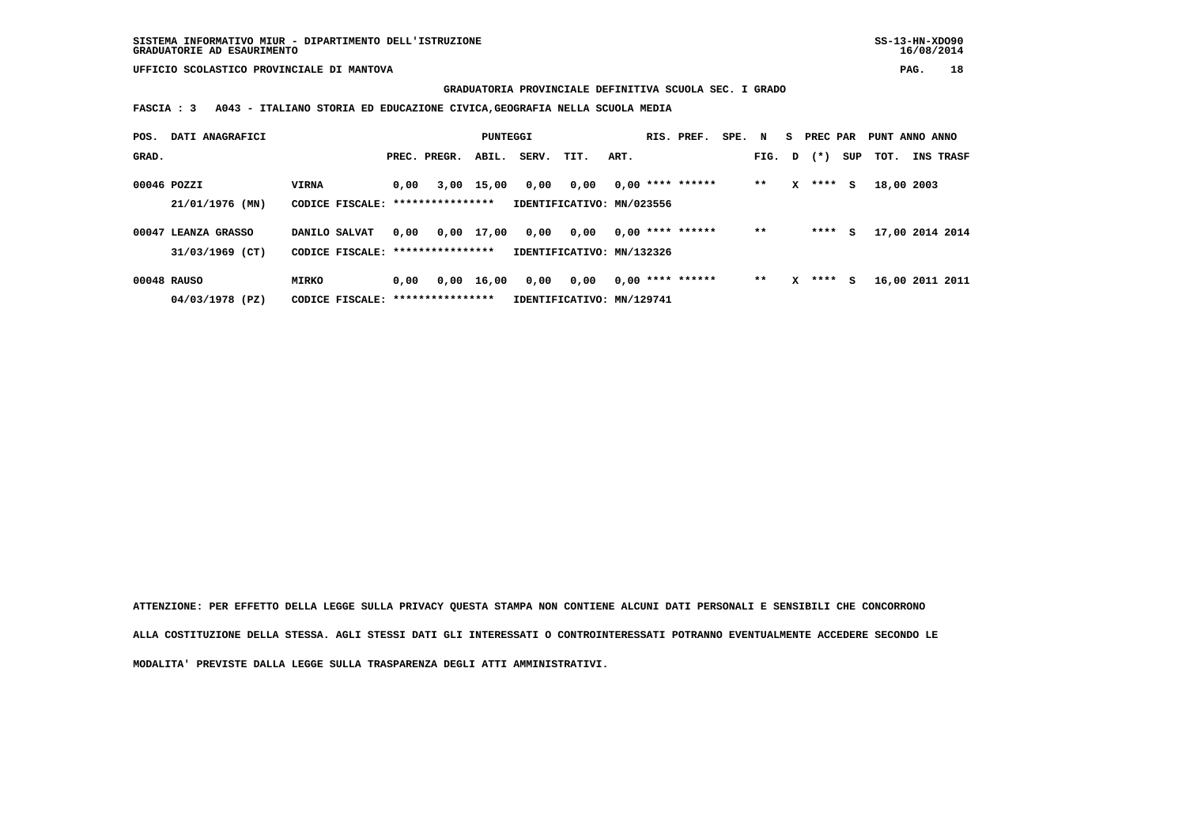**GRADUATORIA PROVINCIALE DEFINITIVA SCUOLA SEC. I GRADO**

 **FASCIA : 3 A043 - ITALIANO STORIA ED EDUCAZIONE CIVICA,GEOGRAFIA NELLA SCUOLA MEDIA**

| POS.        | DATI ANAGRAFICI     |                                   |      |              | PUNTEGGI   |       |                           |      | RIS. PREF.         | SPE. N |        |   | S PREC PAR |     | PUNT ANNO ANNO  |           |
|-------------|---------------------|-----------------------------------|------|--------------|------------|-------|---------------------------|------|--------------------|--------|--------|---|------------|-----|-----------------|-----------|
| GRAD.       |                     |                                   |      | PREC. PREGR. | ABIL.      | SERV. | TIT.                      | ART. |                    |        | FIG. D |   | $(*)$      | SUP | тот.            | INS TRASF |
| 00046 POZZI |                     | <b>VIRNA</b>                      | 0,00 |              | 3,00 15,00 | 0,00  | 0,00                      |      | $0.00$ **** ****** |        | $* *$  | x | ****       | s   | 18,00 2003      |           |
|             | 21/01/1976 (MN)     | CODICE FISCALE: ***************** |      |              |            |       | IDENTIFICATIVO: MN/023556 |      |                    |        |        |   |            |     |                 |           |
|             | 00047 LEANZA GRASSO | DANILO SALVAT                     | 0.00 |              | 0,00 17,00 | 0,00  | 0,00                      |      | $0.00$ **** ****** |        | $* *$  |   | ****       | s   | 17,00 2014 2014 |           |
|             | 31/03/1969 (CT)     | CODICE FISCALE: ***************** |      |              |            |       | IDENTIFICATIVO: MN/132326 |      |                    |        |        |   |            |     |                 |           |
|             | 00048 RAUSO         | <b>MIRKO</b>                      | 0,00 |              | 0.00 16.00 | 0,00  | 0,00                      |      | $0.00$ **** ****** |        | $* *$  | x | ****       | s   | 16,00 2011 2011 |           |
|             | 04/03/1978 (PZ)     | CODICE FISCALE: ****************  |      |              |            |       | IDENTIFICATIVO: MN/129741 |      |                    |        |        |   |            |     |                 |           |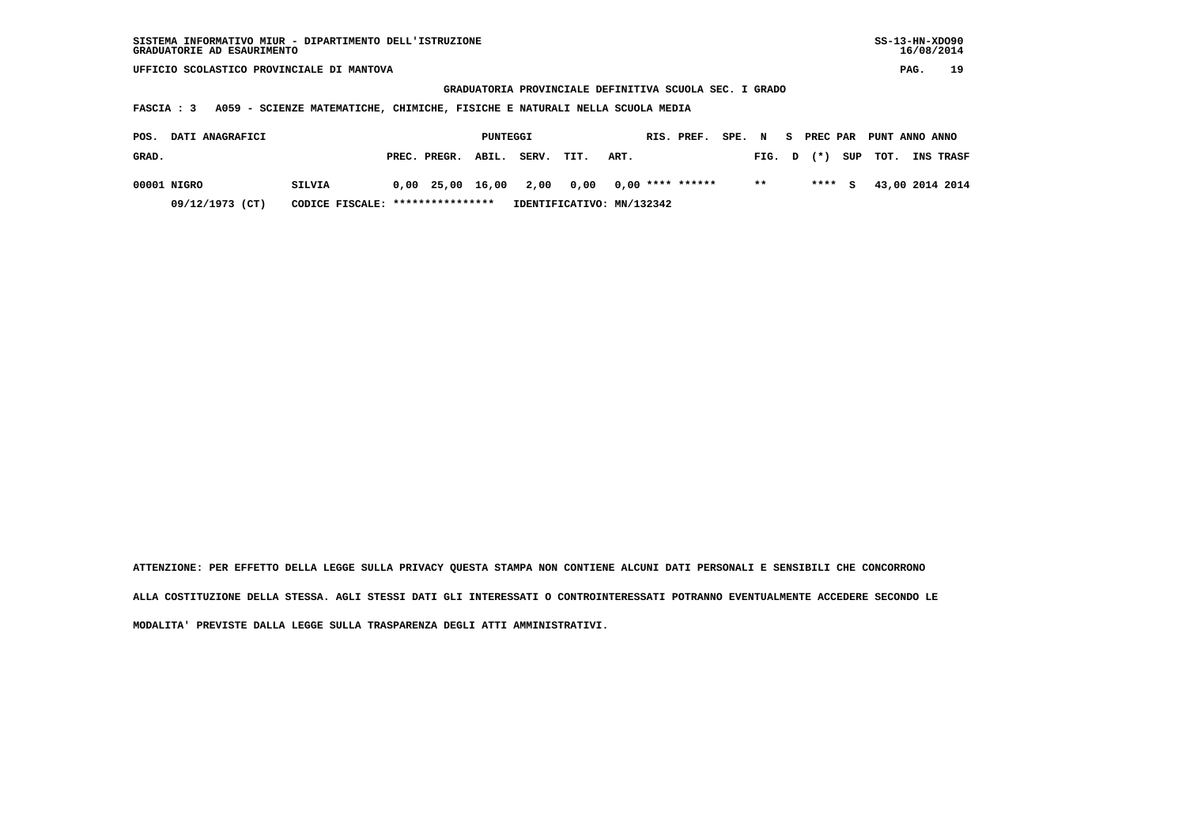**GRADUATORIA PROVINCIALE DEFINITIVA SCUOLA SEC. I GRADO**

 **FASCIA : 3 A059 - SCIENZE MATEMATICHE, CHIMICHE, FISICHE E NATURALI NELLA SCUOLA MEDIA**

| POS.  | <b>DATI ANAGRAFICI</b> |                                  |                    | PUNTEGGI |                           |      |      | RIS. PREF. | SPE. | $\mathbf N$ | - S | PREC PAR |         | PUNT ANNO ANNO |                  |
|-------|------------------------|----------------------------------|--------------------|----------|---------------------------|------|------|------------|------|-------------|-----|----------|---------|----------------|------------------|
| GRAD. |                        |                                  | PREC. PREGR. ABIL. |          | SERV.                     | TIT. | ART. |            |      | FIG. D      |     | $(*)$    | SUP     | тот.           | <b>INS TRASF</b> |
|       | 00001 NIGRO            | SILVIA                           |                    |          | 0,00 25,00 16,00 2,00     |      |      |            |      | $* *$       |     |          | $***$ S |                | 43,00 2014 2014  |
|       | 09/12/1973 (CT)        | CODICE FISCALE: **************** |                    |          | IDENTIFICATIVO: MN/132342 |      |      |            |      |             |     |          |         |                |                  |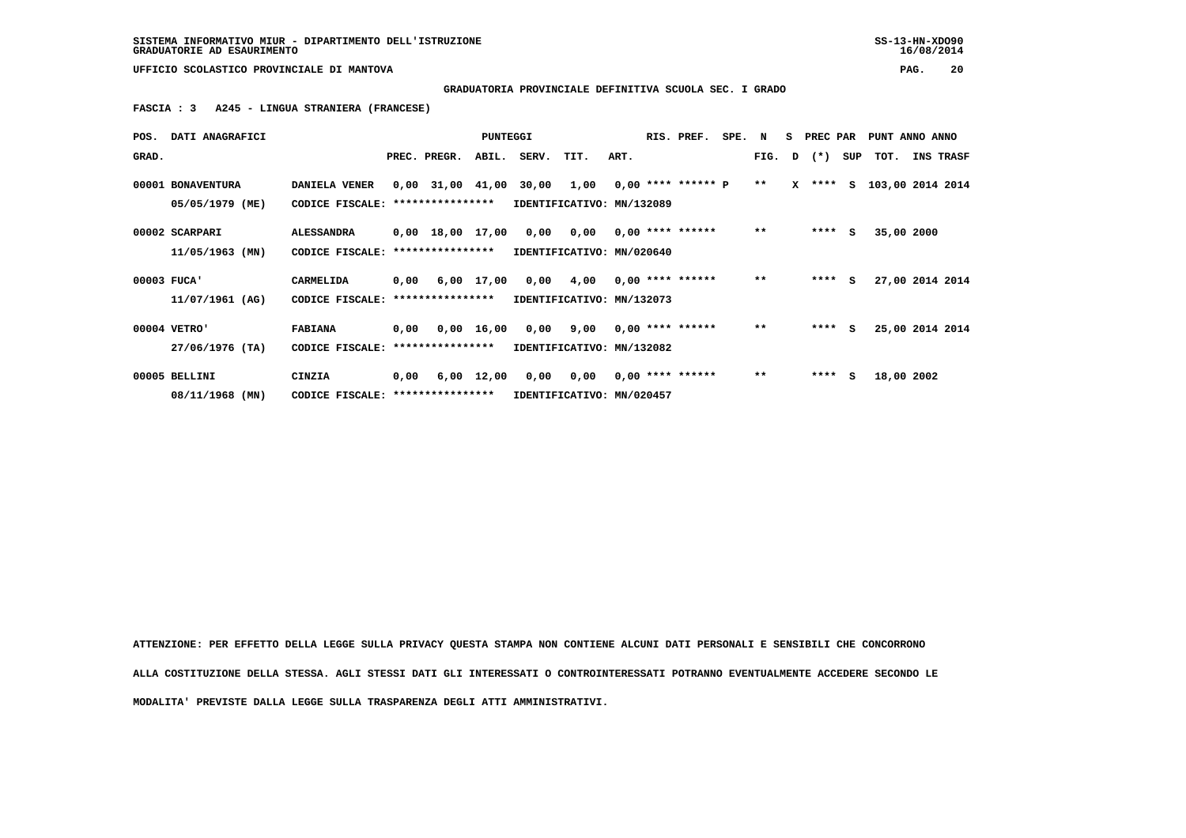**GRADUATORIA PROVINCIALE DEFINITIVA SCUOLA SEC. I GRADO**

 **FASCIA : 3 A245 - LINGUA STRANIERA (FRANCESE)**

| POS.  | DATI ANAGRAFICI                      |                                                    |      |                       | <b>PUNTEGGI</b> |                                                                                  |                                  |      | RIS. PREF.         | SPE. N |               | S PREC PAR     | PUNT ANNO ANNO            |                 |  |
|-------|--------------------------------------|----------------------------------------------------|------|-----------------------|-----------------|----------------------------------------------------------------------------------|----------------------------------|------|--------------------|--------|---------------|----------------|---------------------------|-----------------|--|
| GRAD. |                                      |                                                    |      | PREC. PREGR.          | ABIL.           | SERV. TIT.                                                                       |                                  | ART. |                    |        |               | FIG. $D$ $(*)$ | SUP TOT.                  | INS TRASF       |  |
|       | 00001 BONAVENTURA<br>05/05/1979 (ME) | DANIELA VENER<br>CODICE FISCALE:                   |      | ****************      |                 | $0,00$ 31,00 41,00 30,00 1,00 0,00 **** ****** P **<br>IDENTIFICATIVO: MN/132089 |                                  |      |                    |        |               |                | X **** S 103,00 2014 2014 |                 |  |
|       | 00002 SCARPARI<br>11/05/1963 (MN)    | <b>ALESSANDRA</b><br>CODICE FISCALE:               |      | ****************      |                 | $0,00$ 18,00 17,00 0,00 0,00 0,00 **** ******<br>IDENTIFICATIVO: MN/020640       |                                  |      |                    |        | $***$         | $***$ S        | 35,00 2000                |                 |  |
|       | 00003 FUCA'<br>11/07/1961 (AG)       | CARMELIDA<br>CODICE FISCALE: ****************      |      |                       |                 | 0,00 6,00 17,00 0,00 4,00 0,00 **** ******<br>IDENTIFICATIVO: MN/132073          |                                  |      |                    |        | $\star \star$ | $***$ S        |                           | 27,00 2014 2014 |  |
|       | 00004 VETRO'<br>27/06/1976 (TA)      | <b>FABIANA</b><br>CODICE FISCALE: **************** |      | $0,00$ $0,00$ $16,00$ |                 | IDENTIFICATIVO: MN/132082                                                        | $0,00$ $9,00$ $0,00$ **** ****** |      |                    |        | $***$         | $***$ S        |                           | 25,00 2014 2014 |  |
|       | 00005 BELLINI<br>08/11/1968 (MN)     | CINZIA<br>CODICE FISCALE: ****************         | 0,00 | 6,00 12,00            |                 | IDENTIFICATIVO: MN/020457                                                        | 0,00 0,00                        |      | $0,00$ **** ****** |        | $***$         | $***$ S        | 18,00 2002                |                 |  |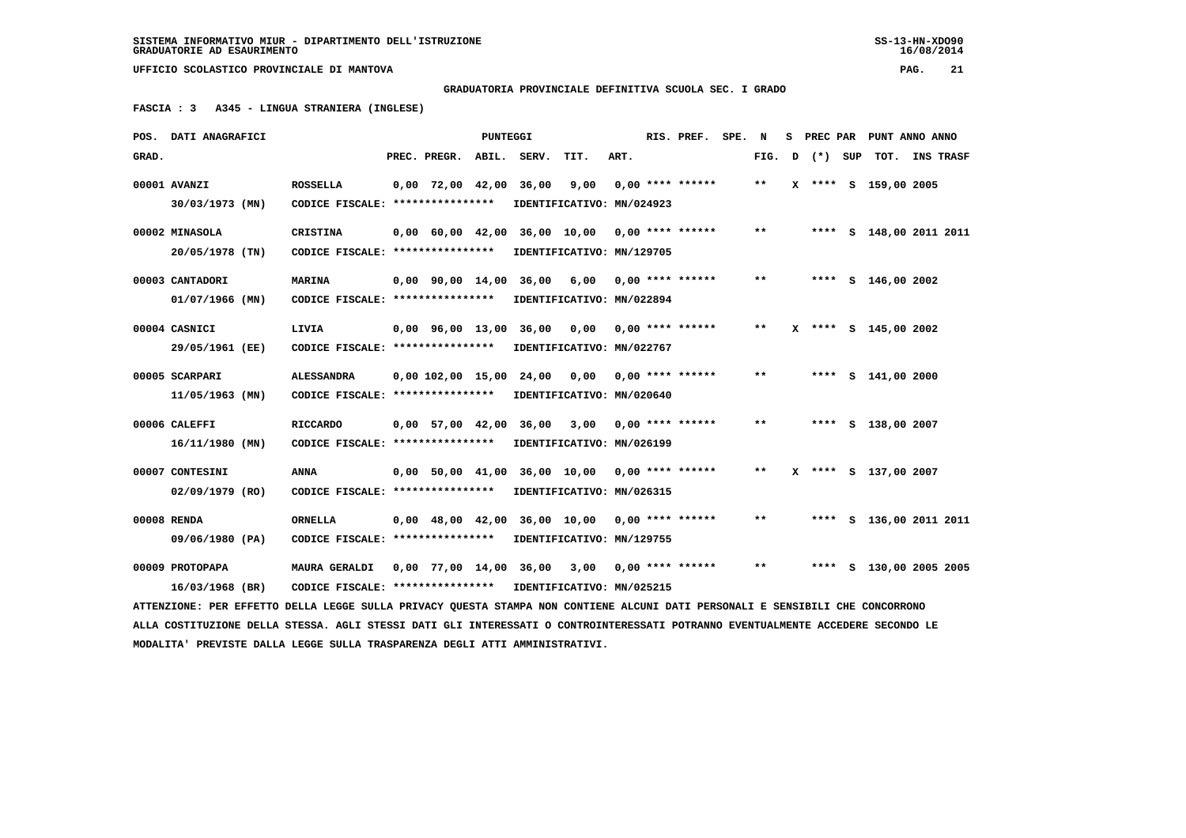**GRADUATORIA PROVINCIALE DEFINITIVA SCUOLA SEC. I GRADO**

 **FASCIA : 3 A345 - LINGUA STRANIERA (INGLESE)**

| GRAD.<br>PREC. PREGR.<br>ABIL.<br>SERV.<br>TIT.<br>ART.<br>FIG.<br>(*) SUP<br>тот.<br><b>INS TRASF</b><br>D<br>00001 AVANZI<br><b>ROSSELLA</b><br>$0,00$ 72,00 42,00<br>36,00<br>9,00<br>$0.00$ **** ******<br>X **** S 159,00 2005<br>$***$<br>30/03/1973 (MN)<br>CODICE FISCALE: ****************<br>IDENTIFICATIVO: MN/024923 |  |
|----------------------------------------------------------------------------------------------------------------------------------------------------------------------------------------------------------------------------------------------------------------------------------------------------------------------------------|--|
|                                                                                                                                                                                                                                                                                                                                  |  |
|                                                                                                                                                                                                                                                                                                                                  |  |
|                                                                                                                                                                                                                                                                                                                                  |  |
| 00002 MINASOLA<br><b>CRISTINA</b><br>0,00 60,00 42,00 36,00 10,00<br>$0.00$ **** ******<br>$* *$<br>**** S 148,00 2011 2011                                                                                                                                                                                                      |  |
| 20/05/1978 (TN)<br>CODICE FISCALE: ****************<br>IDENTIFICATIVO: MN/129705                                                                                                                                                                                                                                                 |  |
|                                                                                                                                                                                                                                                                                                                                  |  |
| 00003 CANTADORI<br><b>MARINA</b><br>$0.00$ $90.00$ $14.00$<br>36,00 6,00<br>$0.00$ **** ******<br>$**$<br>**** S 146,00 2002                                                                                                                                                                                                     |  |
| CODICE FISCALE: *****************<br>$01/07/1966$ (MN)<br>IDENTIFICATIVO: MN/022894                                                                                                                                                                                                                                              |  |
| $0,00$ $0,00$ **** ******<br>00004 CASNICI<br>LIVIA<br>0,00 96,00 13,00 36,00<br>$**$<br>X **** S 145,00 2002                                                                                                                                                                                                                    |  |
| 29/05/1961 (EE)<br>CODICE FISCALE: ****************<br>IDENTIFICATIVO: MN/022767                                                                                                                                                                                                                                                 |  |
|                                                                                                                                                                                                                                                                                                                                  |  |
| 00005 SCARPARI<br><b>ALESSANDRA</b><br>0,00 102,00 15,00<br>24,00<br>0,00<br>$0.00$ **** ******<br>$* *$<br>**** $S$ 141,00 2000                                                                                                                                                                                                 |  |
| 11/05/1963 (MN)<br>CODICE FISCALE: ****************<br>IDENTIFICATIVO: MN/020640                                                                                                                                                                                                                                                 |  |
| 00006 CALEFFI<br><b>RICCARDO</b><br>0,00 57,00 42,00 36,00<br>3,00 0,00 **** ******<br>$* *$<br>**** S 138,00 2007                                                                                                                                                                                                               |  |
| IDENTIFICATIVO: MN/026199<br>16/11/1980 (MN)<br>CODICE FISCALE: ****************                                                                                                                                                                                                                                                 |  |
| 0,00 50,00 41,00 36,00 10,00<br>$0.00$ **** ******<br>X **** S 137,00 2007<br>00007 CONTESINI<br><b>ANNA</b><br>$* *$                                                                                                                                                                                                            |  |
| $02/09/1979$ (RO)<br>CODICE FISCALE: ****************<br>IDENTIFICATIVO: MN/026315                                                                                                                                                                                                                                               |  |
|                                                                                                                                                                                                                                                                                                                                  |  |
| 00008 RENDA<br><b>ORNELLA</b><br>0,00 48,00 42,00 36,00 10,00<br>**** S 136,00 2011 2011<br>$0.00$ **** ******<br>$* *$                                                                                                                                                                                                          |  |
| CODICE FISCALE: *****************<br>IDENTIFICATIVO: MN/129755<br>09/06/1980 (PA)                                                                                                                                                                                                                                                |  |
| 00009 PROTOPAPA<br>0,00 77,00 14,00 36,00 3,00 0,00 **** ******<br>$***$<br>**** S 130,00 2005 2005<br><b>MAURA GERALDI</b>                                                                                                                                                                                                      |  |
| CODICE FISCALE: *****************<br>IDENTIFICATIVO: MN/025215<br>16/03/1968 (BR)                                                                                                                                                                                                                                                |  |
| ATTENZIONE: PER EFFETTO DELLA LEGGE SULLA PRIVACY QUESTA STAMPA NON CONTIENE ALCUNI DATI PERSONALI E SENSIBILI CHE CONCORRONO                                                                                                                                                                                                    |  |
| ALLA COSTITUZIONE DELLA STESSA. AGLI STESSI DATI GLI INTERESSATI O CONTROINTERESSATI POTRANNO EVENTUALMENTE ACCEDERE SECONDO LE                                                                                                                                                                                                  |  |
| MODALITA' PREVISTE DALLA LEGGE SULLA TRASPARENZA DEGLI ATTI AMMINISTRATIVI.                                                                                                                                                                                                                                                      |  |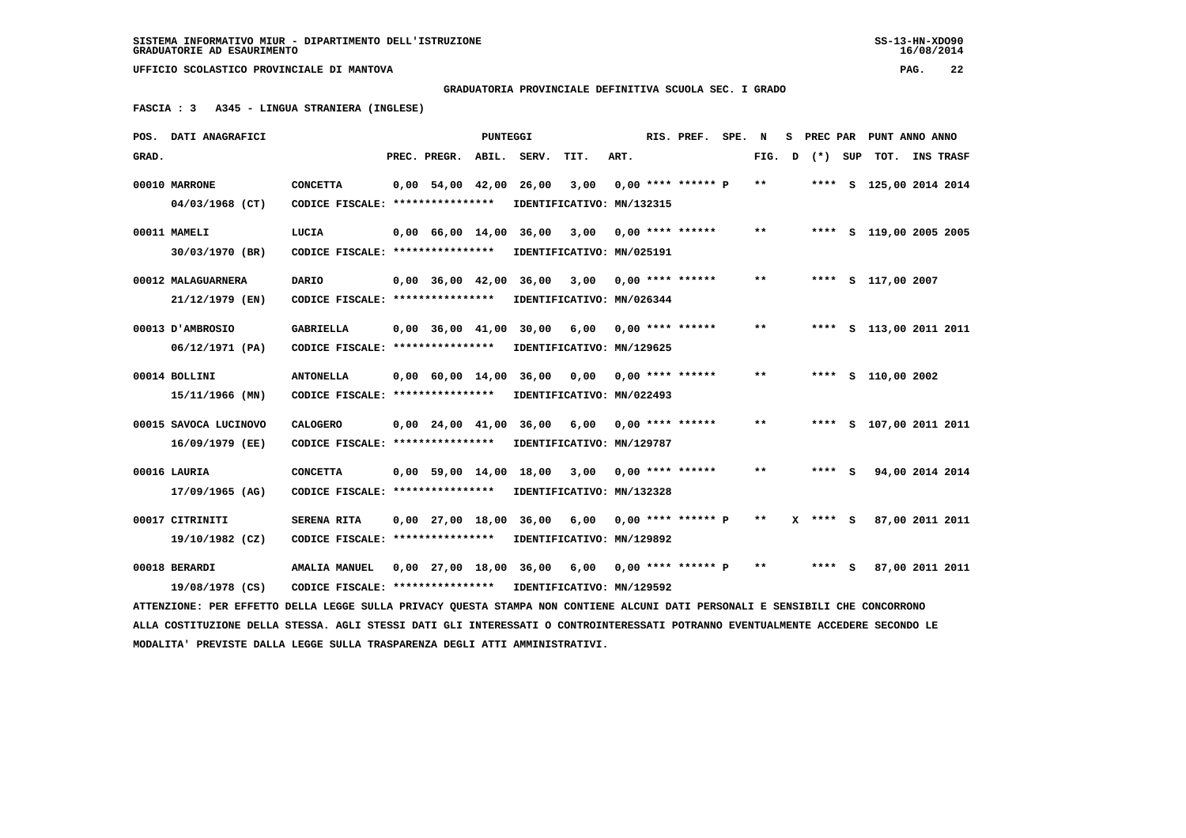**GRADUATORIA PROVINCIALE DEFINITIVA SCUOLA SEC. I GRADO**

 **FASCIA : 3 A345 - LINGUA STRANIERA (INGLESE)**

|       | POS. DATI ANAGRAFICI                                                                                                            |                                  |                          | PUNTEGGI |                           |                           |      | RIS. PREF.                | SPE. | N      | s | PREC PAR |     | PUNT ANNO ANNO          |           |  |
|-------|---------------------------------------------------------------------------------------------------------------------------------|----------------------------------|--------------------------|----------|---------------------------|---------------------------|------|---------------------------|------|--------|---|----------|-----|-------------------------|-----------|--|
| GRAD. |                                                                                                                                 |                                  | PREC. PREGR.             | ABIL.    | SERV.                     | TIT.                      | ART. |                           |      | FIG. D |   | $(*)$    | SUP | TOT.                    | INS TRASF |  |
|       | 00010 MARRONE                                                                                                                   | <b>CONCETTA</b>                  | $0,00$ 54,00 42,00       |          | 26,00                     | 3,00                      |      | $0.00$ **** ****** P      |      | $***$  |   |          |     | **** S 125,00 2014 2014 |           |  |
|       | 04/03/1968 (CT)                                                                                                                 | CODICE FISCALE: **************** |                          |          | IDENTIFICATIVO: MN/132315 |                           |      |                           |      |        |   |          |     |                         |           |  |
|       |                                                                                                                                 |                                  |                          |          |                           |                           |      |                           |      |        |   |          |     |                         |           |  |
|       | 00011 MAMELI                                                                                                                    | LUCIA                            | 0,00 66,00 14,00 36,00   |          |                           | 3,00                      |      | $0.00$ **** ******        |      | $* *$  |   |          |     | **** S 119,00 2005 2005 |           |  |
|       | 30/03/1970 (BR)                                                                                                                 | CODICE FISCALE: **************** |                          |          | IDENTIFICATIVO: MN/025191 |                           |      |                           |      |        |   |          |     |                         |           |  |
|       | 00012 MALAGUARNERA                                                                                                              | DARIO                            | $0,00$ 36,00 42,00       |          | 36,00                     | 3,00                      |      | $0.00$ **** ******        |      | $***$  |   |          |     | **** S 117,00 2007      |           |  |
|       | 21/12/1979 (EN)                                                                                                                 | CODICE FISCALE: **************** |                          |          | IDENTIFICATIVO: MN/026344 |                           |      |                           |      |        |   |          |     |                         |           |  |
|       |                                                                                                                                 |                                  |                          |          |                           |                           |      |                           |      |        |   |          |     |                         |           |  |
|       | 00013 D'AMBROSIO                                                                                                                | <b>GABRIELLA</b>                 | $0.00$ 36.00 41.00       |          | 30,00                     | 6,00                      |      | 0,00 **** ******          |      | $* *$  |   |          |     | **** S 113,00 2011 2011 |           |  |
|       | 06/12/1971 (PA)                                                                                                                 | CODICE FISCALE: **************** |                          |          |                           | IDENTIFICATIVO: MN/129625 |      |                           |      |        |   |          |     |                         |           |  |
|       | 00014 BOLLINI                                                                                                                   | <b>ANTONELLA</b>                 |                          |          | 0,00 60,00 14,00 36,00    | 0,00                      |      | $0.00$ **** ******        |      | $***$  |   |          |     | **** S 110,00 2002      |           |  |
|       | 15/11/1966 (MN)                                                                                                                 | CODICE FISCALE: **************** |                          |          | IDENTIFICATIVO: MN/022493 |                           |      |                           |      |        |   |          |     |                         |           |  |
|       | 00015 SAVOCA LUCINOVO                                                                                                           | <b>CALOGERO</b>                  |                          |          | 0,00 24,00 41,00 36,00    | 6,00                      |      | $0.00$ **** ******        |      | $* *$  |   |          |     | **** S 107,00 2011 2011 |           |  |
|       |                                                                                                                                 |                                  |                          |          |                           |                           |      |                           |      |        |   |          |     |                         |           |  |
|       | 16/09/1979 (EE)                                                                                                                 | CODICE FISCALE: **************** |                          |          |                           | IDENTIFICATIVO: MN/129787 |      |                           |      |        |   |          |     |                         |           |  |
|       | 00016 LAURIA                                                                                                                    | <b>CONCETTA</b>                  | $0.00$ 59.00 14.00 18.00 |          |                           | 3,00                      |      | $0.00$ **** ******        |      | $**$   |   | $***$ S  |     | 94,00 2014 2014         |           |  |
|       | 17/09/1965 (AG)                                                                                                                 | CODICE FISCALE: **************** |                          |          | IDENTIFICATIVO: MN/132328 |                           |      |                           |      |        |   |          |     |                         |           |  |
|       |                                                                                                                                 |                                  |                          |          |                           |                           |      |                           |      |        |   |          |     |                         |           |  |
|       | 00017 CITRINITI                                                                                                                 | SERENA RITA                      | $0,00$ 27,00 18,00       |          | 36,00                     | 6,00                      |      | $0.00$ **** ****** P      |      | $* *$  |   | X **** S |     | 87,00 2011 2011         |           |  |
|       | 19/10/1982 (CZ)                                                                                                                 | CODICE FISCALE: **************** |                          |          | IDENTIFICATIVO: MN/129892 |                           |      |                           |      |        |   |          |     |                         |           |  |
|       | 00018 BERARDI                                                                                                                   | <b>AMALIA MANUEL</b>             |                          |          | 0,00 27,00 18,00 36,00    |                           |      | $6,00$ 0,00 **** ****** P |      | $* *$  |   | **** S   |     | 87,00 2011 2011         |           |  |
|       | 19/08/1978 (CS)                                                                                                                 | CODICE FISCALE: **************** |                          |          | IDENTIFICATIVO: MN/129592 |                           |      |                           |      |        |   |          |     |                         |           |  |
|       | ATTENZIONE: PER EFFETTO DELLA LEGGE SULLA PRIVACY QUESTA STAMPA NON CONTIENE ALCUNI DATI PERSONALI E SENSIBILI CHE CONCORRONO   |                                  |                          |          |                           |                           |      |                           |      |        |   |          |     |                         |           |  |
|       | ALLA COSTITUZIONE DELLA STESSA. AGLI STESSI DATI GLI INTERESSATI O CONTROINTERESSATI POTRANNO EVENTUALMENTE ACCEDERE SECONDO LE |                                  |                          |          |                           |                           |      |                           |      |        |   |          |     |                         |           |  |
|       | MODALITA' PREVISTE DALLA LEGGE SULLA TRASPARENZA DEGLI ATTI AMMINISTRATIVI.                                                     |                                  |                          |          |                           |                           |      |                           |      |        |   |          |     |                         |           |  |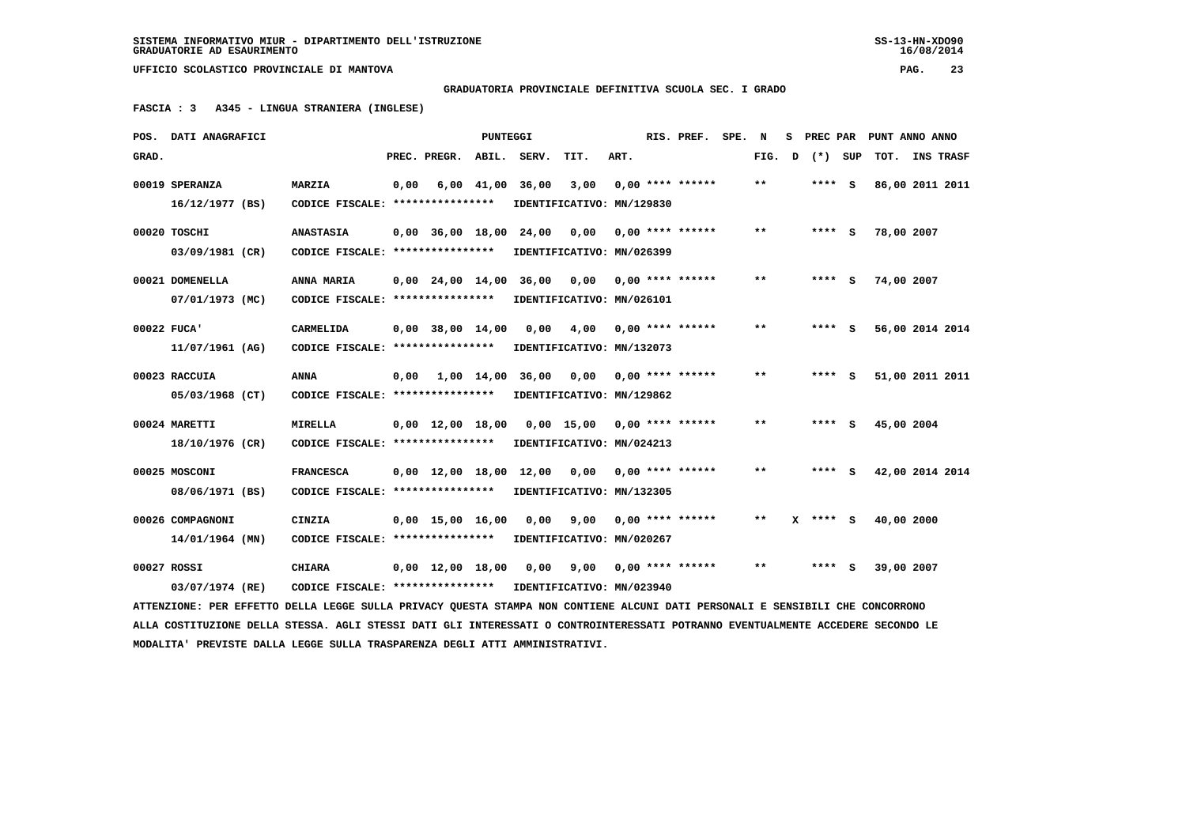**GRADUATORIA PROVINCIALE DEFINITIVA SCUOLA SEC. I GRADO**

 **FASCIA : 3 A345 - LINGUA STRANIERA (INGLESE)**

|       | POS. DATI ANAGRAFICI                                                                                                            |                                                            |      |                                  | PUNTEGGI       |       |                                                |      | RIS. PREF.              | SPE. N |              | s | <b>PREC PAR</b>    | PUNT ANNO ANNO  |                  |  |
|-------|---------------------------------------------------------------------------------------------------------------------------------|------------------------------------------------------------|------|----------------------------------|----------------|-------|------------------------------------------------|------|-------------------------|--------|--------------|---|--------------------|-----------------|------------------|--|
| GRAD. |                                                                                                                                 |                                                            |      | PREC. PREGR. ABIL. SERV.         |                |       | TIT.                                           | ART. |                         |        |              |   | FIG. $D$ $(*)$ SUP | тот.            | <b>INS TRASF</b> |  |
|       | 00019 SPERANZA                                                                                                                  | <b>MARZIA</b>                                              | 0,00 |                                  | $6,00$ $41,00$ | 36,00 | 3,00                                           |      | $0.00$ **** ******      |        | $* *$        |   | **** S             | 86,00 2011 2011 |                  |  |
|       | 16/12/1977 (BS)                                                                                                                 | CODICE FISCALE: ****************                           |      |                                  |                |       | IDENTIFICATIVO: MN/129830                      |      |                         |        |              |   |                    |                 |                  |  |
|       | 00020 TOSCHI                                                                                                                    | <b>ANASTASIA</b>                                           |      | $0,00$ $36,00$ $18,00$ $24,00$   |                |       | 0,00                                           |      | $0.00$ **** ******      |        | **           |   | $***$ S            | 78,00 2007      |                  |  |
|       | 03/09/1981 (CR)                                                                                                                 | CODICE FISCALE: *****************                          |      |                                  |                |       | IDENTIFICATIVO: MN/026399                      |      |                         |        |              |   |                    |                 |                  |  |
|       | 00021 DOMENELLA                                                                                                                 | ANNA MARIA                                                 |      |                                  |                |       | $0,00$ 24,00 14,00 36,00 0,00 0,00 **** ****** |      |                         |        | $* *$        |   | **** S             | 74,00 2007      |                  |  |
|       | 07/01/1973 (MC)                                                                                                                 | CODICE FISCALE: ****************                           |      |                                  |                |       | IDENTIFICATIVO: MN/026101                      |      |                         |        |              |   |                    |                 |                  |  |
|       | 00022 FUCA'                                                                                                                     | CARMELIDA                                                  |      | $0,00$ 38,00 14,00               |                | 0,00  | 4,00                                           |      | $0.00$ **** ******      |        | $\star\star$ |   | $***$ S            | 56,00 2014 2014 |                  |  |
|       | 11/07/1961 (AG)                                                                                                                 | CODICE FISCALE: ****************                           |      |                                  |                |       | IDENTIFICATIVO: MN/132073                      |      |                         |        |              |   |                    |                 |                  |  |
|       | 00023 RACCUIA                                                                                                                   | <b>ANNA</b>                                                |      | $0.00 \t 1.00 \t 14.00 \t 36.00$ |                |       | $0,00$ $0,00$ **** ******                      |      |                         |        | $**$         |   | $***$ S            | 51,00 2011 2011 |                  |  |
|       | 05/03/1968 (CT)                                                                                                                 | CODICE FISCALE: ****************                           |      |                                  |                |       | IDENTIFICATIVO: MN/129862                      |      |                         |        |              |   |                    |                 |                  |  |
|       | 00024 MARETTI                                                                                                                   | <b>MIRELLA</b>                                             |      |                                  |                |       | $0,00$ 12,00 18,00 0,00 15,00 0,00 **** ****** |      |                         |        | $***$        |   | $***$ S            | 45,00 2004      |                  |  |
|       | 18/10/1976 (CR)                                                                                                                 | CODICE FISCALE: ****************                           |      |                                  |                |       | IDENTIFICATIVO: MN/024213                      |      |                         |        |              |   |                    |                 |                  |  |
|       | 00025 MOSCONI                                                                                                                   | <b>FRANCESCA</b>                                           |      |                                  |                |       | $0,00$ 12,00 18,00 12,00 0,00 0,00 **** ****** |      |                         |        | $***$        |   | $***$ S            | 42,00 2014 2014 |                  |  |
|       | 08/06/1971 (BS)                                                                                                                 | CODICE FISCALE: ****************                           |      |                                  |                |       | IDENTIFICATIVO: MN/132305                      |      |                         |        |              |   |                    |                 |                  |  |
|       | 00026 COMPAGNONI                                                                                                                | CINZIA                                                     |      | $0,00$ 15,00 16,00               |                | 0,00  | 9,00                                           |      | $0.00$ **** ******      |        |              |   | **** S             | 40,00 2000      |                  |  |
|       | 14/01/1964 (MN)                                                                                                                 | CODICE FISCALE: ****************                           |      |                                  |                |       | IDENTIFICATIVO: MN/020267                      |      |                         |        |              |   |                    |                 |                  |  |
|       | 00027 ROSSI                                                                                                                     | <b>CHIARA</b>                                              |      | $0.00 \quad 12.00 \quad 18.00$   |                | 0,00  |                                                |      | $9,00$ 0,00 **** ****** |        | $***$        |   | **** S             | 39,00 2007      |                  |  |
|       | 03/07/1974 (RE)                                                                                                                 | CODICE FISCALE: **************** IDENTIFICATIVO: MN/023940 |      |                                  |                |       |                                                |      |                         |        |              |   |                    |                 |                  |  |
|       | ATTENZIONE: PER EFFETTO DELLA LEGGE SULLA PRIVACY OUESTA STAMPA NON CONTIENE ALCUNI DATI PERSONALI E SENSIBILI CHE CONCORRONO   |                                                            |      |                                  |                |       |                                                |      |                         |        |              |   |                    |                 |                  |  |
|       | ALLA COSTITUZIONE DELLA STESSA. AGLI STESSI DATI GLI INTERESSATI O CONTROINTERESSATI POTRANNO EVENTUALMENTE ACCEDERE SECONDO LE |                                                            |      |                                  |                |       |                                                |      |                         |        |              |   |                    |                 |                  |  |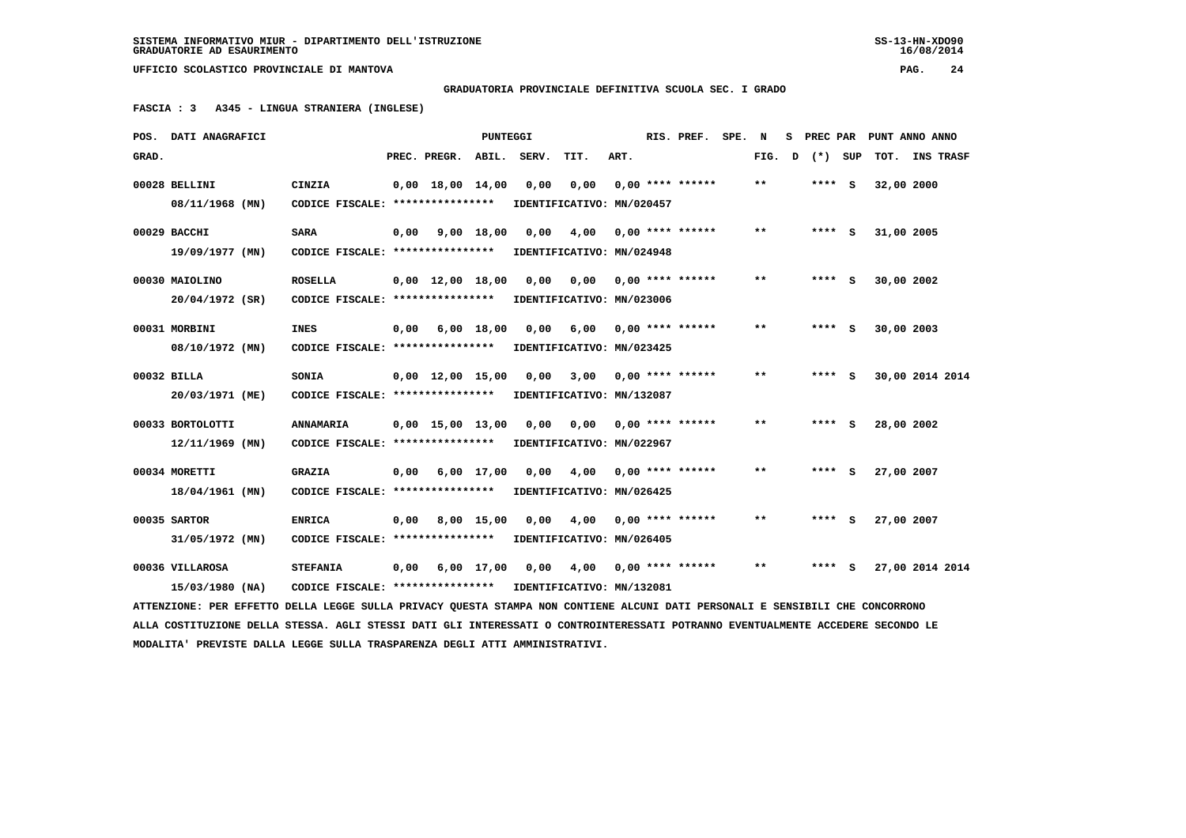$16/08/2014$ 

 **UFFICIO SCOLASTICO PROVINCIALE DI MANTOVA PAG. 24**

 **GRADUATORIA PROVINCIALE DEFINITIVA SCUOLA SEC. I GRADO**

 **FASCIA : 3 A345 - LINGUA STRANIERA (INGLESE)**

|       | POS. DATI ANAGRAFICI                                                                                                            |                                                            |      |                                | <b>PUNTEGGI</b> |      |                            |      | RIS. PREF.                | SPE. N |                            | s | PREC PAR | PUNT ANNO ANNO |                 |  |
|-------|---------------------------------------------------------------------------------------------------------------------------------|------------------------------------------------------------|------|--------------------------------|-----------------|------|----------------------------|------|---------------------------|--------|----------------------------|---|----------|----------------|-----------------|--|
| GRAD. |                                                                                                                                 |                                                            |      | PREC. PREGR. ABIL. SERV.       |                 |      | TIT.                       | ART. |                           |        | FIG.                       | D | (*) SUP  | TOT.           | INS TRASF       |  |
|       | 00028 BELLINI                                                                                                                   | CINZIA                                                     |      | $0,00 \quad 18,00 \quad 14,00$ |                 | 0,00 | 0,00                       |      | $0.00$ **** ******        |        | $* *$                      |   | $***$ S  | 32,00 2000     |                 |  |
|       | 08/11/1968 (MN)                                                                                                                 | CODICE FISCALE: ****************                           |      |                                |                 |      | IDENTIFICATIVO: MN/020457  |      |                           |        |                            |   |          |                |                 |  |
|       | 00029 BACCHI                                                                                                                    | SARA                                                       | 0,00 | 9,00 18,00                     |                 | 0.00 | 4,00                       |      | $0.00$ **** ******        |        | $* *$                      |   | $***$ S  | 31,00 2005     |                 |  |
|       | 19/09/1977 (MN)                                                                                                                 | CODICE FISCALE: ****************                           |      |                                |                 |      | IDENTIFICATIVO: MN/024948  |      |                           |        |                            |   |          |                |                 |  |
|       | 00030 MAIOLINO                                                                                                                  | <b>ROSELLA</b>                                             |      | $0,00 \quad 12,00 \quad 18,00$ |                 | 0,00 |                            |      | $0,00$ $0,00$ **** ****** |        | $* *$                      |   | $***$ S  | 30,00 2002     |                 |  |
|       | 20/04/1972 (SR)                                                                                                                 | CODICE FISCALE: ****************                           |      |                                |                 |      | IDENTIFICATIVO: MN/023006  |      |                           |        |                            |   |          |                |                 |  |
|       | 00031 MORBINI                                                                                                                   | <b>INES</b>                                                | 0,00 | 6,00 18,00                     |                 | 0,00 | 6,00                       |      | $0,00$ **** ******        |        | $***$                      |   | $***$ S  | 30,00 2003     |                 |  |
|       | 08/10/1972 (MN)                                                                                                                 | CODICE FISCALE: *****************                          |      |                                |                 |      | IDENTIFICATIVO: MN/023425  |      |                           |        |                            |   |          |                |                 |  |
|       | 00032 BILLA                                                                                                                     | SONIA                                                      |      | $0,00 \quad 12,00 \quad 15,00$ |                 |      | 0,00 3,00 0,00 **** ****** |      |                           |        | $***$                      |   | $***$ S  |                | 30,00 2014 2014 |  |
|       | 20/03/1971 (ME)                                                                                                                 | CODICE FISCALE: ****************                           |      |                                |                 |      | IDENTIFICATIVO: MN/132087  |      |                           |        |                            |   |          |                |                 |  |
|       | 00033 BORTOLOTTI                                                                                                                | <b>ANNAMARIA</b>                                           |      | $0,00$ 15,00 13,00             |                 | 0,00 | 0,00                       |      | $0,00$ **** ******        |        | $\pmb{\times}\pmb{\times}$ |   | $***$ S  | 28,00 2002     |                 |  |
|       | $12/11/1969$ (MN)                                                                                                               | CODICE FISCALE: *****************                          |      |                                |                 |      | IDENTIFICATIVO: MN/022967  |      |                           |        |                            |   |          |                |                 |  |
|       | 00034 MORETTI                                                                                                                   | <b>GRAZIA</b>                                              |      | $0,00$ 6,00 17,00              |                 | 0,00 | 4,00 0,00 **** ******      |      |                           |        | **                         |   | $***$ S  | 27,00 2007     |                 |  |
|       | 18/04/1961 (MN)                                                                                                                 | CODICE FISCALE: *****************                          |      |                                |                 |      | IDENTIFICATIVO: MN/026425  |      |                           |        |                            |   |          |                |                 |  |
|       | 00035 SARTOR                                                                                                                    | <b>ENRICA</b>                                              | 0,00 |                                | 8,00 15,00      | 0.00 |                            |      | $4,00$ 0,00 **** ******   |        | $* *$                      |   | **** S   | 27,00 2007     |                 |  |
|       | 31/05/1972 (MN)                                                                                                                 | CODICE FISCALE: ****************                           |      |                                |                 |      | IDENTIFICATIVO: MN/026405  |      |                           |        |                            |   |          |                |                 |  |
|       | 00036 VILLAROSA                                                                                                                 | <b>STEFANIA</b>                                            | 0,00 |                                | 6,00 17,00      |      | 0,00 4,00 0,00 **** ****** |      |                           |        | **                         |   | **** S   |                | 27,00 2014 2014 |  |
|       | 15/03/1980 (NA)                                                                                                                 | CODICE FISCALE: **************** IDENTIFICATIVO: MN/132081 |      |                                |                 |      |                            |      |                           |        |                            |   |          |                |                 |  |
|       | ATTENZIONE: PER EFFETTO DELLA LEGGE SULLA PRIVACY QUESTA STAMPA NON CONTIENE ALCUNI DATI PERSONALI E SENSIBILI CHE CONCORRONO   |                                                            |      |                                |                 |      |                            |      |                           |        |                            |   |          |                |                 |  |
|       | ALLA COSTITUZIONE DELLA STESSA. AGLI STESSI DATI GLI INTERESSATI O CONTROINTERESSATI POTRANNO EVENTUALMENTE ACCEDERE SECONDO LE |                                                            |      |                                |                 |      |                            |      |                           |        |                            |   |          |                |                 |  |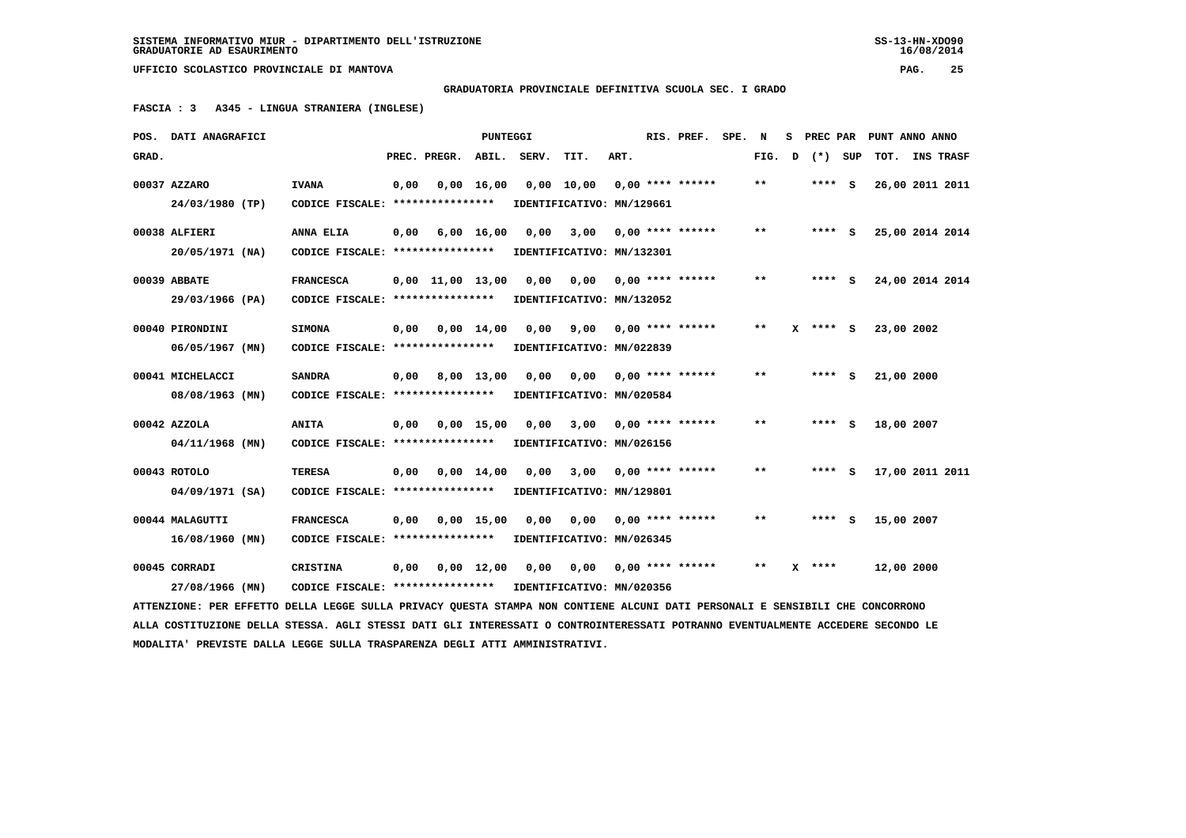**GRADUATORIA PROVINCIALE DEFINITIVA SCUOLA SEC. I GRADO**

 **FASCIA : 3 A345 - LINGUA STRANIERA (INGLESE)**

|       | POS. DATI ANAGRAFICI                                                                                                            |                                                            |      |                        | <b>PUNTEGGI</b>    |                               |                               |      | RIS. PREF.                | SPE. N |       | s | PREC PAR   |            | PUNT ANNO ANNO  |
|-------|---------------------------------------------------------------------------------------------------------------------------------|------------------------------------------------------------|------|------------------------|--------------------|-------------------------------|-------------------------------|------|---------------------------|--------|-------|---|------------|------------|-----------------|
| GRAD. |                                                                                                                                 |                                                            |      | PREC. PREGR.           | ABIL.              | SERV.                         | TIT.                          | ART. |                           |        | FIG.  | D | (*) SUP    | TOT.       | INS TRASF       |
|       | 00037 AZZARO                                                                                                                    | <b>IVANA</b>                                               | 0,00 |                        | $0,00$ 16,00       |                               | $0,00$ 10,00 0,00 **** ****** |      |                           |        | $* *$ |   | $***$ S    |            | 26,00 2011 2011 |
|       | 24/03/1980 (TP)                                                                                                                 | CODICE FISCALE: ****************                           |      |                        |                    |                               | IDENTIFICATIVO: MN/129661     |      |                           |        |       |   |            |            |                 |
|       | 00038 ALFIERI                                                                                                                   | <b>ANNA ELIA</b>                                           | 0,00 |                        | 6,00 16,00         | 0,00                          |                               |      | $3,00$ 0,00 **** ******   |        | $***$ |   | $***$ S    |            | 25,00 2014 2014 |
|       | 20/05/1971 (NA)                                                                                                                 | CODICE FISCALE: ****************                           |      |                        |                    |                               | IDENTIFICATIVO: MN/132301     |      |                           |        |       |   |            |            |                 |
|       | 00039 ABBATE                                                                                                                    | <b>FRANCESCA</b>                                           |      | $0,00$ $11,00$ $13,00$ |                    |                               | 0,00 0,00 0,00 **** ******    |      |                           |        | **    |   | **** S     |            | 24,00 2014 2014 |
|       | 29/03/1966 (PA)                                                                                                                 | CODICE FISCALE: ****************                           |      |                        |                    |                               | IDENTIFICATIVO: MN/132052     |      |                           |        |       |   |            |            |                 |
|       | 00040 PIRONDINI                                                                                                                 | <b>SIMONA</b>                                              | 0,00 |                        | $0.00 \quad 14.00$ | 0.00                          |                               |      | $9,00$ 0,00 **** ******   |        | $***$ |   | $X$ **** S | 23,00 2002 |                 |
|       | 06/05/1967 (MN)                                                                                                                 | CODICE FISCALE: ****************                           |      |                        |                    |                               | IDENTIFICATIVO: MN/022839     |      |                           |        |       |   |            |            |                 |
|       | 00041 MICHELACCI                                                                                                                | <b>SANDRA</b>                                              |      | $0,00$ $8,00$ $13,00$  |                    | 0,00                          |                               |      | $0,00$ $0,00$ **** ****** |        | $* *$ |   | $***$ S    | 21,00 2000 |                 |
|       | 08/08/1963 (MN)                                                                                                                 | CODICE FISCALE: *****************                          |      |                        |                    |                               | IDENTIFICATIVO: MN/020584     |      |                           |        |       |   |            |            |                 |
|       | 00042 AZZOLA                                                                                                                    | <b>ANITA</b>                                               | 0,00 |                        | $0,00$ 15,00       |                               | $0,00$ 3,00 0,00 **** ******  |      |                           |        | $* *$ |   | $***$ S    | 18,00 2007 |                 |
|       | $04/11/1968$ (MN)                                                                                                               | CODICE FISCALE: *****************                          |      |                        |                    |                               | IDENTIFICATIVO: MN/026156     |      |                           |        |       |   |            |            |                 |
|       | 00043 ROTOLO                                                                                                                    | <b>TERESA</b>                                              | 0,00 |                        | $0,00 \quad 14,00$ | 0,00                          |                               |      | $3,00$ 0,00 **** ******   |        | $**$  |   | $***$ S    |            | 17,00 2011 2011 |
|       | 04/09/1971 (SA)                                                                                                                 | CODICE FISCALE: ****************                           |      |                        |                    |                               | IDENTIFICATIVO: MN/129801     |      |                           |        |       |   |            |            |                 |
|       | 00044 MALAGUTTI                                                                                                                 | <b>FRANCESCA</b>                                           | 0,00 |                        | $0,00$ 15,00       | 0,00                          | 0,00                          |      | $0.00$ **** ******        |        | $***$ |   | $***$ S    | 15,00 2007 |                 |
|       | 16/08/1960 (MN)                                                                                                                 | CODICE FISCALE: ****************                           |      |                        |                    |                               | IDENTIFICATIVO: MN/026345     |      |                           |        |       |   |            |            |                 |
|       | 00045 CORRADI                                                                                                                   | CRISTINA                                                   | 0,00 |                        |                    | $0,00 \quad 12,00 \quad 0,00$ |                               |      | 0,00 0,00 **** ******     |        | $* *$ |   | $x***$     | 12,00 2000 |                 |
|       | 27/08/1966 (MN)                                                                                                                 | CODICE FISCALE: **************** IDENTIFICATIVO: MN/020356 |      |                        |                    |                               |                               |      |                           |        |       |   |            |            |                 |
|       | ATTENZIONE: PER EFFETTO DELLA LEGGE SULLA PRIVACY QUESTA STAMPA NON CONTIENE ALCUNI DATI PERSONALI E SENSIBILI CHE CONCORRONO   |                                                            |      |                        |                    |                               |                               |      |                           |        |       |   |            |            |                 |
|       | ALLA COSTITUZIONE DELLA STESSA. AGLI STESSI DATI GLI INTERESSATI O CONTROINTERESSATI POTRANNO EVENTUALMENTE ACCEDERE SECONDO LE |                                                            |      |                        |                    |                               |                               |      |                           |        |       |   |            |            |                 |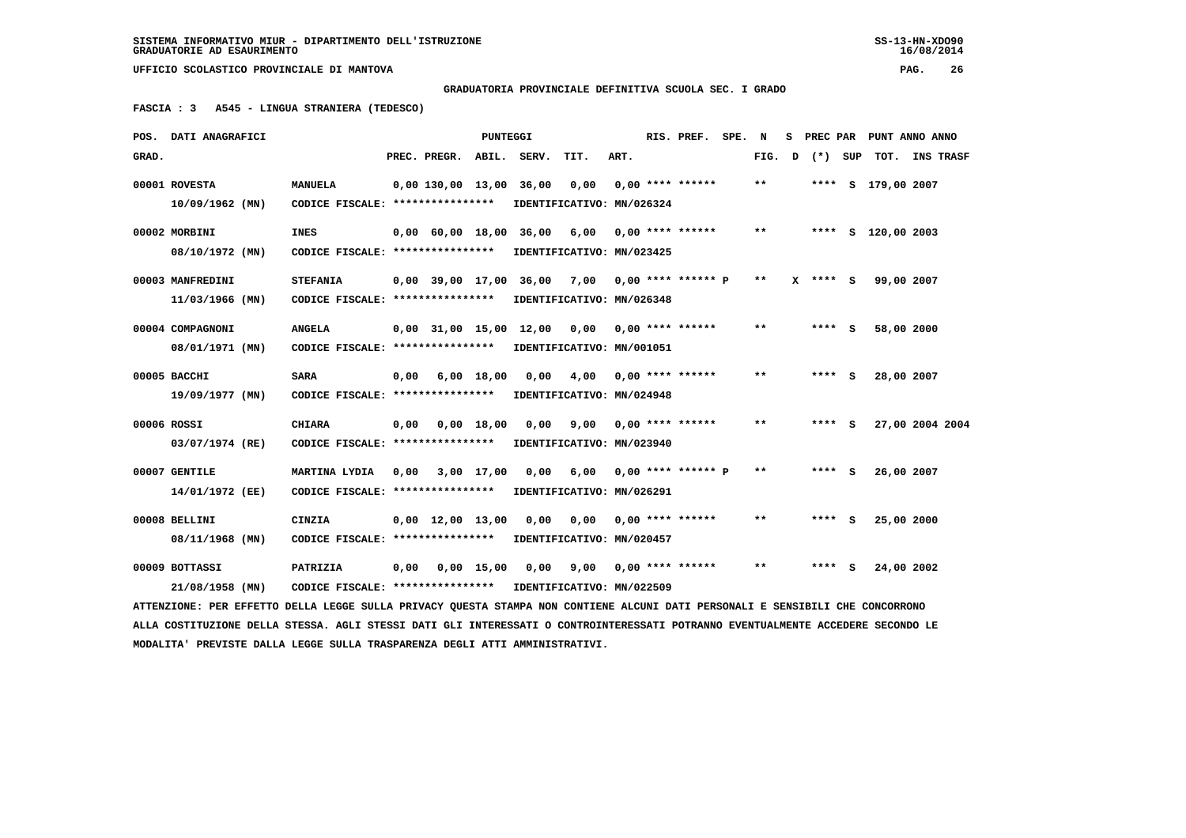**GRADUATORIA PROVINCIALE DEFINITIVA SCUOLA SEC. I GRADO**

 **FASCIA : 3 A545 - LINGUA STRANIERA (TEDESCO)**

|       | POS. DATI ANAGRAFICI                                                                                                            |                                  |      |                                | <b>PUNTEGGI</b> |            |                                                  |      | RIS. PREF. SPE.      | N            | s |            |     | PREC PAR PUNT ANNO ANNO |                  |
|-------|---------------------------------------------------------------------------------------------------------------------------------|----------------------------------|------|--------------------------------|-----------------|------------|--------------------------------------------------|------|----------------------|--------------|---|------------|-----|-------------------------|------------------|
| GRAD. |                                                                                                                                 |                                  |      | PREC. PREGR.                   | ABIL.           | SERV.      | TIT.                                             | ART. |                      | FIG.         | D | $(* )$     | SUP | тот.                    | <b>INS TRASF</b> |
|       | 00001 ROVESTA                                                                                                                   | <b>MANUELA</b>                   |      | 0,00 130,00 13,00 36,00        |                 |            | 0,00                                             |      | $0,00$ **** ******   | $***$        |   |            |     | **** S 179,00 2007      |                  |
|       | $10/09/1962$ (MN)                                                                                                               | CODICE FISCALE: **************** |      |                                |                 |            | IDENTIFICATIVO: MN/026324                        |      |                      |              |   |            |     |                         |                  |
|       | 00002 MORBINI                                                                                                                   | <b>INES</b>                      |      | $0,00$ 60,00 18,00             |                 | 36,00      | 6,00                                             |      | $0.00$ **** ******   | $* *$        |   |            |     | **** S 120,00 2003      |                  |
|       | 08/10/1972 (MN)                                                                                                                 | CODICE FISCALE: **************** |      |                                |                 |            | IDENTIFICATIVO: MN/023425                        |      |                      |              |   |            |     |                         |                  |
|       | 00003 MANFREDINI                                                                                                                | <b>STEFANIA</b>                  |      |                                |                 |            | $0,00$ 39,00 17,00 36,00 7,00 0,00 **** ****** P |      |                      | $* *$        |   | $X$ **** S |     | 99,00 2007              |                  |
|       | $11/03/1966$ (MN)                                                                                                               | CODICE FISCALE: **************** |      |                                |                 |            | IDENTIFICATIVO: MN/026348                        |      |                      |              |   |            |     |                         |                  |
|       | 00004 COMPAGNONI                                                                                                                | <b>ANGELA</b>                    |      | $0,00$ $31,00$ $15,00$         |                 | 12,00 0,00 |                                                  |      | $0.00$ **** ******   | **           |   | ****       | s   | 58,00 2000              |                  |
|       | 08/01/1971 (MN)                                                                                                                 | CODICE FISCALE: **************** |      |                                |                 |            | IDENTIFICATIVO: MN/001051                        |      |                      |              |   |            |     |                         |                  |
|       | 00005 BACCHI                                                                                                                    | <b>SARA</b>                      | 0,00 |                                | $6,00$ 18,00    | 0,00       | 4,00                                             |      | $0,00$ **** ******   | **           |   | **** S     |     | 28,00 2007              |                  |
|       | 19/09/1977 (MN)                                                                                                                 | CODICE FISCALE: **************** |      |                                |                 |            | IDENTIFICATIVO: MN/024948                        |      |                      |              |   |            |     |                         |                  |
|       | 00006 ROSSI                                                                                                                     | <b>CHIARA</b>                    | 0,00 |                                | $0,00$ 18,00    | 0,00       | 9,00                                             |      | $0.00$ **** ******   | $\star\star$ |   | **** S     |     | 27,00 2004 2004         |                  |
|       | 03/07/1974 (RE)                                                                                                                 | CODICE FISCALE: **************** |      |                                |                 |            | IDENTIFICATIVO: MN/023940                        |      |                      |              |   |            |     |                         |                  |
|       | 00007 GENTILE                                                                                                                   | MARTINA LYDIA                    | 0,00 |                                | 3,00 17,00      | 0,00       | 6,00                                             |      | $0,00$ **** ****** P | $* *$        |   | **** S     |     | 26,00 2007              |                  |
|       | 14/01/1972 (EE)                                                                                                                 | CODICE FISCALE: **************** |      |                                |                 |            | IDENTIFICATIVO: MN/026291                        |      |                      |              |   |            |     |                         |                  |
|       | 00008 BELLINI                                                                                                                   | CINZIA                           |      | $0.00 \quad 12.00 \quad 13.00$ |                 | 0.00       | 0,00                                             |      | $0.00$ **** ******   | $* *$        |   | **** S     |     | 25,00 2000              |                  |
|       | 08/11/1968 (MN)                                                                                                                 | CODICE FISCALE: **************** |      |                                |                 |            | IDENTIFICATIVO: MN/020457                        |      |                      |              |   |            |     |                         |                  |
|       | 00009 BOTTASSI                                                                                                                  | PATRIZIA                         | 0,00 |                                | $0,00$ 15,00    | 0.00       | 9,00                                             |      | $0.00$ **** ******   | $\star\star$ |   | **** S     |     | 24,00 2002              |                  |
|       | 21/08/1958 (MN)                                                                                                                 | CODICE FISCALE: **************** |      |                                |                 |            | IDENTIFICATIVO: MN/022509                        |      |                      |              |   |            |     |                         |                  |
|       | ATTENZIONE: PER EFFETTO DELLA LEGGE SULLA PRIVACY QUESTA STAMPA NON CONTIENE ALCUNI DATI PERSONALI E SENSIBILI CHE CONCORRONO   |                                  |      |                                |                 |            |                                                  |      |                      |              |   |            |     |                         |                  |
|       | ALLA COSTITUZIONE DELLA STESSA. AGLI STESSI DATI GLI INTERESSATI O CONTROINTERESSATI POTRANNO EVENTUALMENTE ACCEDERE SECONDO LE |                                  |      |                                |                 |            |                                                  |      |                      |              |   |            |     |                         |                  |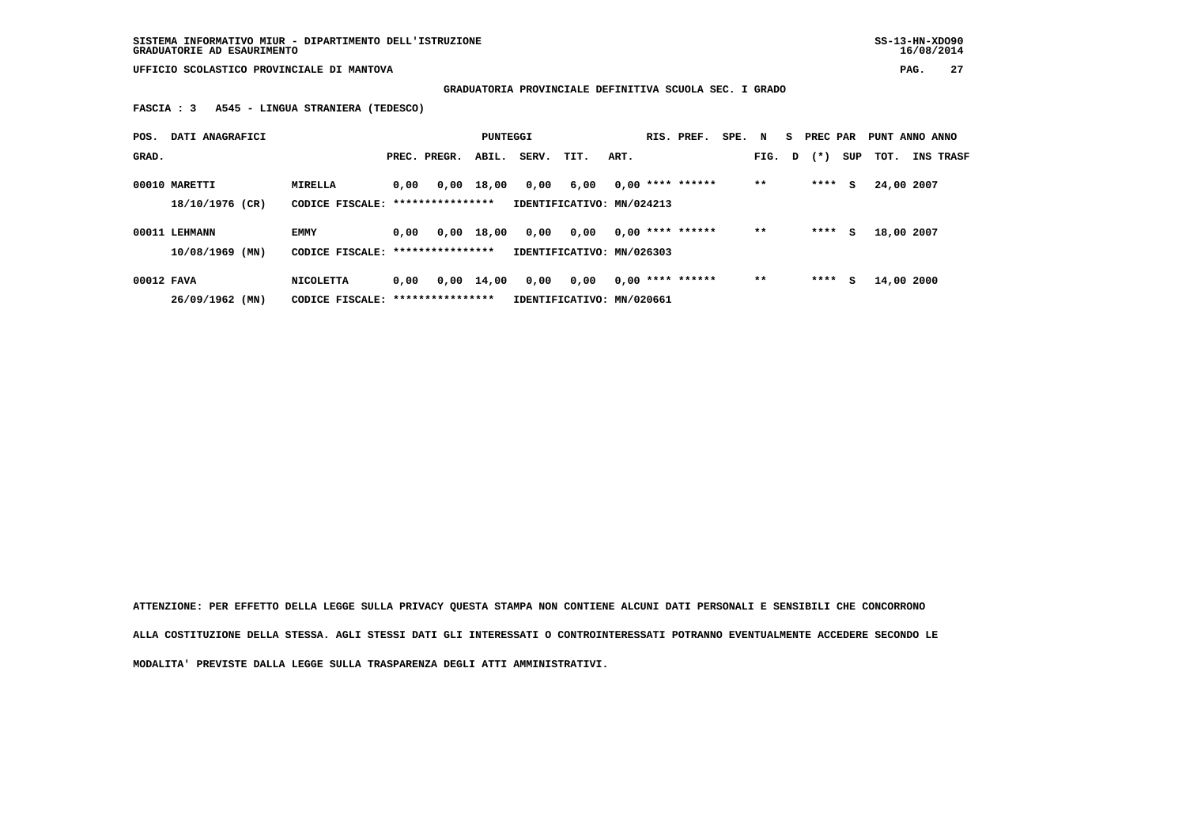**SISTEMA INFORMATIVO MIUR - DIPARTIMENTO DELL'ISTRUZIONE SS-13-HN-XDO90 GRADUATORIE AD ESAURIMENTO 16/08/2014**

 **UFFICIO SCOLASTICO PROVINCIALE DI MANTOVA PAG. 27**

 **GRADUATORIA PROVINCIALE DEFINITIVA SCUOLA SEC. I GRADO**

 **FASCIA : 3 A545 - LINGUA STRANIERA (TEDESCO)**

| POS.       | DATI ANAGRAFICI   |                                   |      |                  | PUNTEGGI     |       |                           |      | RIS. PREF.         | SPE. N |        | - S | PREC PAR |     | PUNT ANNO ANNO |                  |
|------------|-------------------|-----------------------------------|------|------------------|--------------|-------|---------------------------|------|--------------------|--------|--------|-----|----------|-----|----------------|------------------|
| GRAD.      |                   |                                   |      | PREC. PREGR.     | ABIL.        | SERV. | TIT.                      | ART. |                    |        | FIG. D |     | $(* )$   | SUP | тот.           | <b>INS TRASF</b> |
|            | 00010 MARETTI     | MIRELLA                           | 0,00 |                  | $0.00$ 18,00 | 0,00  | 6,00                      |      | $0,00$ **** ****** |        | $* *$  |     | ****     | s   | 24,00 2007     |                  |
|            | 18/10/1976 (CR)   | CODICE FISCALE: ***************** |      |                  |              |       | IDENTIFICATIVO: MN/024213 |      |                    |        |        |     |          |     |                |                  |
|            | 00011 LEHMANN     | <b>EMMY</b>                       | 0.00 | 0,00             | 18,00        | 0,00  | 0,00                      |      | $0.00$ **** ****** |        | $* *$  |     | ****     | s   | 18,00 2007     |                  |
|            | $10/08/1969$ (MN) | CODICE FISCALE: ***************** |      |                  |              |       | IDENTIFICATIVO: MN/026303 |      |                    |        |        |     |          |     |                |                  |
| 00012 FAVA |                   | NICOLETTA                         | 0,00 | 0,00             | 14,00        | 0,00  | 0,00                      |      | $0.00$ **** ****** |        | $* *$  |     | ****     | s   | 14,00 2000     |                  |
|            | 26/09/1962 (MN)   | CODICE FISCALE:                   |      | **************** |              |       | IDENTIFICATIVO: MN/020661 |      |                    |        |        |     |          |     |                |                  |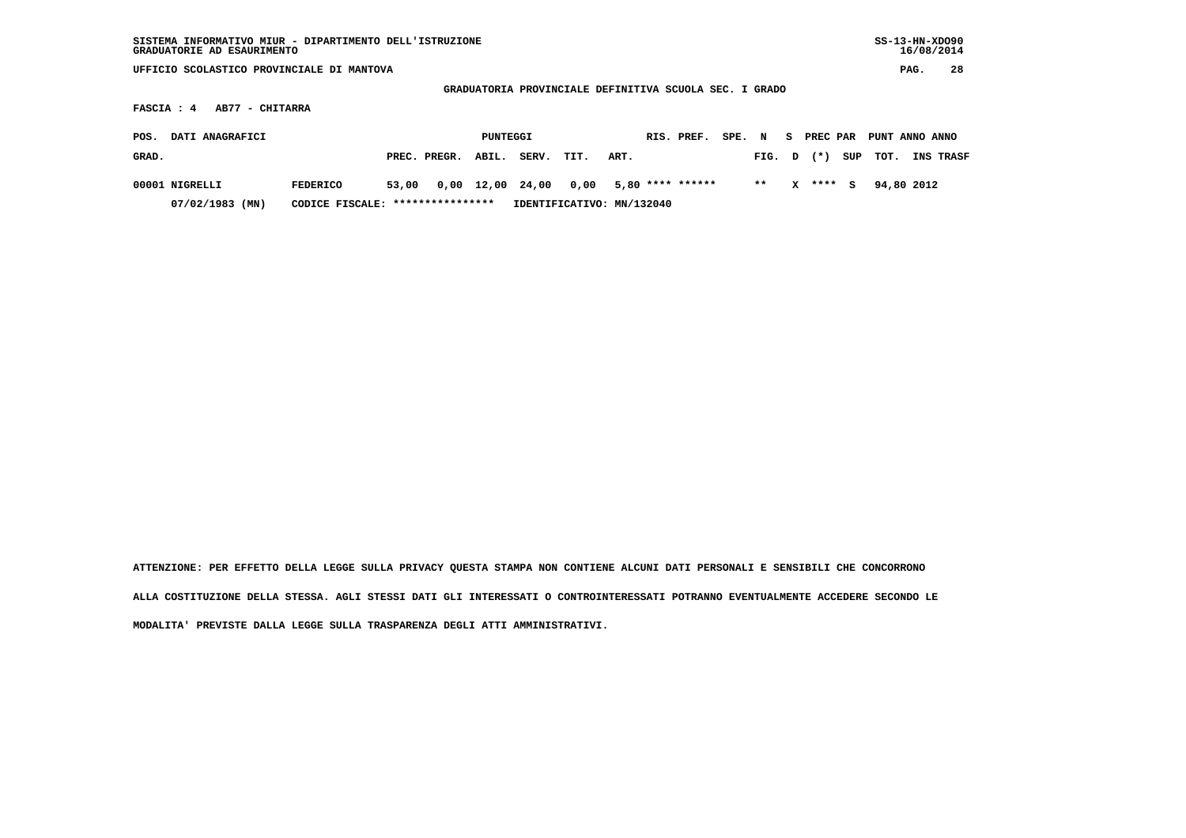| SISTEMA INFORMATIVO MIUR - DIPARTIMENTO DELL'ISTRUZIONE<br>GRADUATORIE AD ESAURIMENTO   |                                   |       |              |            |       |                           |      |  |                  |        |       |    |          |     | $SS-13-HN-XDO90$ |      | 16/08/2014 |
|-----------------------------------------------------------------------------------------|-----------------------------------|-------|--------------|------------|-------|---------------------------|------|--|------------------|--------|-------|----|----------|-----|------------------|------|------------|
| UFFICIO SCOLASTICO PROVINCIALE DI MANTOVA                                               |                                   |       |              |            |       |                           |      |  |                  |        |       |    |          |     |                  | PAG. | 28         |
|                                                                                         |                                   |       |              |            |       |                           |      |  |                  |        |       |    |          |     |                  |      |            |
| GRADUATORIA PROVINCIALE DEFINITIVA SCUOLA SEC. I GRADO<br>AB77 - CHITARRA<br>FASCIA : 4 |                                   |       |              |            |       |                           |      |  |                  |        |       |    |          |     |                  |      |            |
| DATI ANAGRAFICI<br>POS.                                                                 |                                   |       |              | PUNTEGGI   |       |                           |      |  | RIS. PREF.       | SPE. N |       | S. | PREC PAR |     | PUNT ANNO ANNO   |      |            |
| GRAD.                                                                                   |                                   |       | PREC. PREGR. | ABIL.      | SERV. | TIT.                      | ART. |  |                  |        | FIG.  | D  | $(* )$   | SUP | TOT.             |      | INS TRASF  |
| 00001 NIGRELLI                                                                          | <b>FEDERICO</b>                   | 53,00 |              | 0,00 12,00 | 24,00 | 0,00                      |      |  | 5,80 **** ****** |        | $* *$ | x  | $***$ S  |     | 94,80 2012       |      |            |
| $07/02/1983$ (MN)                                                                       | CODICE FISCALE: ***************** |       |              |            |       | IDENTIFICATIVO: MN/132040 |      |  |                  |        |       |    |          |     |                  |      |            |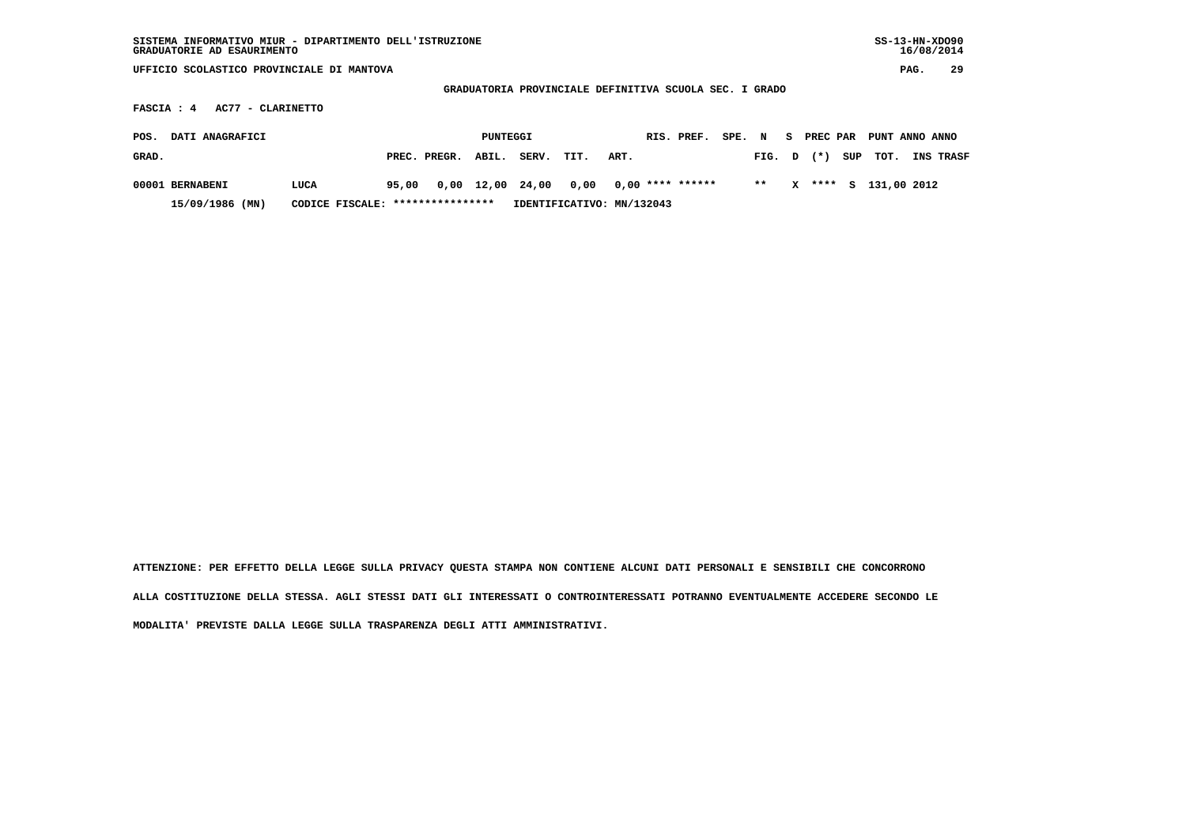| SISTEMA INFORMATIVO MIUR - DIPARTIMENTO DELL'ISTRUZIONE<br>GRADUATORIE AD ESAURIMENTO |                                   |                       |          |      |                                                        |            |        |       |    |          |     | $SS-13-HN-XDO90$ | 16/08/2014 |    |
|---------------------------------------------------------------------------------------|-----------------------------------|-----------------------|----------|------|--------------------------------------------------------|------------|--------|-------|----|----------|-----|------------------|------------|----|
| UFFICIO SCOLASTICO PROVINCIALE DI MANTOVA                                             |                                   |                       |          |      |                                                        |            |        |       |    |          |     |                  | PAG.       | 29 |
|                                                                                       |                                   |                       |          |      | GRADUATORIA PROVINCIALE DEFINITIVA SCUOLA SEC. I GRADO |            |        |       |    |          |     |                  |            |    |
| AC77 - CLARINETTO<br>FASCIA : 4                                                       |                                   |                       |          |      |                                                        |            |        |       |    |          |     |                  |            |    |
| DATI ANAGRAFICI<br>POS.                                                               |                                   |                       | PUNTEGGI |      |                                                        | RIS. PREF. | SPE. N |       | S. | PREC PAR |     | PUNT ANNO ANNO   |            |    |
| GRAD.                                                                                 |                                   | ABIL.<br>PREC. PREGR. | SERV.    | TIT. | ART.                                                   |            |        | FIG.  | D  | $^{(*)}$ | SUP | TOT.             | INS TRASF  |    |
| 00001 BERNABENI<br>LUCA                                                               | 95,00                             | 0,00 12,00            | 24,00    | 0,00 | $0.00$ **** ******                                     |            |        | $* *$ | x  | ****     | s.  | 131,00 2012      |            |    |
| 15/09/1986 (MN)                                                                       | CODICE FISCALE: ***************** |                       |          |      | IDENTIFICATIVO: MN/132043                              |            |        |       |    |          |     |                  |            |    |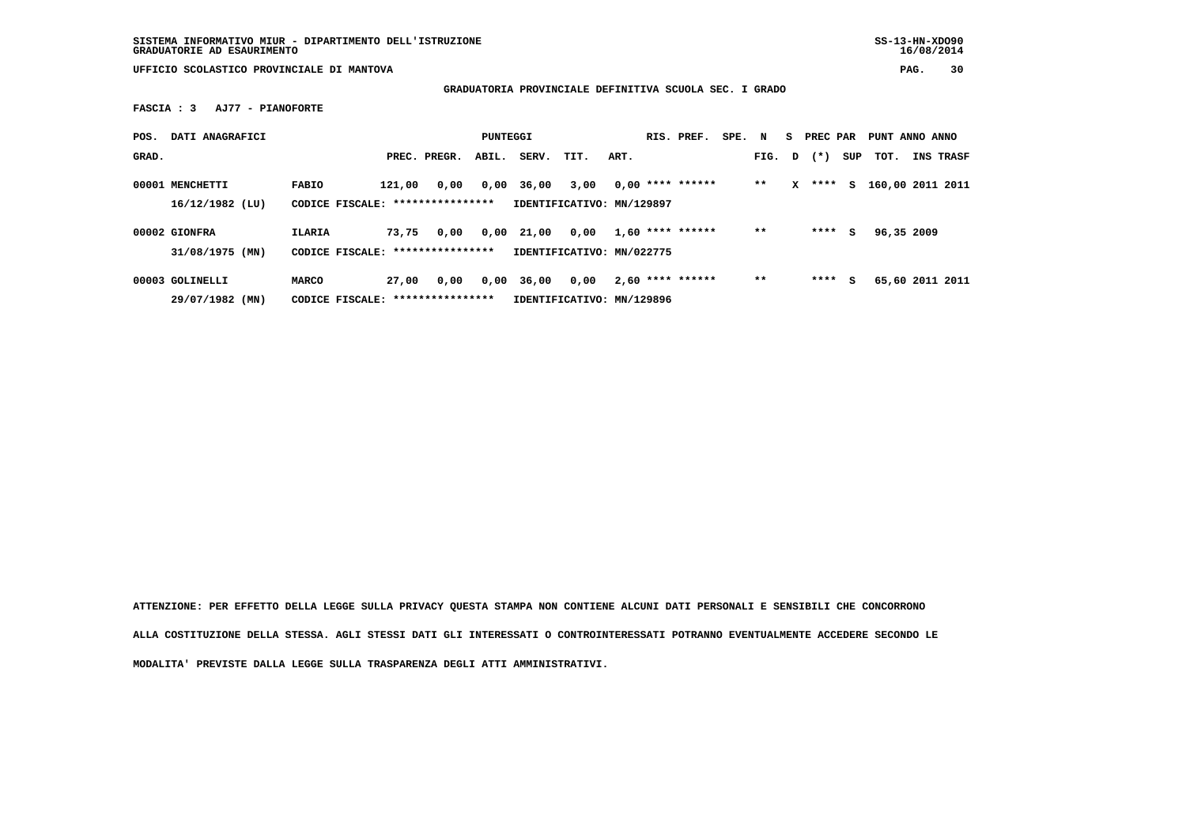**GRADUATORIA PROVINCIALE DEFINITIVA SCUOLA SEC. I GRADO**

 **FASCIA : 3 AJ77 - PIANOFORTE**

| POS.  | DATI ANAGRAFICI   |                                   |        |                  | PUNTEGGI |                           |      |      | RIS. PREF.         | SPE. | N     |   | PREC PAR |     | PUNT ANNO ANNO   |           |
|-------|-------------------|-----------------------------------|--------|------------------|----------|---------------------------|------|------|--------------------|------|-------|---|----------|-----|------------------|-----------|
| GRAD. |                   |                                   |        | PREC. PREGR.     | ABIL.    | SERV.                     | TIT. | ART. |                    |      | FIG.  | D | $(* )$   | SUP | тот.             | INS TRASF |
|       | 00001 MENCHETTI   | <b>FABIO</b>                      | 121,00 | 0,00             | 0,00     | 36,00                     | 3,00 |      | $0.00$ **** ****** |      | $* *$ | x | ****     | S.  | 160,00 2011 2011 |           |
|       | $16/12/1982$ (LU) | CODICE FISCALE: ***************** |        |                  |          | IDENTIFICATIVO: MN/129897 |      |      |                    |      |       |   |          |     |                  |           |
|       | 00002 GIONFRA     | ILARIA                            | 73,75  | 0,00             | 0,00     | 21,00                     | 0,00 |      | $1,60$ **** ****** |      | $**$  |   | ****     | s   | 96,35 2009       |           |
|       | 31/08/1975 (MN)   | CODICE FISCALE:                   |        | **************** |          | IDENTIFICATIVO: MN/022775 |      |      |                    |      |       |   |          |     |                  |           |
|       | 00003 GOLINELLI   | MARCO                             | 27,00  | 0,00             | 0,00     | 36,00                     | 0,00 |      | $2,60$ **** ****** |      | $**$  |   | ****     | s   | 65,60 2011 2011  |           |
|       | 29/07/1982 (MN)   | CODICE FISCALE: ****************  |        |                  |          | IDENTIFICATIVO: MN/129896 |      |      |                    |      |       |   |          |     |                  |           |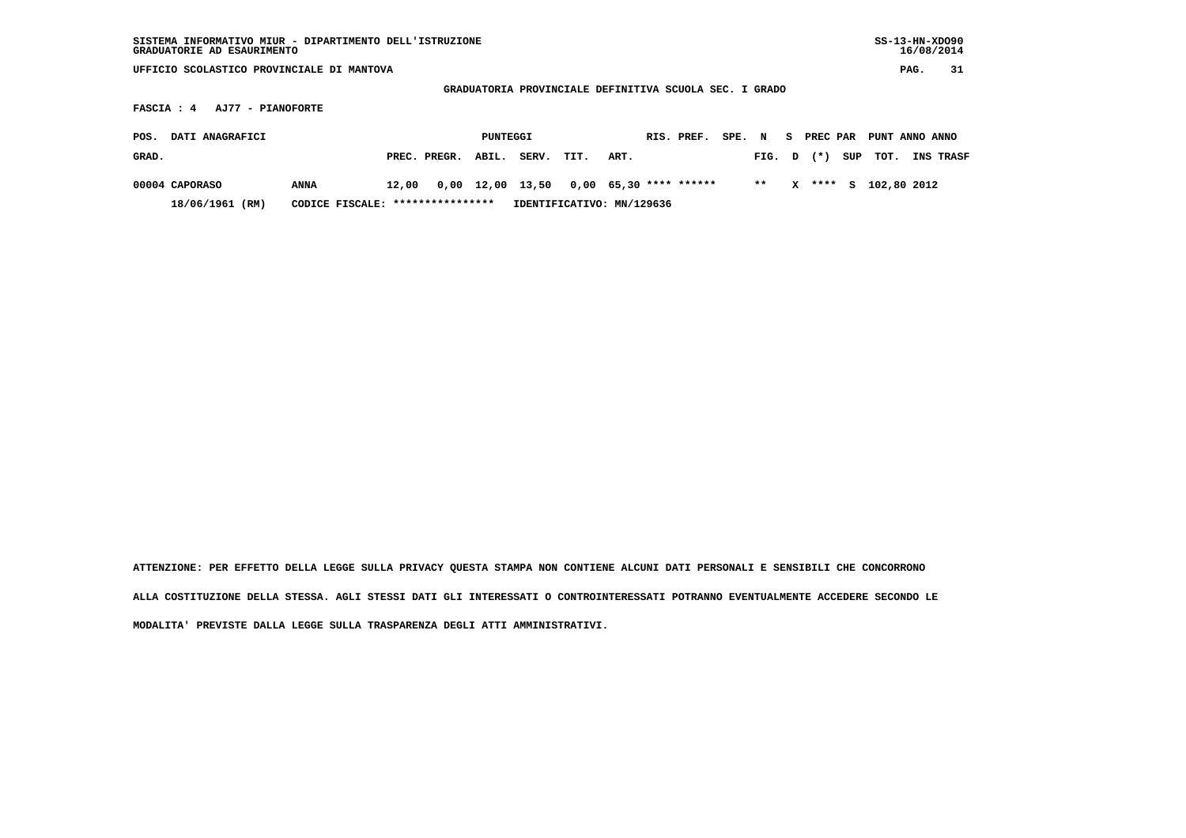| SISTEMA INFORMATIVO MIUR - DIPARTIMENTO DELL'ISTRUZIONE<br>GRADUATORIE AD ESAURIMENTO |                                   |       |              |          |                                                        |      |                          |            |        |      |          |          |     | $SS-13-HN-XDO90$ | 16/08/2014 |           |
|---------------------------------------------------------------------------------------|-----------------------------------|-------|--------------|----------|--------------------------------------------------------|------|--------------------------|------------|--------|------|----------|----------|-----|------------------|------------|-----------|
| UFFICIO SCOLASTICO PROVINCIALE DI MANTOVA                                             |                                   |       |              |          |                                                        |      |                          |            |        |      |          |          |     |                  | PAG.       | 31        |
|                                                                                       |                                   |       |              |          | GRADUATORIA PROVINCIALE DEFINITIVA SCUOLA SEC. I GRADO |      |                          |            |        |      |          |          |     |                  |            |           |
| AJ77 - PIANOFORTE<br>FASCIA : 4                                                       |                                   |       |              |          |                                                        |      |                          |            |        |      |          |          |     |                  |            |           |
| DATI ANAGRAFICI<br>POS.                                                               |                                   |       |              | PUNTEGGI |                                                        |      |                          | RIS. PREF. | SPE. N |      | <b>S</b> | PREC PAR |     | PUNT ANNO ANNO   |            |           |
| GRAD.                                                                                 |                                   |       | PREC. PREGR. | ABIL.    | SERV.                                                  | TIT. | ART.                     |            |        | FIG. | D        | $(* )$   | SUP | TOT.             |            | INS TRASF |
| 00004 CAPORASO                                                                        | ANNA                              | 12,00 |              |          | 0,00 12,00 13,50                                       |      | $0,00$ 65,30 **** ****** |            |        | $**$ | x        | **** S   |     | 102,80 2012      |            |           |
| 18/06/1961 (RM)                                                                       | CODICE FISCALE: ***************** |       |              |          | IDENTIFICATIVO: MN/129636                              |      |                          |            |        |      |          |          |     |                  |            |           |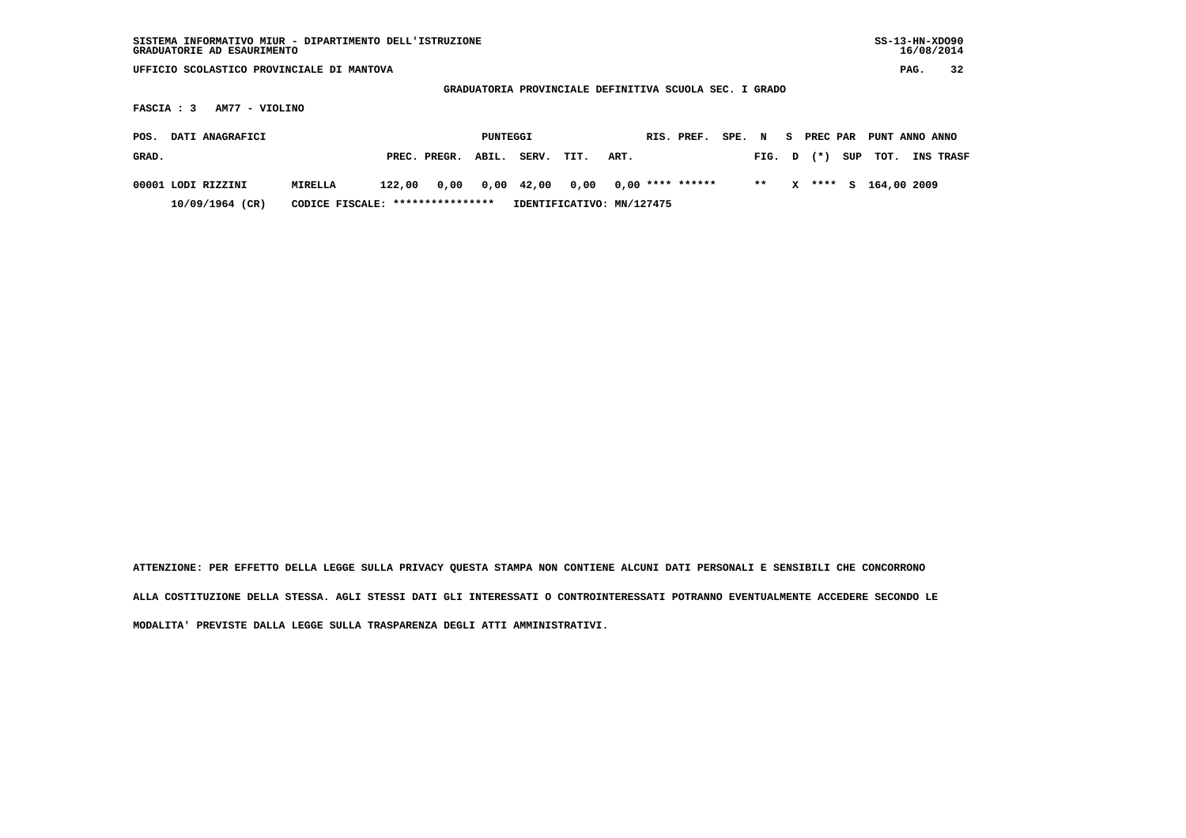| SISTEMA INFORMATIVO MIUR - DIPARTIMENTO DELL'ISTRUZIONE<br>GRADUATORIE AD ESAURIMENTO |                                                                          |        |              |          |       |                           |      |  |                    |        |       |    |          |     |                |      | $SS-13-HN-XDO90$<br>16/08/2014 |
|---------------------------------------------------------------------------------------|--------------------------------------------------------------------------|--------|--------------|----------|-------|---------------------------|------|--|--------------------|--------|-------|----|----------|-----|----------------|------|--------------------------------|
| UFFICIO SCOLASTICO PROVINCIALE DI MANTOVA                                             |                                                                          |        |              |          |       |                           |      |  |                    |        |       |    |          |     |                | PAG. | 32                             |
|                                                                                       |                                                                          |        |              |          |       |                           |      |  |                    |        |       |    |          |     |                |      |                                |
| FASCIA : 3                                                                            | GRADUATORIA PROVINCIALE DEFINITIVA SCUOLA SEC. I GRADO<br>AM77 - VIOLINO |        |              |          |       |                           |      |  |                    |        |       |    |          |     |                |      |                                |
| DATI ANAGRAFICI<br>POS.                                                               |                                                                          |        |              | PUNTEGGI |       |                           |      |  | RIS. PREF.         | SPE. N |       | S. | PREC PAR |     | PUNT ANNO ANNO |      |                                |
| GRAD.                                                                                 |                                                                          |        | PREC. PREGR. | ABIL.    | SERV. | TIT.                      | ART. |  |                    |        | FIG.  | D  | $(* )$   | SUP | TOT.           |      | INS TRASF                      |
| 00001 LODI RIZZINI                                                                    | MIRELLA                                                                  | 122,00 | 0,00         | 0,00     | 42,00 | 0,00                      |      |  | $0,00$ **** ****** |        | $* *$ | x  | ****     | s   | 164,00 2009    |      |                                |
| 10/09/1964 (CR)                                                                       | CODICE FISCALE: *****************                                        |        |              |          |       | IDENTIFICATIVO: MN/127475 |      |  |                    |        |       |    |          |     |                |      |                                |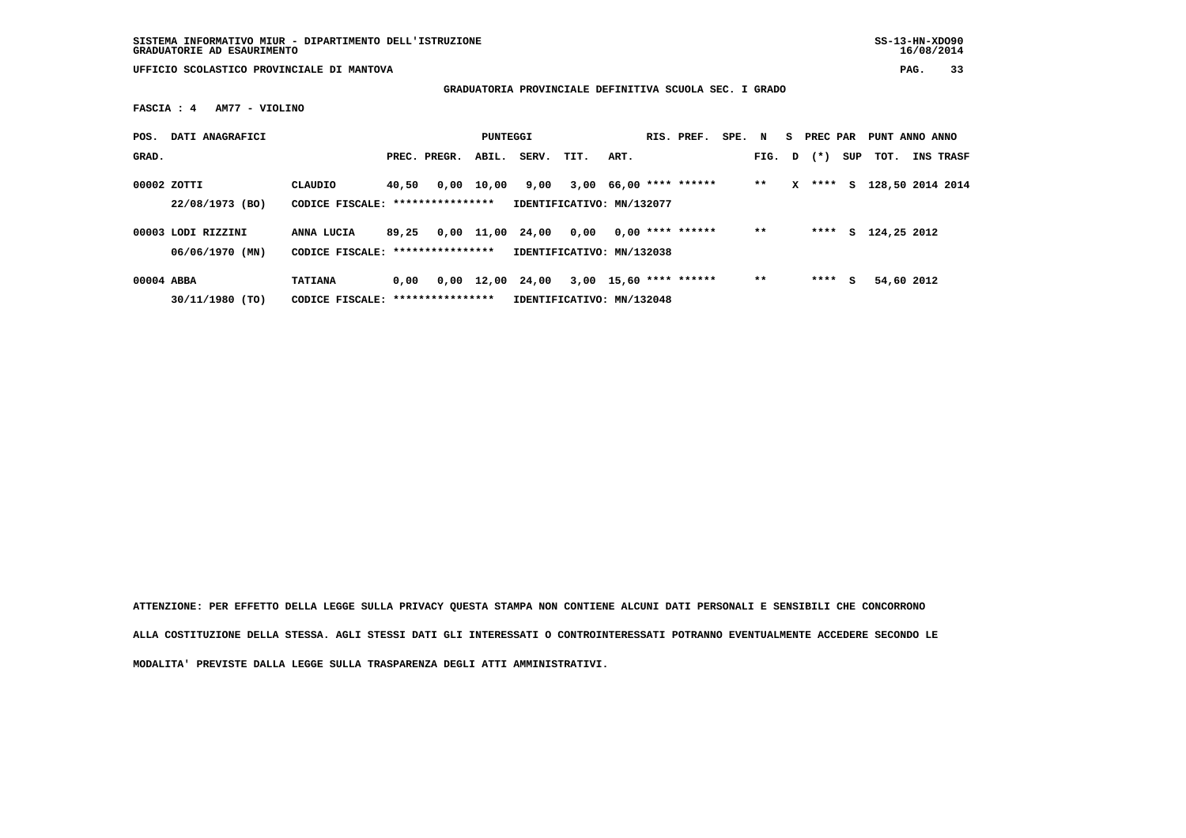**SISTEMA INFORMATIVO MIUR - DIPARTIMENTO DELL'ISTRUZIONE SS-13-HN-XDO90 GRADUATORIE AD ESAURIMENTO 16/08/2014**

 $16/08/2014$ 

 **UFFICIO SCOLASTICO PROVINCIALE DI MANTOVA PAG. 33**

 **GRADUATORIA PROVINCIALE DEFINITIVA SCUOLA SEC. I GRADO**

 **FASCIA : 4 AM77 - VIOLINO**

| POS.        | DATI ANAGRAFICI                       |                                                     |       |              | PUNTEGGI   |                                    |                           |      | RIS. PREF.               | SPE. N |        |   | S PREC PAR |     | PUNT ANNO ANNO   |                  |
|-------------|---------------------------------------|-----------------------------------------------------|-------|--------------|------------|------------------------------------|---------------------------|------|--------------------------|--------|--------|---|------------|-----|------------------|------------------|
| GRAD.       |                                       |                                                     |       | PREC. PREGR. | ABIL.      | SERV.                              | TIT.                      | ART. |                          |        | FIG. D |   | $(* )$     | SUP | тот.             | <b>INS TRASF</b> |
| 00002 ZOTTI | 22/08/1973 (BO)                       | CLAUDIO<br>CODICE FISCALE: ****************         | 40,50 |              | 0,00 10,00 | 9,00<br>IDENTIFICATIVO: MN/132077  |                           |      | $3,00$ 66,00 **** ****** |        | $* *$  | x | ****       | s   | 128,50 2014 2014 |                  |
|             | 00003 LODI RIZZINI<br>06/06/1970 (MN) | ANNA LUCIA<br>CODICE FISCALE: ****************      | 89,25 |              | 0,00 11,00 | 24,00<br>IDENTIFICATIVO: MN/132038 | 0.00                      |      | $0.00$ **** ******       |        | $**$   |   | ****       | s   | 124,25 2012      |                  |
| 00004 ABBA  | 30/11/1980 (TO)                       | <b>TATIANA</b><br>CODICE FISCALE: ***************** | 0.00  |              | 0,00 12,00 | 24,00                              | IDENTIFICATIVO: MN/132048 |      | $3,00$ 15,60 **** ****** |        | $* *$  |   | ****       | s   | 54,60 2012       |                  |